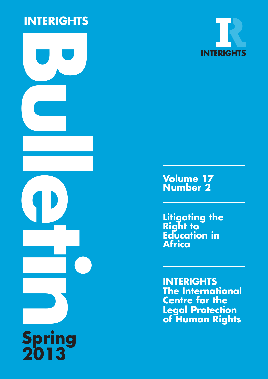# **INTERIGHTS**





**Vo l u m e 1 7 N u m b e r 2**

**L i t i g a t i n g t h e R i g h t t o E**ducation in **A f r i c a**

**INTERIGHTS T h e I n t e r n a t i o n a l Centre for the Legal Protection of Human Rights**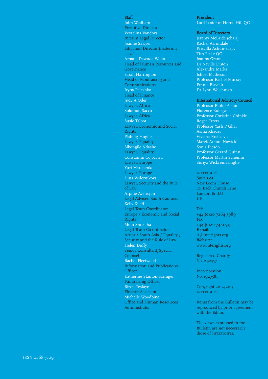#### Staff

John Wadham Executive Director Vesselina Vandova Interim Legal Director Joanne Sawyer Litigation Director (maternity leave) Amana Dawuda-Wodu Head of Human Resources and Governance Sarah Harrington Head of Fundraising and Communications Iryna Peleshko Head of Finance Judy A Oder Lawyer, Africa Solomon Sacco Lawyer, Africa Susie Talbot Lawyer, Economic and Social **Rights** Pádraig Hughes Lawyer, Equality Sibongile Ndashe Lawyer, Equality Constantin Cojocariu Lawyer, Europe Yuri Marchenko Lawyer, Europe Dina Vedernikova Lawyer, Security and the Rule o f L a w Arpine Avetisyan Legal Adviser, South Caucasus Kelly Kileff Legal Team Coordinator, Europe / Economic and Social **Rights** Moni Shrestha Legal Team Co-ordinator, Africa / South Asia / Equality / Security and the Rule of Law Helen Duffy Senior Consultant/Special Counsel Rachel Fleetwood Information and Publications Officer Katherine Stanton-Saringer Fundraising Officer Bizen Tesfaye Finance Assistant Michelle Woodbine Office and Human Resources Administrator

### President

Lord Lester of Herne Hill QC

### Board of Directors

Jeremy McBride (chair) Rachel Arrundale Priscilla Ashun-Sarpy Tim Eicke QC Joanna Grant Dr Neville Linton Alexandra Marks Ishbel Matheson Professor Rachel Murray Emma Playfair Dr Lynn Welchman

### International Advisory Council

Professor Philip Alston Florence Butegwa Professor Christine Chinkin Roger Errera Professor Yash P Ghai Asma Khader Viviana Krsticevic Marek Antoni Nowicki Sonia Picado Professor Gerard Quinn Professor Martin Scheinin Suriya Wickremasinghe

### **INTERIGHTS**

Suite 1.05 New Loom House 101 Back Church Lane London E<sub>1</sub> 1LU U K

**Te l :** + 4 4 ( 0 ) 2 0 7 2 6 4 3 9 8 9 **F a x** : +44 (0)20 7481 9911 **E - m a i l :** ir@interights.org **Website:** www.interights.org

Registered Charity No. 292357

Incorporation No. 1927581

Copyright 2012/2013 **INTERIGHTS** 

Items from the Bulletin may be reproduced by prior agreement with the Editor.

The views expressed in the Bulletin are not necessarily those of INTERIGHTS.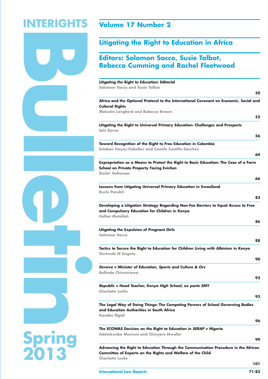# **B INTERIGHTS**

### **Volume 17 Number 2**

### **Litigating the Right to Education in Africa**

### **Editors: Solomon Sacco, Susie Talbot, Rebecca Cumming and Rachel Fleetwood**

| Litigating the Right to Education: Editorial                                                                                |
|-----------------------------------------------------------------------------------------------------------------------------|
| <b>Solomon Sacco and Susie Talbot</b>                                                                                       |
| 50                                                                                                                          |
| Africa and the Optional Protocol to the International Covenant on Economic, Social and                                      |
| <b>Cultural Rights</b>                                                                                                      |
| <b>Malcolm Langford and Rebecca Brown</b>                                                                                   |
| 52                                                                                                                          |
| Litigating the Right to Universal Primary Education: Challenges and Prospects                                               |
| lain Byrne                                                                                                                  |
| 56                                                                                                                          |
| Toward Recognition of the Right to Free Education in Colombia                                                               |
| Esteban Hoyos-Ceballos and Camilo Castillo-Sánchez                                                                          |
| 64                                                                                                                          |
| Expropriation as a Means to Protect the Right to Basic Education: The Case of a Farm                                        |
| <b>School on Private Property Facing Eviction</b>                                                                           |
| <b>Dmitri Holtzman</b>                                                                                                      |
| 66                                                                                                                          |
| Lessons from Litigating Universal Primary Education in Swaziland                                                            |
| <b>Ruchi Parekh</b>                                                                                                         |
| 83                                                                                                                          |
| Developing a Litigation Strategy Regarding Non-Fee Barriers to Equal Access to Free                                         |
| and Compulsory Education for Children in Kenya                                                                              |
| <b>Hellen Mutellah</b>                                                                                                      |
| 86                                                                                                                          |
| <b>Litigating the Expulsion of Pregnant Girls</b>                                                                           |
| Solomon Sacco                                                                                                               |
| 88                                                                                                                          |
| Tactics to Secure the Right to Education for Children Living with Albinism in Kenya                                         |
| <b>Gertrude N Angote</b>                                                                                                    |
| 90                                                                                                                          |
| Dzvova v Minister of Education, Sports and Culture & Ors                                                                    |
| <b>Bellinda Chinowawa</b>                                                                                                   |
| 92                                                                                                                          |
|                                                                                                                             |
| Republic v Head Teacher, Kenya High School, ex parte SMY<br><b>Charlotte Leslie</b>                                         |
| 93                                                                                                                          |
|                                                                                                                             |
| The Legal Way of Doing Things: The Competing Powers of School Governing Bodies<br>and Education Authorities in South Africa |
| Karabo Ngidi                                                                                                                |
| 96                                                                                                                          |
|                                                                                                                             |
| The ECOWAS Decision on the Right to Education in SERAP v Nigeria<br><b>Adetokunbo Mumuni and Chinyere Nwafor</b>            |
| 99                                                                                                                          |
|                                                                                                                             |
| Advancing the Right to Education Through the Communication Procedure in the African                                         |
| <b>Committee of Experts on the Rights and Welfare of the Child</b><br><b>Charlotte Leslie</b>                               |
| 101                                                                                                                         |
|                                                                                                                             |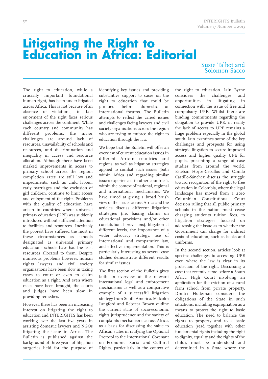# **Litigating the Right to Education in Africa: Editorial**

### Susie Talbot and Solomon Sacco

The right to education, while a crucially important foundational human right, has been under-litigated across Africa. This is not because of an absence of violations; in fact enjoyment of the right faces serious challenges across the continent. While each country and community has different problems, the major challenges are around lack of resources, unavailability of schools and resources, and discrimination and inequality in access and resource allocation. Although there have been marked improvements in access to primary school across the region, completion rates are still low and impediments, such as child labour, early marriages and the exclusion of girl children, continue to limit access and enjoyment of the right. Problems with the quality of education have arisen in countries where universal primary education (UPE) was suddenly introduced without sufficient attention to facilities and resources. Inevitably the poorest have suffered the most in these circumstances as schools designated as universal primary educations schools have had the least resources allocated to them. Despite numerous problems however, human rights lawyers and civil society organisations have been slow in taking cases to court or even to claim education as a right. And even where cases have been brought, the courts and judges have been slow in providing remedies.

However, there has been an increasing interest on litigating the right to education and INTERIGHTS has been working over the last five years in assisting domestic lawyers and NGOs litigating the issue in Africa. The Bulletin is published against the background of three years of litigation surgeries held for the purpose of identifying key issues and providing substantive support to cases on the right to education that could be pursued before domestic or international forums. The Bulletin attempts to reflect the varied issues and challenges facing lawyers and civil society organisations across the region who are trying to enforce the right to education through the law.

We hope that the Bulletin will offer an overview of current education issues in different African countries and regions, as well as litigation strategies applied to combat such issues (both within Africa and regarding similar issues experienced in other countries), within the context of national, regional and international mechanisms. We have aimed at giving a broad brush view of the issues across Africa and the articles discuss different litigation strategies (i.e. basing claims on educational provisions and/or other constitutional provisions), litigation at different levels, the importance of a wider advocacy strategy, use of international and comparative law, and effective implementation. This is particularly interesting as several case studies demonstrate different results for similar issues.

The first section of the Bulletin gives both an overview of the relevant international legal and enforcement mechanisms as well as a comparative example of a successful litigation strategy from South America. Malcolm Langford and Rebecca Brown outline the current state of socio-economic rights jurisprudence and the variety of complaints mechanisms across Africa, as a basis for discussing the value to African states in ratifying the Optional Protocol to the International Covenant on Economic, Social and Cultural Rights, particularly in the context of the right to education. Iain Byrne considers the challenges and opportunities in litigating in connection with the issue of free and compulsory UPE. Whilst there are binding commitments regarding the obligation to provide UPE, in reality the lack of access to UPE remains a huge problem especially in the global south. Iain examines some of the key challenges and prospects for using strategic litigation to secure improved access and higher quality UPE for pupils, presenting a range of case studies from around the world. Esteban Hoyos-Ceballos and Camilo Castillo-Sánchez discuss the struggle toward recognition of the right to free education in Colombia, where the legal landscape has moved from a 2010 Columbian Constitutional Court decision ruling that all public primary schools in the nation must cease charging students tuition fees, to litigation strategies focused on addressing the issue as to whether the Government can charge for indirect costs of education, such as books and uniforms.

In the second section, articles look at specific challenges to accessing UPE even where the law is clear in its protection of the right. Discussing a case that recently came before a South Africa High Court involving an application for the eviction of a rural farm school from private property, Dmitri Holtzman considers the obligations of the State in such situations, including expropriation as a means to protect the right to basic education. The need to balance the rights to property and to a basic education (read together with other fundamental rights including the right to dignity, equality and the rights of the child), must be understood and determined in a State where the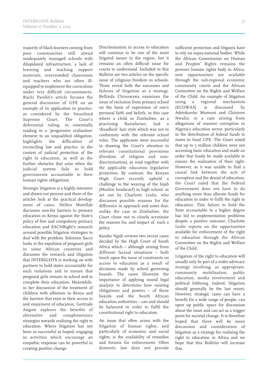majority of black learners coming from poor communities still attend inadequately managed schools with dilapidated infrastructure, a lack of learning and teaching support materials, overcrowded classrooms and teachers who are often illequipped to implement the curriculum under very difficult circumstances. Ruchi Parekh's article focuses the general discussion of UPE on an example of its application in practice, as considered by the Swaziland Supreme Court. The Court's deferential ruling, in essentially reading in a 'progressive realisation' element to an unqualified obligation, highlights the difficulties of reconciling law and practice in the context of judicial protection of the right to education, as well as the further obstacles that arise when the judicial system fails to hold governments accountable to their human rights obligations.

Strategic litigation is a highly intensive and drawn out process and three of the articles look at the practical development of cases. Hellen Mutellah discusses non-fee barriers to primary education in Kenya against the State's policy of free and compulsory primary education and EACHRight's research around possible litigation strategies to deal with the problem. Solomon Sacco looks at the expulsion of pregnant girls in some African countries and discusses the research and litigation that INTERIGHTS is working on with partners to hold states accountable for such violations and to ensure that pregnant girls remain in school and to complete their education. Meanwhile, in her discussion of the treatment of children with albinism in Kenya and the barriers that exist in their access to and enjoyment of education, Gertrude Angote explores the benefits of alternative and complementary strategies towards realising the right to education. Where litigation has not been as successful as hoped, engaging in activities which encourage an empathic response can be powerful in creating positive change.

Discrimination in access to education will continue to be one of the most litigated issues in the region, but it remains an often difficult issue for courts to understand. Included in this Bulletin are two articles on the specific issue of religious freedom in schools. These reveal both the successes and failures of litigation as a strategy. Bellinda Chinowawa examines the issue of exclusion from primary school on the basis of expression of one's personal faith and beliefs, in this case where a child in Zimbabwe, as a practising Rastafarian, had a 'dreadlock' hair style which was not in conformity with the relevant school rules. The applicants were successful in drawing the Court's attention to relevant constitutional provisions (freedom of religion and nondiscrimination), as read together with the applicable education legislative protection. By contrast, the Kenyan High Court recently upheld a challenge to the wearing of the hijab (Muslim headscarf) in high school, as set out by Charlotte Leslie, who discusses possible reasons for the difference in approach and notes that, unlike the case in Zimbabwe, the Court chose not to closely scrutinise the reasons for, and impact of, such a policy.

Karabo Ngidi reviews two recent cases decided by the High Court of South Africa which – although arising from different factual situations – both touch upon the issue of constraints on access to education as a result of decisions made by school governing boards. The cases illustrate the importance of applying sound legal analysis to determine how existing obligations and powers – of these boards and the South African education authorities – can and should be balanced in order to fulfil the constitutional right to education.

An issue that often arises with the litigation of human rights, and particularly of economic and social rights, is the availability of remedies and forums for enforcement. Often domestic law does not provide sufficient protection and litigants have to rely on supra-national bodies. While the African Commission on Human and Peoples' Rights remains the premier human rights body in Africa, new opportunities are available through the sub-regional economic community courts and the African Committee on the Rights and Welfare of the Child. An example of litigation using a regional mechanism (ECOWAS) is discussed by Adetokunbo Mumuni and Chinyere Nwafor, in a case arising from allegations of massive corruption in Nigeria's education sector, particularly in the distribution of federal funds to states to fund UPE. The Court noted that up to 5 million children were not accessing basic education and made an order that funds be made available to ensure the realisation of their right. However, as it was unable to find a causal link between the acts of corruption and the denial of education, the Court ruled that the Federal Government does not have to do anything more than allocate funds for education in order to fulfil the right to education. This failure to hold the State accountable to a higher degree has led to implementation problems despite a positive outcome. Charlotte Leslie reports on the opportunities available for enforcement of the right to education through the African Committee on the Rights and Welfare of the Child.

Litigation of the right to education will usually only be part of a wider advocacy strategy involving, as appropriate, community mobilisation, public education, media involvement and political lobbying. Indeed, litigation should generally be the last resort. However, strategic cases can have a benefit for a wide range of people, can open up public space for discussion about the issue and can act as a trigger point for societal change. It is therefore hoped that there will be more discussion and consideration of litigation as a strategy for realising the right to education in Africa and we hope that this Bulletin will increase this.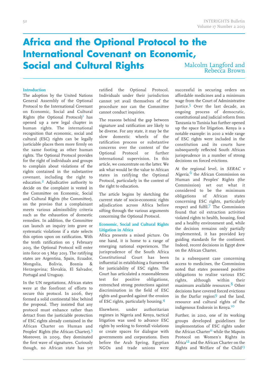### **Africa and the Optional Protocol to the International Covenant on Economic, Social and Cultural Rights**

Malcolm Langford and Rebecca Brown

### **Introduction**

The adoption by the United Nations General Assembly of the Optional Protocol to the International Covenant on Economic, Social and Cultural Rights (the Optional Protocol) 1 has opened up a new legal chapter in human rights. The international recognition that economic, social and cultural (ESC) rights can be legally justiciable places them more firmly on the same footing as other human rights. The Optional Protocol provides for the right of individuals and groups to complain about violations of the rights contained in the substantive covenant, including the right to education. 2 Adjudicative authority to decide on the complaint is vested in the Committee on Economic, Social and Cultural Rights (the Committee), on the proviso that a complainant meets various admissibility criteria such as the exhaustion of domestic remedies. In addition, the Committee can launch an inquiry into grave or systematic violations if a state selects this option upon on ratification. With the tenth ratification on 5 February 2013, the Optional Protocol will enter into force on 5 May 2013. The ratifying states are Argentina, Spain, Ecuador, Mongolia, Bolivia, Bosnia & Herzegovina; Slovakia, El Salvador, Portugal and Uruguay.

In the UN negotiations, African states were at the forefront of efforts to secure this protocol. In 2006, they formed a solid continental bloc behind the proposal. They insisted that any protocol must enhance rather than detract from the justiciable protection of ESC rights already contained in the African Charter on Human and Peoples' Rights (the African Charter).<sup>3</sup> Moreover, in 2009, they dominated the first wave of signatures. Curiously though, no African state has yet ratified the Optional Protocol. Individuals under their jurisdiction cannot yet avail themselves of the procedure nor can the Committee cannot conduct inquiries.

The reasons behind the gap between signature and ratification are likely to be diverse. For any state, it may be the slow domestic wheels of the ratification process or substantive concerns over the content of the Optional Protocol or further international supervision. In this article, we concentrate on the latter. We ask what would be the value to African states in ratifying the Optional Protocol, particularly in the context of the right to education.

The article begins by sketching the current state of socio-economic rights adiudication across Africa before sifting through the various arguments concerning the Optional Protocol.

### **Economic, Social and Cultural Rights Litigation in Africa**

Africa presents a mixed picture. On one hand, it is home to a range of emerging national experiences. The jurisprudence of the South Africa Constitutional Court has been influential in establishing a framework for justiciability of ESC rights. The Court has articulated a reasonableness test for positive obligations, entrenched strong protections against discrimination in the field of ESC rights and guarded against the erosion of ESC rights, particularly housing. 4

Elsewhere, under authoritarian regimes in Nigeria and Kenya, tactical litigation was used to advance ESC rights by seeking to forestall violations or create spaces for dialogue with governments and corporations. Even before the Arab Spring, Egyptian NGOs and trade unions were successful in securing orders on affordable medicines and a minimum wage from the Court of Administrative Justice.<sup>5</sup> Over the last decade, an ongoing process of democratic, constitutional and judicial reform from Tanzania to Tunisia has further opened up the space for litigation. Kenya is a notable example: in 2010 a wide range of ESC rights were included in the constitution and its courts have subsequently reflected South African jurisprudence in a number of strong decisions on forced evictions.

At the regional level, in SERAC <sup>v</sup> Nigeria, <sup>6</sup> the African Commission on Human and Peoples' Rights (the Commission) set out what it considered to be the minimum obligations of African states concerning ESC rights, particularly respect and fulfil. 7 The Commission found that oil extraction activities violated rights to health, housing, food and a healthy environment and, while the decision remains only partially implemented, it has provided key guiding standards for the continent. Indeed, recent decisions in Egypt drew on the African Charter.

In a subsequent case concerning access to medicines, the Commission noted that states possessed positive obligations to realise various ESC rights, although within their maximum available resources. 8 Other decisions have covered forced evictions in the Darfur region9 and the land, resource and cultural rights of the indigenous Endorois in Kenya. 10

Further, in 2010, one of its working groups developed guidelines for implementation of ESC rights under the African Charter<sup>11</sup> while the Maputo Protocol on Women's Rights in Africa12 and the African Charter on the Rights and Welfare of the Child<sup>13</sup>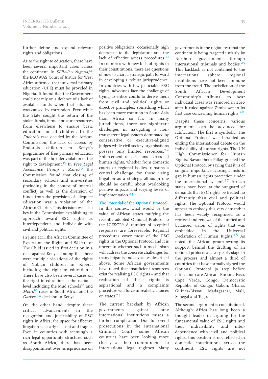further define and expand relevant rights and obligations.

As to the right to education, there have been several important cases across the continent. In SERAP v Nigeria,<sup>14</sup> the ECOWAS Court of Justice for West Africa affirmed that universal primary education (UPE) must be provided in Nigeria. It found that the Government could not rely on a defence of a lack of available funds when that situation was caused by corruption. Even while the State sought the return of the stolen funds, it must procure resources from elsewhere to ensure basic education for all children. In the Endorois case decided by the African Commission, the lack of access by Endorois children to Kenya's programme of free primary education was part of the broader violation of the right to development.<sup>15</sup> In Free Legal Assistance Group v Zaire,<sup>16</sup> the Commission found that closing of secondary schools and universities (including in the context of internal conflict) as well as the diversion of funds from the provision of adequate education was a violation of the African Charter. This decision was also key in the Commission establishing its approach toward ESC rights as interdependent and indivisible with civil and political rights.

In June 2011, the African Committee of Experts on the Rights and Welfare of The Child issued its first decision in a case against Kenya, finding that there were multiple violations of the rights of Nubian children in Kibera, including the right to education.<sup>17</sup> There have also been several cases on the right to education at the national level including the Mud schools<sup>18</sup> and Mikro<sup>19</sup> cases in South Africa and the Garissa<sup>20</sup> decision in Kenya.

On the other hand, despite these critical advancements in the recognition and justiciability of ESC rights in Africa, the space for effective litigation is clearly nascent and fragile. Even in countries with seemingly a rich legal opportunity structure, such as South Africa, there has been disappointment over jurisprudence on positive obligations, occasionally high deference to the legislature and the lack of effective access procedures.<sup>21</sup> In countries with new bills of rights in their constitutions, there are questions of how to chart a strategic path forward in developing a robust jurisprudence. In countries with few justiciable ESC rights, advocates face the challenge of trying to entice courts to derive them from civil and political rights or directive principles, something which has been more common in South Asia than Africa so far. In many jurisdictions, there are significant challenges in navigating a nontransparent legal system dominated by conservative or executive-aligned judges while civil society organisations possess only limited resources.<sup>22</sup> Enforcement of decisions across all human rights, whether from domestic courts or regional bodies, remains a central challenge for those using litigation as a strategy, although one should be careful about overlooking positive impacts and varying levels of implementation.<sup>23</sup>

### **The Potential of the Optional Protocol**

In this context, what would be the value of African states ratifying the recently adopted Optional Protocol to the ICESCR? A number of sceptical responses are foreseeable. Regional procedures cover most of the ESC rights in the Optional Protocol and it is uncertain whether such a mechanism will address the concrete challenges for many litigants and advocates described above. Some African governments have noted that insufficient resources exist for realising ESC rights – and that realisation of these rights is aspirational and a complaints procedure will force unrealistic choices on states.<sup>24</sup>

The current backlash by African governments against some international institutions raises a further complication. Due to several prosecutions in the International Criminal Court, some African countries have been looking more closely at their commitments to international legal regimes. Many governments in the region fear that the continent is being targeted unfairly by Northern governments through international tribunals and bodies.<sup>25</sup> This backlash is not contained to the international sphere: regional institutions have not been immune from the trend. The jurisdiction of the South African Development Community's tribunal to hear individual cases was removed in 2010 after it ruled against Zimbabwe in its first case concerning human rights.<sup>26</sup>

Despite these concerns, various arguments can be advanced for ratification. The first is symbolic. The Optional Protocol was heralded as ending the international debate on the indivisibility of human rights. The UN High Commissioner for Human Rights, Navanethem Pillay, greeted the Optional Protocol by saying that it 'is of singular importance…closing a historic gap in human rights protection under the international system'. 27 African states have been at the vanguard of demands that ESC rights be treated no differently than civil and political rights. The Optional Protocol would appear to embody this very demand: it has been widely recognised as a retrieval and renewal of the unified and balanced vision of rights that was embedded in the Universal Declaration of Human Rights. 28 As noted, the African group swung its support behind the drafting of an optional protocol at a very early stage in the process and almost a third of countries that have formally signed the Optional Protocol (a step before ratification) are African: Burkina Faso, Cape Verde, Congo, Democratic Republic of Congo, Gabon, Ghana, Guinea-Bissau, Madagascar, Mali, Senegal and Togo.

The second argument is constitutional. Although Africa has long been a thought leader in arguing for the fundamental value of ESC rights and their indivisibility and interdependence with civil and political rights, this position is not reflected in domestic constitutions across the continent. ESC rights are not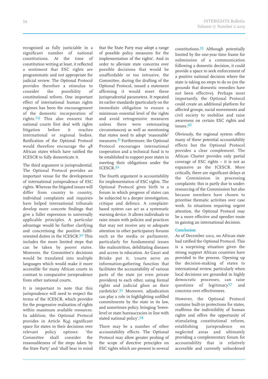recognised as fully justiciable in a significant number of national constitutions. At the time of constitution writing at least, it reflected a sentiment that ESC rights are programmatic and not appropriate for judicial review. The Optional Protocol provides therefore a stimulus to consider the possibility of constitutional reform. One important effect of international human rights regimes has been the encouragement of the domestic incorporation of rights. 29 This also ensures that national courts first deal with rights litigation before it reaches international or regional bodies. Ratification of the Optional Protocol would therefore encourage the 48 African states which have ratified the ICESCR to fully domesticate it.

The third argument is jurisprudential. The Optional Protocol provides an important venue for the development of international jurisprudence of ESC rights. Whereas the litigated issues will differ from country to country, individual complaints and inquiries have helped international tribunals develop more concrete findings that give a fuller expression to universally applicable principles. A particular advantage would be further clarifying and concretising the positive fulfiloriented duties in the ICESCR.<sup>30</sup> This includes the more limited steps that can be taken by poorer states. Moreover, the Committee's decisions would be translated into multiple languages which would make it more accessible for many African courts in contrast to comparative jurisprudence from other national courts.

It is important to note that this jurisprudence will need to respect the terms of the ICESCR, which provides for the progressive realisation of rights within maximum available resources. In addition, the Optional Protocol provides in Article 8(4) significant space for states in their decisions over relevant policy options: 'the Committee shall consider the reasonableness of the steps taken by the State Party' and 'shall bear in mind

that the State Party may adopt a range of possible policy measures for the implementation of the rights'. And in order to alleviate state concerns over possible decisions that would be unaffordable or too intrusive, the Committee, during the drafting of the Optional Protocol, issued a statement affirming it would meet these jurisprudential parameters. It repeated its earlier standards (particularly on the immediate obligation to ensure a minimum essential level of the rights and avoid retrogressive measures unless there were extenuating circumstances) as well as mentioning that states need to adopt 'reasonable' measures. 31 Furthermore, the Optional Protocol encourages international cooperation and a technical fund is to be established to support poor states in meeting their obligations under the ICESCR. 32

The fourth argument is accountability for implementation of ESC rights. The Optional Protocol gives birth to a forum in which progress of states can be subjected to a deeper investigation, critique and defence. A complaintbased system can act as a systematic warning device. It allows individuals to raise issues with policies and practices that may not receive any or adequate attention in other participatory forums such as the media or parliament, particularly for fundamental issues like malnutrition, debilitating diseases and access to education. As Gauri and Brinks put it, 'courts serve an information-gathering function that facilitates the accountability of various parts of the state (or even private providers) to each other, using formal rights and judicial gloss as their yardsticks'. 33 Moreover, adjudication can play a role in highlighting unfilled commitments by the state in its law, and sometimes policy, bringing 'lowerlevel or state bureaucracies in line with stated national policy'.<sup>34</sup>

There may be a number of other accountability effects. The Optional Protocol may allow greater probing of the scope of directive principles on ESC rights which are present in several

constitutions.<sup>35</sup> Although potentially limited by the one-year time frame for submission of a communication following a domestic decision, it could provide a space to seek enforcement of a positive national decision where the state is taking no steps to do so (on the grounds that domestic remedies have not been effective). Perhaps most importantly, the Optional Protocol could create an additional platform for affected groups, social movements and civil society to mobilise and raise awareness on certain ESC rights and issues. 36

Obviously, the regional system offers many of these potential accountability effects but the Optional Protocol provides a clear complement. The African Charter provides only partial coverage of ESC rights – it is not as expansive as the ICESCR. More critically, there are significant delays at the Commission in processing complaints: this is partly due to underresourcing of the Commission but also because members have chosen to prioritise thematic activities over case work. In situations requiring urgent attention, the Optional Protocol may be a more effective and speedier route in gaining an international decision.

### **Conclusion**

As of December 2012, no African state had ratified the Optional Protocol. This is a surprising situation given the strong support African countries have provided to the process. Opening up the decision-making of states to international review, particularly when local decisions are grounded in highly democratic processes, can raise questions of legitimacy<sup>37</sup> and concerns over effectiveness.

However, the Optional Protocol contains built-in protections for states, reaffirms the indivisibility of human rights and offers the opportunity of stimulating constitutional reform, establishing jurisprudence on neglected areas and ultimately providing a complementary forum for accountability that is relatively accessible and currently unburdened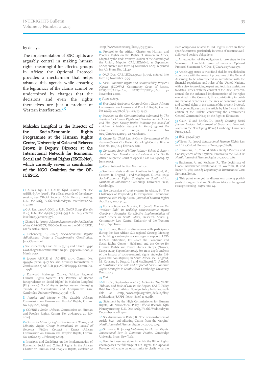### by delays.

The implementation of ESC rights are arguably central in making human rights meaningful for affected groups in Africa: the Optional Protocol provides a mechanism that helps advance this agenda while ensuring the legitimacy of the claims cannot be undermined by charges that the decisions and even the rights themselves are just a product of Western interference.<sup>38</sup>

Malcolm Langford is the Director of the Socio-Economic Rights Programme at the Human Rights Centre, University of Oslo and Rebecca Brown is Deputy Director at the International Network for Economic, Social and Cultural Rights (ESCR-Net), which currently serves as coordinator of the NGO Coalition for the OP-ICESCR.

1 GA Res. 832, UN GAOR, 63rd Session, UN Doc A/RES/63/117 (2008). For official records of the plenary session, see Official Records, 66th Plenary meeting, U.N. Doc.A/63/PV. 66, Wednesday 10 December 2008, 4.30pm.

2 G.A. Res. 2200A (XXI), 21 U.N. GAOR Supp. (No. 16) at 49, U.N. Doc. A/6316 (1966), 993 U.N.T.S. 3, entered into force 3 January 1976.

3 Chenwi, L., (2009) African Arguments for Ratification of the OP-ICESCR, NGO Coalition for the OP-ICESCR, On file with authors.

4 Liebenberg, S., (2010) Socio-Economic Rights: Adjudication Under <sup>a</sup> Transformative Constitution, Juta, Claremont.

5 See respectively Case No 2457/64 and 'Court: Egypt Govt obliged to set minimum wage', Egypt.com News, 31 March 2010.

6 (2000) AHRLR 18 (ACHPR 1997, Comm. No. 19/96), paras. 1–17. See also Amnesty International v Zambia (2000) AHRLR 325 (ACHPR 1999, Comm. No.  $212/98$ .

7 Danwood Mzikenge Chirwa, 'African Regional Human Rights System: The Promise of Recent Jurisprudence on Social Rights' in Malcolm Langford (Ed.) (2008) Social Rights Jurisprudence: Emerging Trends in International and Comparative Law, Cambridge University Press, 323-338, 338.

8 Purohit and Moore <sup>v</sup> The Gambia (African Commission on Human and Peoples' Rights, Comm. No. 241/2001, 2003).

9 COHRE <sup>v</sup> Sudan (African Commission on Human and Peoples' Rights, Comm. No. 296/2005, 29 July 2010).

10 Centre for Minority Rights Development (Kenya) and Minority Rights Group International on behalf of Endorois Welfare Council <sup>v</sup> Kenya (African Commission on Human and Peoples' Rights, Comm. No. 276/2003, 4 February 2010).

11 Principles and Guidelines on the Implementation of Economic, Social and Cultural Rights in the African Charter on Human and People's Rights, available at

<http://www.escr-net.org/docs/i/1599552>.

12 Protocol to the African Charter on Human and Peoples' Rights on the Rights of Women in Africa, adopted by the 2nd Ordinary Session of the Assembly of the Union, Maputo, CAB/LEG/66.6, 13 September 2000; entered into force 25 November 2005; reprinted in 1 Afr. Hum. Rts. L.J. 40.

13 OAU Doc. CAB/LEG/24.9/49 (1990), entered into force 29 November 1999.

14 Socio-Economic Rights and Accountability Project v Nigeria (ECOWAS Community Court of Justice,  $ECW/CCJ/APP/12/07$ ;  $ECW/CCJ/JUD/07/10$ , November 2010).

#### 15 Supra note 9.

16 Free Legal Assistance Group & Ors v Zaire (African Commission on Human and Peoples' Rights, Comm. No. 25/89, 47/90, 56/91, 100/93, 1995).

<sup>17</sup> Decision on the Communication submitted by The Institute for Human Rights and Development in Africa and The Open Society Justice Initiative (on behalf of children of Nubian descent in Kenya) against the of Kenya, 002/Com/002/2009, 22 March 2011.

18 Centre for Child Law & Ors v Government of the Eastern Cape & Ors, Eastern Cape High Court at Bhisho Case No. 504/10, 4 February 2011.

19 Governing Body of Mikro Primary School & Anor v Western Cape Minister of Education & Ors (South African Supreme Court of Appeal, Case No. 140/05, 27  $I$ une 2005).

20 Constitutional Petition No. 2 of 2011.

21 See the analysis of different authors in Langford, M., Cousins, B., Dugard, J. and Madlingozi, T., (eds) (2013) Socio-Economic Rights Strategies in South Africa: Symbols or Substance?, Cambridge University Press, Cambridge.

22 See discussion of court systems in Alston, P., 'The Challenges of Responding to Extrajudicial Executions: Interview with Philip Alston' Journal of Human Rights Practice 2, 2010, p.355.

23 For a critique see Mbazira, C., (2008) You are the "weakest link" in realising socio-economic rights: Goodbye - Strategies for effective implementation of court orders in South Africa, Research Series 3, Community Law Centre, University of the Western Cape, Cape Town.

24 R. Brown, Based on discussions with participants during the East African Sub-regional Strategy Meeting on building a sub-regional campaign in support of OP-ICESCR ratification, ESCR-Net, the Economic and Social Rights Center - Hakijamii and the Centre for Human Rights and Policy Studies, Kenya (Nairobi, Kenya, 24-25 September 2012). For an in-depth analysis of the impact of socio-economic rights strategies (litigious and non-litigious) in South Africa, see Langford, M., Cousins, B., Dugard, J. and Madlingozi, T., Symbols or Substance? The Role and Impact of Socio-Economic Rights Strategies in South Africa, Cambridge University Press, 2013.

### 25 *Ibid.*

26 Fritz, N., (September 2012) Up In Smoke: The SADC Tribunal and Rule of Law in the Region, SAFPI Policy Brief No 11 South African Foreign Policy Initiative, available at <http://www.safpi.org/sites/default/files able at <http://www.safpi.org/sites/default/files/ publications/SAFPI\_Policy\_Brief\_11\_0.pdf>.

27 Statement by the High Commissioner for Human Rights, Ms Navanethem Pillay, Official Records, 6th Plenary meeting, U.N. Doc.A/63/PV. 66, Wednesday 10 December 2008, 3pm.

28 See discussion in Porter, B., 'The Reasonableness of Article 8(4) - Adjudicating Claims from the Margins' Nordic Journal of Human Rights 27, 2009, p.39.

29 Simmons, B., (2009) Mobilizing for Human Rights. International Law in Domestic Politics, Cambridge University Press, New York.

30 Even in those few states in which the Bill of Rights encompasses the full range of ESC rights, the Optional Protocol will create an opportunity to clarify what the

state obligations related to ESC rights mean in those specific contexts, particularly in terms of resource-availability and positive obligations.

31 An evaluation of the obligation to take steps to the 'maximum of available resources' under an Optional Protocol, Statement, UN Doc. E/C.12/2007/1 (2007).

32Article 14(3) states: A trust fund shall be established in accordance with the relevant procedures of the General Assembly, to be administered in accordance with the financial regulations and rules of the United Nations with a view to providing expert and technical assistance to States Parties, with the consent of the State Party concerned, for the enhanced implementation of the rights contained in the Covenant, thus contributing to building national capacities in the area of economic, social and cultural rights in the context of the present Protocol. More generally, see also the article by Iain Byrne in this edition of the Bulletin concerning the Committee's General Comment No. 13 on the Right to Education.

33 Gauri, V. and Brinks, D., (2008) Courting Social Justice: Judicial Enforcement of Social and Economic Rights in the Developing World, Cambridge University Press, p.346.

#### 34 *Ibid.*, pp.346-347.

3Viljoen, F., (2007) International Human Rights Law in Africa, Oxford University Press, pp.568-585.

36 Simmons, B., 'Should States Ratify? Process and Consequences of the Optional Protocol to the ICESCR' Nordic Journal of Human Rights 27, 2009, p.64.

37 Buchanen, A. and Keohane, R., 'The Legitimacy of Global Governance Institutions', in Wolfrum, R. and Röben V. (eds) (2008) Legitimacy in International Law, Springer, Berlin.

38 This point emerged in discussions among participants during an East and Southern Africa sub-regional strategy meeting , supra note 24.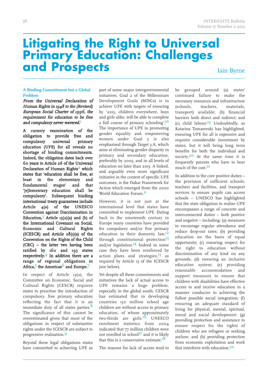# **Litigating the Right to Universal Primary Education: Challenges and Prospects**

Iain Byrne

### **A Binding Commitment but a Global Problem**

From the Universal Declaration of Human Rights in 1948 to the (Revised) European Social Charter of 1996, the requirement for education to be free and compulsory never wavered.<sup>1</sup>

A cursory examination of the obligation to provide free and compulsory universal primary education (UPE) for all reveals no shortage of binding commitments. Indeed, the obligation dates back over 60 years to Article 26 of the Universal Declaration of Human Rights<sup>2</sup> which states that 'education shall be free, at least in the elementary and fundamental stages' and that '[e]lementary education shall be compulsory'. Subsequent binding international treaty guarantees include Article 4(a) of the UNESCO Convention against Discrimination in Education,<sup>3</sup> Article  $13(2)(a)$  and (b) of the International Covenant on Social, Economic and Cultural Rights (ICESCR) and Article 28(1)(a) of the Convention on the Rights of the Child (CRC) – the latter two having been ratified by 160 and 193 states respectively. 4 In addition there are a range of regional obligations in Africa,<sup>5</sup> the Americas<sup>6</sup> and Europe.<sup>7</sup>

In respect of Article 13(2), the Committee on Economic, Social and Cultural Rights (CESCR) requires states to prioritise the introduction of compulsory, free primary education reflecting the fact that it is an immediate duty of all states parties.<sup>8</sup> The significance of this cannot be overestimated given that most of the obligations in respect of substantive rights under the ICESCR are subject to progressive realisation. 9

Beyond these legal obligations states have committed to achieving UPE as part of some major intergovernmental initiatives. Goal 2 of the Millennium Development Goals (MDGs) is to achieve UPE with targets of ensuring by '201, children everywhere, boys and girls alike, will be able to complete a full course of primary schooling'.<sup>10</sup> The importance of UPE in promoting gender equality and empowering women under Goal 3 is also emphasised through Target 3.A, which aims at eliminating gender disparity in primary and secondary education, preferably by 2005, and in all levels of education no later than 2015. A linked, and arguably even more significant initiative in the context of specific UPE outcomes, is the Dakar Framework for Action which emerged from the 2000 World Education Forum.<sup>11</sup>

However, it is not just at the international level that states have committed to implement UPE. Dating back to the nineteenth century in Europe many countries have provided for compulsory and/or free primary education in their domestic law, 12 through constitutional protection $13$ and/or legislation. 14 Indeed in some case they have been reinforced by action plans and strategies,<sup>15</sup> as required by Article 13 of the ICESCR (see below).

Yet despite all these commitments and initiatives the lack of actual access to UPE remains a huge problem, especially in the global south. CESCR has estimated that in developing countries 130 million school age children are without access to primary education, of whom approximately two-thirds are girls.<sup>16</sup> UNESCO enrolment statistics from 2004 indicated that 77 million children were not enrolled in school<sup>17</sup> and it is likely that this is a conservative estimate. $^{18}$ 

The reasons for lack of access tend to

be grouped around (a) states' continued failure to make the necessary resources and infrastructure (schools, teachers, materials, transport) available; (b) financial barriers both direct and indirect; and (c) child labour. 19 Undoubtedly, as Katarina Tomasveski has highlighted, ensuring UPE for all is expensive and requires considerable investment by states, but it will bring long term benefits for both the individual and society.<sup>20</sup> At the same time it is frequently parents who have to bear much of the cost. 21

In addition to the core positive duties – the provision of sufficient schools, teachers and facilities, and transport services to ensure pupils can access schools – UNESCO has highlighted that the state obligation to realise UPE encompasses a range of concrete and interconnected duties – both positive and negative – including: (a) measures to encourage regular attendance and reduce drop-out rates; (b) providing education on the basis of equal opportunity; (c) ensuring respect for the right to education without discrimination of any kind on any grounds; (d) ensuring an inclusive education system; (e) providing reasonable accommodation and support measures to ensure that children with disabilities have effective access to and receive education in a manner conducive to achieving the fullest possible social integration; (f) ensuring an adequate standard of living for physical, mental, spiritual, moral and social development: (g) providing protection and assistance to ensure respect for the rights of children who are refugees or seeking asylum; and (h) providing protection from economic exploitation and work that interferes with education. 22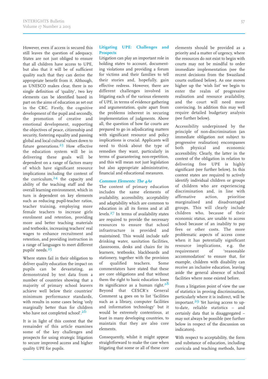However, even if access is secured this still leaves the question of adequacy. States are not just obliged to ensure that all children have access to UPE, but also that it will be of sufficient quality such that they can derive the appropriate benefit from it. Although, as UNESCO makes clear, there is no single definition of 'quality', two key elements can be identified based in part on the aims of education as set out in the CRC. Firstly, the cognitive development of the pupil and secondly, the promotion of creative and emotional development, supporting the objectives of peace, citizenship and security, fostering equality and passing global and local cultural values down to future generations. 23 How effective the education system will be in delivering these goals will be dependent on a range of factors many of which have significant resource implications including the content of the curriculum, 24 the capacity and ability of the teaching staff and the overall learning environment, which in turn is dependent on key elements such as reducing pupil-teacher ratios, teacher training, employing more female teachers to increase girls enrolment and retention, providing more and better teaching materials and textbooks, increasing teachers' real wages to enhance recruitment and retention, and providing instruction in a range of languages to meet different pupils' needs. 2

Where states fail in their obligation to deliver quality education the impact on pupils can be devastating, as demonstrated by test data from a number of countries showing that a majority of primary school leavers achieve well below their countries' minimum performance standards, with results in some cases being 'only marginally better than for children who have not completed school'.<sup>26</sup>

It is in light of this context that the remainder of this article examines some of the key challenges and prospects for using strategic litigation to secure improved access and higher quality UPE for pupils.

### **Litigating UPE: Challenges and Prospects**

Litigation can play an important role in holding states to account, documenting violations and providing a forum for victims and their families to tell their stories and, hopefully, gain effective redress. However, there are different challenges involved in litigating each of the various elements of UPE, in terms of evidence gathering and argumentation, quite apart from the problems inherent in securing implementation of judgments. Above all, the question of how far courts are prepared to go in adjudicating matters with significant resource and policy implications is crucial. Applicants will need to think about the type of remedies they want, particularly in terms of guaranteeing non-repetition, and this will mean not just legislation but also appropriate administrative, financial and educational measures.

### **Common Elements: The 4As**

The content of primary education includes the same elements of availability, accessibility, acceptability and adaptability which are common to education in all its forms and at all levels. 27 In terms of availability states are required to provide the necessary resources to ensure that school infrastructure is provided and maintained. This would include safe drinking water, sanitation facilities, classrooms, desks and chairs for its learners, textbooks, blackboards and stationery, together with the provision of qualified teachers. Some commentators have stated that these are core obligations and that without them the right to basic education loses its significance as a human right.<sup>28</sup> Beyond that CESCR's General Comment 14 goes on to list 'facilities such as a library, computer facilities and information technology' but it would be extremely contentious, at least in many developing countries, to maintain that they are also core elements.

Consequently, whilst it might appear straightforward to make the case when litigating that some or all of these core elements should be provided as a priority and a matter of urgency, where the resources do not exist to begin with courts may not be mindful to order immediate implementation (see the recent decisions from the Swaziland courts outlined below). As one moves higher up the 'wish list' we begin to enter the realm of progressive realisation and resource availability, and the court will need more convincing. In addition this may well require detailed budgetary analysis (see further below).

Accessibility underpinned by the principle of non-discrimination (an immediate obligation not subject to progressive realisation) encompasses both physical and economic accessibility. Clearly, the latter in the context of the obligation in relation to delivering free UPE is highly significant (see further below). In this context states are required to actively identify individual children or groups of children who are experiencing discrimination and, in line with affirmative action, prioritise marginalised and disadvantaged groups. This will clearly include children who, because of their economic status, are unable to access school because of an inability to pay fees or other costs. The more problematic aspects of access come when it has potentially significant resource implications, e.g. the requirement of 'reasonable accommodation' to ensure that, for example, children with disability can receive an inclusive education, leaving aside the general absence of school facilities where none existed before.

From a litigation point of view the use of statistics in proving discrimination, particularly where it is indirect, will be important.<sup>29</sup> Yet having access to upto-date, reliable statistics – and certainly data that is disaggregated – may not always be possible (see further below in respect of the discussion on indicators).

With respect to acceptability, the form and substance of education, including curricula and teaching methods, have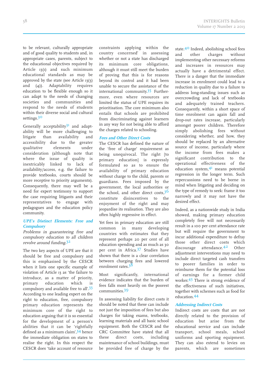to be relevant, culturally appropriate and of good quality to students and, in appropriate cases, parents, subject to the educational objectives required by Article 13(1) and such minimum educational standards as may be approved by the state (see Article 13(3) and (4)). Adaptability requires education to be flexible enough so it can adapt to the needs of changing societies and communities and respond to the needs of students within their diverse social and cultural settings. 30

Generally acceptability $31$  and adaptability will be more challenging to litigate than availability and accessibility due to the greater qualitative elements under consideration (although note that where the issue of quality is inextricably linked to lack of availability/access, e.g. the failure to provide textbooks, courts should be more receptive to priority arguments). Consequently, there may well be a need for expert testimony to support the case requiring litigants and their representatives to engage with pedagogues and the education policy community.

### **UPE's Distinct Elements: Free and Compulsory**

Problems in guaranteeing free and compulsory education to all children revolve around funding.<sup>32</sup>

The two key aspects of UPE are that it should be free and compulsory and this is emphasised by the CESCR when it lists one specific example of violation of Article 13 as 'the failure to introduce, as a matter of priority, primary education which is compulsory and available free to all'. 33 According to one leading expert on the right to education, free, compulsory primary education represents the minimum core of the right to education arguing that it is so essential for the development of a person's abilities that it can be 'rightfully defined as a minimum claim', 34 hence the immediate obligation on states to realise the right. In this respect the CESCR does 'take account of resource

constraints applying within the country concerned' in assessing whether or not a state has discharged its minimum core obligations, although it must still meet the burden of proving that this is for reasons beyond its control and it had been unable to secure the assistance of the international community.<sup>35</sup> Furthermore, even where resources are limited the status of UPE requires its prioritisation. The core minimum also entails that schools are prohibited from discriminating against learners in any way for not being able to afford the charges related to schooling.

### **Fees and Other Direct Costs**

The CESCR has defined the nature of the 'free of charge' requirement as being unequivocal. The right [to primary education] is expressly formulated so as to ensure the availability of primary education without charge to the child, parents or guardians. Fees imposed by the government, the local authorities or the school, and other direct costs,  $3<sup>6</sup>$ constitute disincentives to the enjoyment of the right and may jeopardise its realisation. They are also often highly regressive in effect.

Yet fees in primary education are still common in many developing countries with estimates that they represent perhaps 20 per cent of all education spending and as much as 30 per cent in Africa. 37 Studies have shown that there is a clear correlation between charging fees and lowered enrolment rates.<sup>38</sup>

Most significantly, international evidence indicates that the burden of fees falls most heavily on the poorest communities. 39

In assessing liability for direct costs it should be noted that these can include not just the imposition of fees but also charges for taking exams, textbooks, learning materials and all basic school equipment. Both the CESCR and the CRC Committee have stated that all these direct costs, including maintenance of school buildings, must be provided free of charge by the

state.<sup>40</sup> Indeed, abolishing school fees and other charges without implementing other necessary reforms and increases in resources may actually have a detrimental effect. There is a danger that the immediate increase in enrolment could lead to a reduction in quality due to a failure to address long-standing issues such as overcrowding and lack of textbooks and adequately trained teachers. Consequently, within a short space of time enrolment can again fall and drop-out rates increase, particularly amongst poorer children. Therefore simply abolishing fees without considering whether, and how, they should be replaced by an alternative source of income, particularly where the income from fees makes a significant contribution to the operational effectiveness of the education system, 41 means potential regression in the longer term. Such repercussions need to be borne in mind when litigating and deciding on the type of remedy to seek: frame it too narrowly and it may not have the desired effect.

Indeed, as a nationwide study in India showed, making primary education completely free will not necessarily result in a 100 per cent attendance rate but will require the government to incur additional expenditure to defray those other direct costs which discourage attendance.<sup>42</sup> Other adjustment interventions may need to include direct targeted cash transfers to poorer families in order to reimburse them for the potential loss of earnings for a former child worker. 43 There is strong evidence of the effectiveness of such initiatives, together with schemes such as food for education. 44

### **Addressing Indirect Costs**

Indirect costs are costs that are not directly related to the provision of education but arise from the educational service and can include transport, school meals, school uniforms and sporting equipment. They can also extend to levies on parents, which are sometimes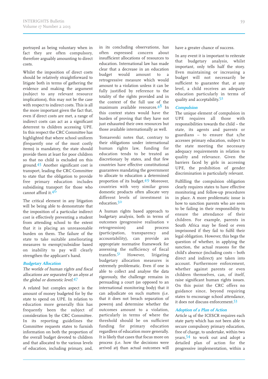portrayed as being voluntary when in fact they are often compulsory, therefore arguably amounting to direct costs.

Whilst the imposition of direct costs should be relatively straightforward to litigate both in terms of gathering the evidence and making the argument (subject to any relevant resource implications), this may not be the case with respect to indirect costs. This is all the more important given the fact that, even if direct costs are met, a range of indirect costs can act as a significant deterrent to children accessing UPE. In this respect the CRC Committee has highlighted that where school uniform (frequently one of the most costly items) is mandatory, the state should provide them at least for poor children so that no child is excluded on this ground.<sup>45</sup> Another significant cost is transport, leading the CRC Committee to state that the obligation to provide free primary education includes subsidising transport for those who cannot afford it. 46

The critical element in any litigation will be being able to demonstrate that the imposition of a particular indirect cost is effectively preventing a student from attending school to the extent that it is placing an unreasonable burden on them. The failure of the state to take suitable ameliorating measures to exempt/subsidise based on inability to pay will clearly strengthen the applicant's hand.

### **Budgetary Allocation**

The worlds of human rights and fiscal allocations are separated by an abyss at the global or domestic level.<sup>47</sup>

A related but complex aspect is the amount of money budgeted for by the state to spend on UPE. In relation to education more generally this has frequently been the subject of consideration by the CRC Committee. In its reporting guidelines the Committee requests states to furnish information on both the proportion of the overall budget devoted to children and that allocated to the various levels of education, including primary, and, in its concluding observations, has often expressed concern about insufficient allocations of resources to education. International law has made clear that a decrease in an education budget would amount to a retrogressive measure which would amount to a violation unless it can be fully justified by reference to the totality of the rights provided and in the context of the full use of the maximum available resources. 48 In this context states would have the burden of proving that they have not just exhausted their own resources but those available internationally as well.

Tomasveski notes that, contrary to their obligations under international human rights law, funding for education tends to be treated as discretionary by states, and that few countries have effective constitutional guarantees mandating the government to allocate to education a determined proportion of its budget. 49 Moreover, countries with very similar gross domestic products often allocate very different levels of investment in education.<sup>50</sup>

A human rights based approach to budgetary analysis, both in terms of outcomes (progressive realisation v retrogression) and process (participation, transparency and accountability), can provide an appropriate normative framework for assessing the sufficiency of fiscal transfers.<sup>51</sup> However, litigating budgetary allocation measures is extremely problematic. Even if one is able to collect and analyse the data rigorously, the challenge remains in persuading a court (as opposed to an international monitoring body) that it can adjudicate on such matters (i.e. that it does not breach separation of powers) and determine whether the outcomes amount to a violation, particularly in terms of where the threshold should be on sufficient funding for primary education regardless of education more generally. It is likely that cases that focus more on process (i.e. how the decisions were arrived at) than actual outcomes will have a greater chance of success.

In any event it is important to reiterate that budgetary analysis, whilst important, only tells half the story. Even maintaining or increasing a budget will not necessarily be sufficient to guarantee that, at any level, a child receives an adequate education particularly in terms of quality and acceptability.<sup>52</sup>

### **Compulsion**

The unique element of compulsion in UPE requires all those with responsibilities towards the child – the state, its agents and parents or guardians – to ensure that s/he accesses primary education, subject to the state meeting the necessary adequacy requirements in relation to quality and relevance. Given the barriers faced by girls in accessing UPE, the prohibition of gender discrimination is particularly relevant.

Fulfilling the compulsion obligation clearly requires states to have effective monitoring and follow-up procedures in place. A more problematic issue is how to sanction parents who are seen to be failing in their responsibility to ensure the attendance of their children. For example, parents in South Africa may be fined or even imprisoned if they fail to fulfil their legal obligation. However, this begs the question of whether, in applying the sanction, the actual reasons for the child's absence (including costs – both direct and indirect) are taken into account. Furthermore enforcement, whether against parents or even children themselves, can, of itself, raise significant human rights issues. On this point the CRC offers no guidance since, beyond requiring states to encourage school attendance, it does not discuss enforcement. 3

### **Adoption of <sup>a</sup> Plan of Action**

Article 14 of the ICESCR requires each state party which has not been able to secure compulsory primary education, free of charge, to undertake, within two years, 4 to work out and adopt a detailed plan of action for the progressive implementation, within a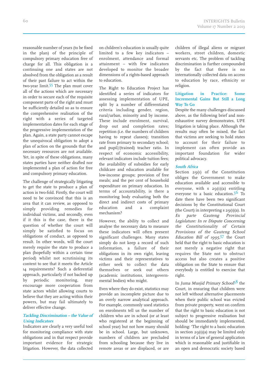reasonable number of years (to be fixed in the plan) of the principle of compulsory primary education free of charge for all. This obligation is a continuing one and states are not absolved from the obligation as a result of their past failure to act within the two-year limit.<sup>55</sup> The plan must cover all of the actions which are necessary in order to secure each of the requisite component parts of the right and must be sufficiently detailed so as to ensure the comprehensive realisation of the right with a series of targeted implementation dates for each stage of the progressive implementation of the plan. Again, a state party cannot escape the unequivocal obligation to adopt a plan of action on the grounds that the necessary resources are not available. Yet, in spite of these obligations, many states parties have neither drafted nor implemented a plan of action for free and compulsory primary education.

The challenge of strategically litigating to get the state to produce a plan of action is two-fold. Firstly, the court will need to be convinced that this is an area that it can review, as opposed to simply providing remedies for individual victims, and secondly, even if it this is the case, there is the question of whether the court will simply be satisfied to focus on obligations of conduct, as opposed to result. In other words, will the court merely require the state to produce a plan (hopefully within a certain time period) whilst not scrutinising its content to see that it meets the Article 14 requirements? Such a deferential approach, particularly if not backed up by periodic monitoring, may encourage more cooperation from state actors whilst allowing courts to believe that they are acting within their powers, but may fail ultimately to deliver effective change.

### **Tackling Discrimination – the Value of Using Indicators**

Indicators are clearly a very useful tool for monitoring compliance with state obligations and in that respect provide important evidence for strategic litigation. However, the data collected

on children's education is usually quite limited to a few key indicators – enrolment, attendance and formal attainment – with few indicators developed to monitor the broader dimensions of a rights-based approach to education.

The Right to Education Project has identified a series of indicators for assessing implementation of UPE, split by a number of differentiated criteria including gender, region, rural/urban, minority and by income. These include enrolment, survival, drop out and completion rates; repetition (i.e. the numbers of children having to repeat classes); transition rate from primary to secondary school; and pupil/(trained) teacher ratio. In respect of economic accessibility, relevant indicators include tuition fees; the availability of subsidies for early childcare and education available for low-income groups; provision of free meals; and the per cent of household expenditure on primary education. In terms of accountability, is there a monitoring body evaluating both the direct and indirect costs of primary education and a complaint mechanism?

However, the ability to collect and analyse the necessary data to measure these indicators will often present significant challenges. Many states simply do not keep a record of such information, a failure of their obligations in its own right, leaving victims and their representatives to either seek to collect the data themselves or seek out others (academic institutions, intergovernmental bodies) who might.

Even where they do exist, statistics may provide an incomplete picture due to an overly narrow analytical approach. For example, commonly used statistics on enrolments tell us the number of children who are in school (or at least who registered at the beginning of school year) but not how many should be in school. Large, but unknown, numbers of children are precluded from schooling because they live in remote areas or are displaced, or are children of illegal aliens or migrant workers, street children, domestic servants etc. The problem of tackling discrimination is further compounded by the fact that there is no internationally collected data on access to education by race, ethnicity or religion.

### **Litigation in Practice: Some Incremental Gains But Still a Long Way To Go**

Despite the many challenges discussed above, as the following brief and nonexhaustive survey demonstrates, UPE litigation is taking place. Although the results may often be mixed, the fact that victims are seeking to hold states to account for their failure to implement can often provide an important foundation for wider political advocacy.

### **South Africa**

Section  $29(1)$  of the Constitution obliges the Government to make education available and accessible to everyone, with  $s$  29(1)(a) entitling everyone to a basic education.<sup>56</sup> To date there have been two significant decisions by the Constitutional Court (the Court) in interpreting  $s$  29(1)(a). In Ex parte Gauteng Provincial Legislature: In re Dispute Concerning the Constitutionality of Certain Provisions of the Gauteng School Education Bill of 1995,<sup>57</sup> the Court held that the right to basic education is not merely a negative right that requires the State not to obstruct access but also creates a positive obligation on the State to ensure that everybody is entitled to exercise that right.

In Juma Musjid Primary School<sup>58</sup> the Court, in ensuring that children were not left without alternative placements when their public school was evicted from private property, went on confirm that the right to basic education is not subject to progressive realisation but should be immediately implemented, holding: 'The right to a basic education in section  $29(1)(a)$  may be limited only in terms of a law of general application which is reasonable and justifiable in an open and democratic society based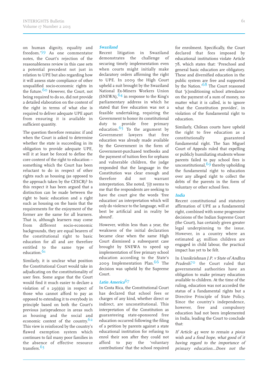on human dignity, equality and freedom.'<sup>59</sup> As one commentator notes, the Court's rejection of the reasonableness review in this case sets a potential precedent not just in relation to UPE but also regarding how it will assess state compliance of other unqualified socio-economic rights in the future.<sup>60</sup> However, the Court, not being required to do so, did not provide a detailed elaboration on the content of the right in terms of what else is required to deliver adequate UPE apart from ensuring it is available in sufficient quantity.

The question therefore remains: if and when the Court is asked to determine whether the state is succeeding in its obligation to provide adequate UPE, will it at least be forced to define the core content of the right to education – something which the Court has been reluctant to do in respect of other rights such as housing (as opposed to the approach taken by the CESCR)? In this respect it has been argued that a distinction can be made between the right to basic education and a right such as housing on the basis that the requirements for the enjoyment of the former are the same for all learners. That is, although learners may come from different socio-economic backgrounds, they are equal bearers of the constitutional right to basic education for all and are therefore entitled to the same type of education.<sup>61</sup>

Similarly, it is unclear what position the Constitutional Court would take in adjudicating on the constitutionality of user fees. Some argue that the Court would find it much easier to declare a violation of s  $29(1)(a)$  in respect of those who cannot afford to pay as opposed to extending it to everybody in principle based on both the Court's previous jurisprudence in areas such as housing and the social and economic context of the country.<sup>62</sup> This view is reinforced by the country's flawed exemption system which continues to fail many poor families in the absence of effective resource transfers. 63

### **Swaziland**

Recent litigation in Swaziland demonstrates the challenge of securing timely implementation even when courts might initially make declaratory orders affirming the right to UPE. In 2009 the High Court upheld a suit brought by the Swaziland National Ex-Miners Workers Union (SNEWA), <sup>64</sup> in response to the King's parliamentary address in which he stated that free education was not a feasible undertaking, requiring the Government to honor its constitutional duty to provide free primary education.<sup>65</sup> To the argument by Government lawyers that free education was already made available by the Government in the form of Government-purchased textbooks and the payment of tuition fees for orphans and vulnerable children, the judge responded that the language in the Constitution was clear enough and therefore did not warrant interpretation. She noted, '[i]t seems to me that the respondents are seeking to have the court give the words 'free education' an interpretation which will only do violence to the language, will at best be artificial and in reality be absurd'.

However, within less than a year, the weakness of the initial declaration became clear when the same High Court dismissed a subsequent case brought by SNEWA to speed up implementation of free primary school education according to the State's 2009 Implementation Plan. 66 The decision was upheld by the Supreme Court.

### **Latin America**67

In Costa Rica, the Constitutional Court has declared that school fees or charges of any kind, whether direct or indirect, are unconstitutional. This interpretation of the Constitution as guaranteeing state-sponsored free education occurred following the filing of a petition by parents against a state educational institution for refusing to enrol their son after they could not afford to pay the 'voluntary contributions' that the school required for enrolment. Specifically, the Court declared that fees imposed by educational institutions violate Article 78, which states that: 'Preschool and general basic education are obligatory. These and diversified education in the public system are free and supported by the Nation.'<sup>68</sup> The Court reasoned that '[c]onditioning school attendance on the payment of a sum of money, no matter what it is called, is to ignore what the Constitution provides', in violation of the fundamental right to education.

Similarly, Chilean courts have upheld the right to free education as a constitutionally guaranteed fundamental right. The San Miguel Court of Appeals ruled that expelling or publicly humiliating students whose parents failed to pay school fees is unconstitutional, 69 thereby upholding the fundamental right to education over any alleged right to collect the debts of the parents in the form of voluntary or other school fees.

### **India**

Recent constitutional and statutory affirmation of UPE as a fundamental right, combined with some progressive decisions of the Indian Supreme Court (the Court), has certainly given greater legal underpinning to the issue. However, in a country where an estimated 45 million children are engaged in child labour, the practical impact has yet to be felt.

In Unnikrishnan J.P. <sup>v</sup> State of Andhra Pradesh<sup>70</sup> the Court ruled that governmental authorities have an obligation to make primary education available to children. At the time of the ruling, education was not accorded the status of a fundamental rights but a Directive Principle of State Policy. Since the country's independence, however, free and compulsory education had not been implemented in India, leading the Court to conclude that:

If Article  $45$  were to remain a pious wish and <sup>a</sup> fond hope, what good of it having regard to the importance of primary education…Does not the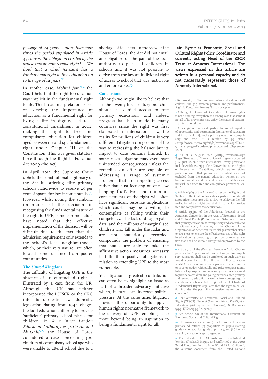passage of 44 years – more than four times the period stipulated in Article 45 convert the obligation created by the article into an enforceable right?. … We hold that <sup>a</sup> child (citizen) has <sup>a</sup> fundamental right to free education up to the age of  $14$  years.<sup>71</sup>

In another case, Mohini Jain,<sup>72</sup> the Court held that the right to education was implicit in the fundamental right to life. This broad interpretation, based on viewing the importance of education as a fundamental right for living a life in dignity, led to a constitutional amendment in 2002, making the right to free and compulsory education for children aged between six and 14 a fundamental right under Chapter III of the Constitution. This was given statutory force through the Right to Education Act 2009 (the Act).

In April 2012 the Supreme Court upheld the constitutional legitimacy of the Act in ordering elite primary schools nationwide to reserve 25 per cent of spaces for low-income pupils. 73 However, whilst noting the symbolic importance of the decision in recognising the fundamental nature of the right to UPE, some commentators have noted that the effective implementation of the decision will be difficult due to the fact that the admission requirement only extends to the school's local neighbourhoods which, by their very nature, are often located some distance from poorer communities.

### **The United Kingdom**

The difficulty of litigating UPE in the absence of an entrenched right is illustrated by a case from the UK. Although the UK has neither incorporated the ICESCR or the CRC into its domestic law, domestic legislation dating from 1944 obliges the local education authority to provide 'sufficient' primary school places for children. In <sup>R</sup> <sup>v</sup> Inner London Education Authority, ex parte Ali and Murshid<sup>74</sup> the House of Lords considered a case concerning 300 children of compulsory school age who were unable to attend school due to a

shortage of teachers. In the view of the House of Lords, the Act did not entail an obligation on the part of the local authority to place all children in schools and it was not possible to derive from the law an individual right of access to school that was justiciable and enforceable. 7

### **Conclusions**

Although we might like to believe that in the twenty-first century no child should be denied access to free primary education, and indeed progress has been made in many countries since the right was first elaborated in international law, the reality for millions of children is very different. Litigation can go some of the way to redressing the balance but its impact to date remains limited. In some cases litigation may even have unintended consequences unless the remedies on offer are capable of addressing a range of systemic problems that are impeding access rather than just focusing on one 'low hanging fruit'. Even the minimum core elements of the right will often have significant resource implications which courts may be unwilling to contemplate as falling within their competency. The lack of disaggregated data, and the millions of marginalised children who fall under the radar and are not statistically recorded, compounds the problem of ensuring that states are able to take the affirmative action measures necessary to fulfil their positive obligations in relation to extending UPE to the most vulnerable.

Yet litigation's greatest contribution can often be to highlight an issue as part of a broader advocacy initiative which, in turn, can increase political pressure. At the same time, litigation provides the opportunity to apply a human rights normative framework to the delivery of UPE, enabling it to move beyond being an aspiration to being a fundamental right for all.

Iain Byrne is Economic, Social and Cultural Rights Policy Coordinator and currently acting Head of the ESCR Team at Amnesty International. The views expressed in this article are written in a personal capacity and do not necessarily represent those of Amnesty International.

1 Tomasveski, K., 'Free and compulsory education for all children: the gap between promise and performance', Right to Education Primers No. 2, 2001, p. 11.

2 Although the Universal Declaration of Human Rights is not a binding treaty there is a strong case that some if not all of its provisions now enjoy the status of customary international law.

**3** Article 4(a) requires state parties 'to promote equality of opportunity and treatment in the matter of education and in particular [t]o make primary education compulsory and free'. It is ratified by 99 states (<http://www.unesco.org/eri/la/convention.asp?KO=12 949&language=E&order=alpha> accessed 13 September 2012).

4 As of 3 August 2012 (<http://treaties.un.org/ Pages/Treaties.aspx?id=4&subid=A&lang=en> accessed 3 August 2012). Other international treaty provisions include Article 24(2)(a) of the Convention on the Rights of Persons with Disabilities, which requires states parties to ensure that '[p]ersons with disabilities are not excluded from the general education system on the basis of disability, and that children with disabilities are not excluded from free and compulsory primary education'.

**5** Article  $\pi(3)(a)$  of the African Charter on the Rights and Welfare of the Child obliges states parties '…to take all appropriate measures with a view to achieving the full realization of this right and shall in particular provide free and compulsory basic education'

6 Article 13(3)(a) of the Additional Protocol to the American Convention in the Area of Economic, Social and Cultural Rights (Protocol of San Salvador) requires that primary education be 'compulsory and accessible to all without cost'; Article 49 of the Charter of the Organization of American States obliges member states to take steps to 'ensure the effective exercise of the right to education' by providing compulsory primary education that 'shall be without charge' when provided by the state.

7 Article 7(3) of the (Revised) European Social Charter provides that '…persons who are still subject to compulsory education shall not be employed in such work as would deprive them of the full benefit of their education whilst Article 17 requires states parties '...either directly or in co-operation with public and private organisations, to take all appropriate and necessary measures designed to provide to children and young persons a free primary and secondary education as well as to encourage regular attendance at schools'. Article 14(2) of the EU Charter of Fundamental Rights stipulates that the right to education includes 'the possibility to receive free compulsory education'.

8 UN Committee on Economic, Social and Cultural Rights (CESCR), General Comment No. 13: The Right to Education (Art. 13 of the Covenant), 8 December 1999, E/C.12/1999/10, para. 51.

9 See Article 2(1) of the International Covenant on Economic, Social and Cultural Rights.

10 The main indicators are (i) net enrolment ratio in primary education; (ii) proportion of pupils starting grade 1 who reach last grade of primary; and (iii) literacy rate of 15-24 year-olds split by gender.

11 The Education for All goals were established at Jomtien (Thailand) in 1990 and reaffirmed at the 2000 World Education Forum. In 'A World Fit for Children', the outcome document from the United Nations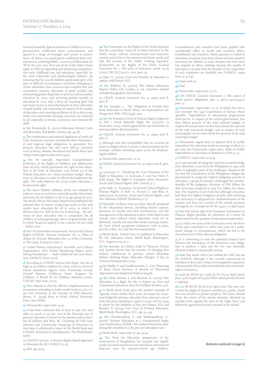General Assembly Special Session on Children in 2002, governments reaffirmed these commitments and agreed to a range of strategies and actions to achieve them. At Dakar 1,100 participants reaffirmed their commitment to achieving MDG 2 in terms of Education for All by the year 2015. Four out of six of the Dakar Goals apply to UPE: (i) expanding and improving comprehensive early childhood care and education, especially for the most vulnerable and disadvantaged children; (ii) ensuring that by 2015 all children, particularly girls, children in difficult circumstances and those belonging to ethnic minorities, have access to and complete free and compulsory primary education of good quality;[...](v) eliminating gender disparities in primary and secondary education by 2005, and achieving gender equality in education by 2015, with a focus on ensuring girls' full and equal access to and achievement in basic education of good quality; (vi) improving all aspects of the quality of education and ensuring excellence of all so that recognized and measurable learning outcomes are achieved by all, especially in literacy, numeracy and essential life skills.

12 See Tomasveski, K., (2003) Education Denied: Costs and Remedies, Zed Books, London, pp. 44-48.

13 The constitutions and national legislation of nearly all Latin American countries incorporate their international and regional legal obligations to guarantee free primary education. See also some African countries such as Kenya, Malawi, Swaziland and South Africa (see <http://www.right-to-education.org>).

14 See, for example, Argentina's Comprehensive Protection of the Rights of Children and Adolescents (Law 26.061), which guarantees the right to free education at all levels of education, and Article 39 of the Federal Education Act, which mandates budget allocations in education in order to effectively implement the right. The India National Act 2009 makes education a fundamental right.

15 The Sarva Shiksha Abhiyan (SSA) was adopted by India in 2000-01 and aims to provide quality elementary education for all children in the 6-14 age group by 2010. The South African Education Department published the national Plan of Action: Improving access to free and quality basic education for all in 2003, in which it declares that it is 'well on the way to attaining … the provision of basic education that is compulsory for all children of school-going age, that is of good quality and in which financial capacity is not a barrier for any child … before 201'.

16 See UN Committee on Economic, Social and Cultural Rights (CESCR), General Comment No. 11: Plans of Action for Primary Education (Art. 14 of the Covenant), 10 May 1999, E/1992/23, para. 3.

17 United Nations Educational, Scientific and Cultural Organization, EFA Global Monitoring Report 2007: Strong foundations — Early childhood care and education, UNESCO, Paris, 2006.

**18** According to UNICEF sources this figure may be as high as 90 million children for 2005-2006 in terms of school attendance figures from household surveys (United Nations Children's Fund, Progress for Children: A World Fit for Children statistical review, UNICEF, New York, 2007).

19 One estimate is that the effective implementation of compulsory schooling in India would result in a in a 70 per cent reduction in the number of child labourers (Burra, N., (1995) Born to Work, Oxford University Press, New Delhi)

20 Tomasveski, supra note 1, p.19.

21 It has been estimated that at least 20 per cent and often as much as 90 per cent of the financial cost of primary education is borne by the parents and/or families of children (see Bray, M., Counting the Full Cost: Parental and Community Financing of Education in East Asia, A collaborative report by the World Bank and UNICEF, Directions in Development, The World Bank, 1996).

22 UNESCO (2007), <sup>A</sup> Human Rights Based Approach to Education for All, UNESCO, p.20.

23 *Ibid.*, pp. 32-33.

24 The Committee on the Rights of the Child stipulates that the curriculum 'must be of direct relevance to the child's social, cultural, environmental and economic context, and to his or her present and future needs and take full account of the child's evolving capacities' (Committee on the Rights of the Child, General Comment No. 1: The aims of education, article 29 (1) (2001), CRC/GC/2001/1, 2001, para. 9).

25 Matz, P., (2003) Costs and benefits of education to lace child labour, ILO.

26 See Watkins, K., (2000) The Oxfam Education Report, Oxfam GB, London, p. 105. Countries studied included Bangladesh and Zambia.

27 CESCR, General Comment No. 13, supra note 8, para. 8.

28 See Arendse, L., 'The Obligation to Provide Free Basic Education in South Africa: An International Law Perspective' PER / PELJ (14)6, 2011.

29 See the European Court of Human Rights judgment in *DH v Czech Republic (Appl. No. 57325/00*, 13 November 2007), which approved the use of statistics in proving indirect discrimination.

30 CESCR, General Comment No. 13, supra note 8, para. 6.

31 Although note that acceptability may on occasion be easier to litigate where it results in discrimination by, for example, unfairly excluding equal access for disadvantaged children.

32 Tomasveski, *supra* note 1, p. 10.

33 CESCR, *General Comment No. 13*, supra note 8, para. 59.

34 Coomans, F., 'Clarifying the Core Elements of the Right to Education', in Coomans, F. and Van Hoof, F. (eds) (199) The Right to Complain about Economic, Social and Cultural Rights, SIM, Utrecht, p. 7.

35 See Eide, A., 'Economic, Social and Cultural Rights as Human Rights', in Eide, A., Krause, C. and Rosa, A. (eds) (2001) Economic, Social and Cultural Rights, 2nd edn, Martinus Nijhoff, Dordrecht, p. 27.

36 Examples of direct costs are those directly produced by the educational service, including teacher salaries, provision of schools and their maintenance, and the management of the education system. Other direct costs include costs without which education could not be delivered, namely text and other books, learning materials, basic school equipment (stationery such as pens, pencils, rulers, etc.) and fees for examinations.

37 World Bank, 'School Fees: A roadblock to Education for All', *Education Notes*, World Bank, Washington, D.C., August 2004, p. 2.

38 For example, an Oxfam study in Tanzania, Ghana and Zambia found that the practice of charging fees reduces enrolments in primary school education (Oxfam Briefing Paper, Education Charges: <sup>A</sup> Tax on Human Development (2001).

39 See Reddy, S. and Vandemoortele, J., User Financing of Basic Social Services: A Review of Theoretical Arguments and Empirical Evidence (1996).

40 See Sloth Nielsen, J. and Mezmur, B., (2007) Free Education is <sup>a</sup> Right for Me: <sup>A</sup> Report on Free and Compulsory Education, Save the Children Sweden, p.16.

41 A World Bank study gives the positive example of Uganda, which within three years increased the recurrent budget for primary education from nine per cent of total education spending in 1996 to 19 per cent by 1999 to adjust for the abolition of fees (see Kattan, R.B. and Burnett, N. (2004) User Fees In Primary Education, World Bank, Washington, D.C., pp. 23, 29).

42 See Chandrasekhar, S. and Mukhopadhyay, A., (2006) Primary Education as <sup>a</sup> Fundamental Right: Cost Implications, IGIDR – the authors found that abolishing fees resulted in an 89 per cent attendance rate.

43 World Bank, *supra* note 37, pp. 45-54.

44 The Food for Education programme of the Government of Bangladesh, for example, has significantly increased enrolment and attendance and reduced drop-out rates for primary-school age children.

Unconditional cash transfers have been applied with considerable effect in South and southern Africa. Conditional cash transfers, where payment is linked to attendance at school, have been shown to lead to positive outcomes for children in Latin America but have been less popular in Africa, perhaps because the quality of education is so poor that the benefits of the imposition of such conditions are doubtful (see UNESCO, supra note 22, p. 64).

45 Supra note 40.

46 Ibid.

47 Tomasveski, supra note 1, p. 10.

48 UN CESCR, General Comment 3: The nature of States parties obligations (Art. 2, par.1) (14/12/1990), para. 9.

49 Tomasveski, supra note 1, p. 10, in which she cites a rare example: the 1947 Constitution of Taiwan which specifies: 'Expenditures of educational programmes shall not be, in respect of the central government, less than fifteen percent of the total national budget, in respect of each province no less than twenty-five percent of the total provincial budget, and in respect of each municipality, no less than thirty-five percent of the total municipal budget.'

50 Tomasveski argues that an optimal level of public expenditure for education tends to converge at about 5-7 per cent. See Tomasveski, supra note 1, Table on Public Expenditure on Education in Relation to GNP, p. 24.

51 UNESCO, supra note 22, p.45.

2A rare example of using the courts to scrutinise budgetary allocation, a case from the Philippines in 1991, only seeks to highlight some of the challenges. Based on the fact that the Constitution of the Philippines obliges the government to assign the highest budgetary priority to education, a group of senators challenged the constitutionality of the budgetary allocation of P86 billion for debt servicing compared to only P27 billion for education. The Supreme Court held that although education had been the highest budgetary priority, debt servicing was necessary to safeguard the creditworthiness of the country and thus the survival of the overall economy (Guingona,Jr. <sup>v</sup> Carague (G.R. No. 9471, 22 April 1991).

 $53$  Note that Article  $5(d)$  of the European Convention on Human Rights provides for detention of a minor by lawful order for the purpose of educational supervision.

54 I.e. within two years of the Covenant's entry into force of the state concerned, or within two years of a subsequent change in circumstances, which has led to the non-observance of the relevant obligation.

55 It is interesting to note the potential tension here between the immediacy of the minimum core obligation to produce a plan and the two year timetable allowed to deliver a reasonable version.

56 Note that South Africa has ratified the CRC but not the ICESCR, although it has recently announced its intention to do so (see <http://www.ngopulse.org/pressrelease/south-africa-ratify-international-socio-economicrights-covenant>).

57 1996 (4) BCLR 537; 1996 (3) SA 165 (4 April 1996), para. 9 (in respect of s32(a) which subsequently became  $s 29(1)9a)$ .

58 2011 (8) BCLR 761 (CC) (11 April 2011). The case concerned the plight of learners enrolled at a public school that was located on private property. The Juma Musjid Trust, the owner of the private property, obtained an eviction order against the state in the High Court and effectively against the learners situated at the school.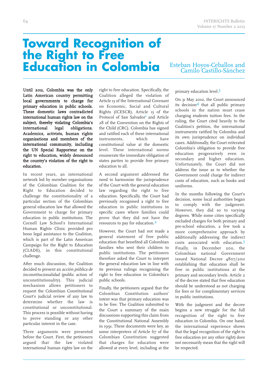# **Toward Recognition of the Right to Free Education in Colombia**

### Esteban Hoyos-Ceballos and Camilo Castillo-Sánchez

Until 2011, Colombia was the only Latin American country permitting local governments to charge for primary education in public schools. These domestic laws contradicted international human rights law on the subject, thereby violating Colombia's international legal obligations. Academics, activists, human rights organisations and members of the international community, including the UN Special Rapporteur on the right to education, widely denounced the country's violation of the right to education.

In recent years, an international network led by member organisations of the Colombian Coalition for the Right to Education decided to challenge the constitutionality of a particular section of the Colombian general education law that allowed the Government to charge for primary education in public institutions. The Cornell Law School's International Human Rights Clinic provided pro bono legal assistance to the Coalition, which is part of the Latin American Campaign for the Right to Education (CLADE), in this constitutional challenge.

After much discussion, the Coalition decided to present an acción pública de inconstitucionalidad (public action of unconstitutionality). This judicial mechanism allows petitioners to request the Colombian Constitutional Court's judicial review of any law to determine whether the law is constitutional or unconstitutional. This process is possible without having to prove standing or any other particular interest in the case.

Three arguments were presented before the Court. First, the petitioners argued that the law violated international human rights law on the right to free education. Specifically, the Coalition alleged the violation of Article 13 of the International Covenant on Economic, Social and Cultural Rights (ICESCR), Article 13 of the Protocol of San Salvador<sup>1</sup> and Article 28 of the Convention on the Rights of the Child (CRC). Colombia has signed and ratified each of these international instruments, which have constitutional value at the domestic level. These international norms enumerate the immediate obligation of states parties to provide free primary education to all.

A second argument addressed the need to harmonise the jurisprudence of the Court with the general education law regarding the right to free education. Specifically, the Court had previously recognised a right to free education in public institutions in specific cases where families could prove that they did not have the resources to pay for education.<sup>2</sup>

However, the Court had not made a general statement of free public education that benefited all Colombian families who sent their children to public institutions. The petitioners therefore asked the Court to interpret the general education law in line with its previous rulings recognising the right to free education in Colombia's public schools.

Finally, the petitioners argued that the Colombian Constitution authors' intent was that primary education was to be free. The Coalition submitted to the Court a summary of the main discussions supporting this claim from the Constitutional National Assembly in 1991. These documents were key, as some interpreters of Article 67 of the Colombian Constitution suggested that charges for education were allowed at every level, including at the

### primary education level. 3

On 31 May 2010, the Court announced its decision4 that all public primary schools in the nation must cease charging students tuition fees. In the ruling, the Court cited heavily to the Coalition's petition, the international instruments ratified by Colombia and its own jurisprudence on individual cases. Additionally, the Court reiterated Colombia's obligation to provide free education progressively even in secondary and higher education. Unfortunately, the Court did not address the issue as to whether the Government could charge for indirect costs of education, such as books and uniforms.

In the months following the Court's decision, some local authorities began to comply with the judgment. However, they did so to varying degrees. While some cities specifically excluded charges for both primary and pre-school education, a few took a more comprehensive approach by additionally addressing the indirect costs associated with education. Finally, in December 2011, the Colombian national Government issued National Decree 4807/2011 establishing that education shall be free in public institutions at the primary and secondary levels. Article 2 of the decree stated that free education should be understood as not charging for fees or for complimentary services in public institutions.

With the judgment and the decree begins a new struggle for the full recognition of the right to free education in Colombia. On one hand, the international experience shows that the legal recognition of the right to free education (or any other right) does not necessarily mean that the right will be respected.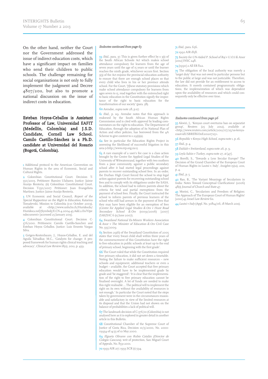On the other hand, neither the Court nor the Government addressed the issue of indirect education costs, which have a significant impact on families who send their children to public schools. The challenge remaining for social organisations is not only to fully implement the judgment and Decree 4807/2011, but also to promote a national discussion on the issue of indirect costs in education.

Esteban Hoyos-Ceballos is Assistant Professor of Law, Universidad EAFIT (Medellín, Colombia) and J.S.D. Candidate, Cornell Law School. Camilo Castillo-Sánchez is a Ph.D. candidate at Universidad del Rosario (Bogotá, Colombia).

1 Additional protocol to the American Convention on Human Rights in the area of Economic, Social and Cultural Rights.

2 Colombian Constitutional Court. Decision T- 0/200. Petitioner: Ramiro Ulabarez. Justice: Jaime Araújo Rentería; (ii) Colombian Constitutional Court. Decision T-550/2007. Petitioner: Juan Evangelista Martínez. Justice: Jaime Araújo Rentería.

3 UN Economic and Social Council, Report of the Special Rapporteur on the Right to Education, Katarina Tomaševski, Mission to Colombia (1-10 October 2003), <http://www.unhchr.ch/Huridocda/ Huridoca.nsf/(Symbol)/E.CN.4.2004.45.Add.2.En?Ope ndocument> [accessed 25 January 2013].

4 Colombian Constitutional Court. Decision C-376/2010. Petitioners: Camilo Castillo-Sanchez and Esteban Hoyos Ceballos. Justice: Luis Ernesto Vargas Silva.

 Getgen-Kestenbaum, J., Hoyos-Ceballos, E. and del Aguila Talvadkar, M.C., 'Catalysts for change: A proposed framework for human rights clinical teaching and advocacy', Clinical Law Review 18(2), 2012, p. 459.

#### Endnotes continued from page 63

59 Ibid., para. 37. This is given further effect by s 3(1) of the South African Schools Act which makes school attendance compulsory for learners from the age of seven years until the age of 15 years or until the learner reaches the ninth grade, whichever occurs first. Section 3(3) of the Act enjoins the provincial education authority to ensure that there are enough school places so that every child who lives in his or her province attends school. For the Court, '[t]hese statutory provisions which make school attendance compulsory for learners from ages seven to 15, read together with the entrenched right to basic education in the Constitution signify the importance of the right to basic education for the transformation of our society' (para. 38).

60Arendse, supra note 28, p.117.

61 Ibid., p. 119. Arendse notes that this approach is endorsed by the South African Human Rights Commission and is cited with approval by leading commentators on the right to education. The Department of Education, through the adoption of its National Plan of Action and other policies, has borrowed from the 4A Scheme to give content to  $s$  29(1)(a).

62 See in particular the Education Rights Project in assessing the likelihood of successful litigation in this area (<http://www.erp.org.za>).

63 A rare example of a user's fee case is a class action brought by the Centre for Applied Legal Studies of the University of Witwatersrand, together with two mothers from a poor community, against a public secondary school after it had started legal proceedings against parents to recover outstanding school fees. In an order, the Durban High Court forced the school to stop legal action against parents for recovering outstanding school fees and to comply with its obligations under the SASA. In addition, the school had to inform parents about the criteria for total and partial exemptions from the payment of school fees. Finally, the Court instructed the school to inform parents of previous learners of the school who still had arrears in the payment of fees that they may have been eligible for an exemption of fees (Centre for Applied Legal Studies & Ors <sup>v</sup> Hunt Road Secondary School & Ors (10091/2006) [2007]  $ZAKZHC$  6 (15 June 2007).

64 Swaziland National Ex-Miners Workers Association & Anor <sup>v</sup> The Minister of Education & Ors Civil Case No. 335/2000.

65 Section 29(6) of the Swaziland Constitution of 2005 states that 'every Swazi child shall within three years of the commencement of this Constitution have the right to free education in public schools at least up to the end of primary school, beginning with the first grade'.

66 The Court ruled that while the Constitution required free primary education, it did not set down a timetable. Noting the failure to make sufficient resources – new schools and equipment, additional teachers or even a budget – available, the Court accepted that free primary education would have to be implemented grade by grade and 'be staggered': 'It is clear that the implementation of the right to free primary education cannot be finalised overnight. A lot of funds are needed to make this right realisable ... The political will to implement the right on its own without the availability of resources is not enough.' In particular the Court noted that the steps taken by government were in the circumstances reasonable and satisfactory in view of the limited resources at its disposal and that the Union had not shown on the balance of probabilities a lack of political will.

67 The landmark decision of C-376/10 (Colombia) is not analysed here as it is explored in greater detail in another article in this Bulletin.

68 Constitutional Chamber of the Supreme Court of Justice of Costa Rica, Decision 10/5/2000, No. 2000-03954 of 14:55 of 10 May 2000.

69 Elgueta Olivares con Rubio Catalán (Director de Colegio Cancura), writ of protection, San Miguel Court of Appeals, No. 8531-2001.

701993 AIR 217; 1993 SCR (1) 594.

#### 71 Ibid., para. 656.

72 1992 AIR 1858.

73 Society for UN-Aided P. School of Raj <sup>v</sup> U.O.I & Anor [2012] **INSC 248.** 

74 [1990] 2 All ER 822.

75 The obligation of the local authority was merely a target duty' that was not owed to particular persons but to the public at large and was not justiciable. Therefore, the law did not provide for an entitlement to access to education. It merely contained programmatic obligations, the implementation of which was dependent upon the availability of resources and which could consequently only be effective over time.

#### Endnotes continued from page 96

35 Akwiri, J., 'Kenyan court overturns ban on separatist group', Reuters (25 July 2012), available at <http://www.reuters.com/article/2012/07/25/us-kenyacoast-idUSBRE86O11E20120725>.

36 Republic v Kenya High School, supra note 1, p. 16.

37 Ibid., p. 4.

38 Dahlab v Switzerland, supra note 26, p. 9.

39Leyla Sahin <sup>v</sup> Turkey, supra note 27, at [47].

40 Borelli, S., 'Towards a Less Secular Europe? The Decision of the Grand Chamber of the European Court of Human Rights in Lautsi v. Italy', Insights 15(12), 2011, p. 4.

41 Ibid., p. 5.

42 Rao, B., 'The Variant Meanings of Secularism in India: Notes Toward Conceptual Clarifications' (2006) 48(1) Journal of Church and State 47.

43 Morini, C., 'Secularism and Freedom of Religion: The Approach of The European Court of Human Rights' [2010] 43 Israel Law Review 611.

44 Lautsi <sup>v</sup> Italy (Appl. No. 30814/06, 18 March 2011).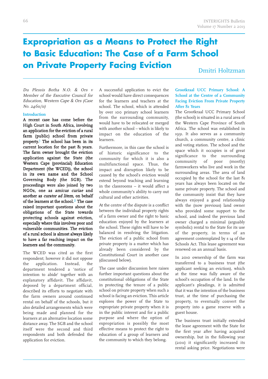### **Expropriation as a Means to Protect the Right to Basic Education: The Case of a Farm School on Private Property Facing Eviction**

Dmitri Holtzman

Du Plessis Botha N.O. & Ors <sup>v</sup> Member of the Executive Council for Education, Western Cape & Ors (Case No. 24611/11)

### **Introduction**

A recent case has come before the High Court in South Africa, involving an application for the eviction of a rural farm (public) school from private property. 1 The school has been in its current location for the past 81 years. The farm owner brought the eviction application against the State (the Western Cape (provincial) Education Department (the WCED)), the school in its own name and the School Governing Body (the SGB). The proceedings were also joined by two NGOs, one as amicus curiae and another as curator ad litem, on behalf of the learners at the school. 2 The case raised important questions about the obligations of the State towards protecting schools against eviction, especially where this involves poor and vulnerable communities. The eviction of a rural school is almost always likely to have a far reaching impact on the learners and the community.

The WCED was cited as the first respondent; however it did not oppose the application. Instead, the department tendered a 'notice of intention to abide' together with an explanatory affidavit. The affidavit, deposed by a department official, described its efforts to negotiate with the farm owners around continued rental on behalf of the schools, but it also detailed arrangements which were being made and planned for the learners at an alternative location some distance away. The SGB and the school itself were the second and third respondents and both defended the application for eviction.

A successful application to evict the school would have direct consequences for the learners and teachers at the school. The school, which is attended by over 100 primary school learners from the surrounding community, would have to be relocated or merged with another school – which is likely to impact on the education of the learners.

Furthermore, in this case the school is of historic significance to the community for which it is also a multifunctional space. Thus, the impact and disruption likely to be caused by the school's eviction would extend beyond teaching and learning in the classrooms – it would affect a whole community's ability to carry out cultural and other activities.

At the centre of the dispute is a conflict between the individual property rights of a farm owner and the right to basic education enjoyed by the learners at the school. These rights will have to be balanced in resolving the litigation. The eviction of a public school from private property is a matter which has already been considered by the Constitutional Court in another case (discussed below).

The case under discussion here raises further important questions about the constitutional obligations of the State in protecting the tenure of a public school on private property when such a school is facing an eviction. This article explores the power of the State to expropriate private property when it is in the public interest and for a public purpose and where the option of expropriation is possibly the most effective means to protect the right to education of a group of learners and the community to which they belong.

### **Grootkraal UCC Primary School: A School at the Centre of a Community Facing Eviction From Private Property After 81 Years**

The Grootkraal UCC Primary School (the school) is situated in a rural area of the Western Cape Province of South Africa. The school was established in 1931. It also serves as a community church, a community centre, a clinic and voting station. The school and the space which it occupies is of great significance to the surrounding community of poor (mostly) farmworkers who live and work in the surrounding areas. The area of land occupied by the school for the last 81 years has always been located on the same private property. The school and the community insist that they have always enjoyed a good relationship with the (now previous) land owner who provided some support to the school, and indeed the previous land owner charged a minimal (arguably symbolic) rental to the State for its use of the property, in terms of an agreement contemplated by s 14 of the Schools Act. This lease agreement was renewed on an annual basis.

In 2010 ownership of the farm was transferred to a business trust (the applicant seeking an eviction), which at the time was fully aware of the school's occupation of the land. In the applicant's pleadings, it is admitted that it was the intention of the business trust, at the time of purchasing the property, to eventually convert the property into a game reserve with a guest house.

The business trust initially extended the lease agreement with the State for the first year after having acquired ownership, but in the following year (2011) it significantly increased its rental asking price. Negotiations were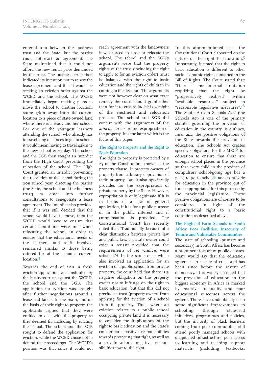entered into between the business trust and the State, but the parties could not reach an agreement. The State maintained that it could not afford the new rental price demanded by the trust. The business trust then indicated its intention not to renew the lease agreement and that it would be seeking an eviction order against the WCED and the school. The WCED immediately began making plans to move the school to another location, some 17km away from its current location to a piece of state-owned land where there is already another school. For one of the youngest learners attending the school, who already has to travel long distances to get to school, it would mean having to travel 42km to the new school every day. The school and the SGB then sought an interdict from the High Court preventing the relocation of the school. The High Court granted an interdict preventing the relocation of the school during the 2011 school year, directing the parties (the State, the school and the business trust) to enter into further consultations to renegotiate a lease agreement. The interdict also provided that if it was still decided that the school would have to move, then the WCED would have to ensure that certain conditions were met when relocating the school, in order to ensure that the educational needs of the learners and staff involved remained similar to those being catered for at the school's current location. 3

Towards the end of 2011, a fresh eviction application was instituted by the business trust against the WCED, the school and the SGB. The application for eviction was brought after further negotiations around a lease had failed. In the main, and on the basis of their right to property, the applicants argued that they were entitled to deal with the property as they deemed fit, including by evicting the school. The school and the SGB sought to defend the application for eviction, while the WCED chose not to defend the proceedings. The WCED's position was that since it could not

reach agreement with the landowners it was forced to close or relocate the school. The school and the SGB's arguments were that the property rights of the trust (including the right to apply to for an eviction order) must be balanced with the right to basic education and the rights of children in coming to the decision. The arguments were not however clear on what exact remedy the court should grant other than for it to ensure judicial oversight of the ejectment and relocation process. The school and SGB did concur with the arguments of the amicus curiae around expropriation of the property. It is the latter which is the focus of this paper.

### **The Right to Property and the Right to Basic Education**

The right to property is protected by s 2 of the Constitution, known as the property clause. It protects owners of property from arbitrary deprivation of their property, but it also specifically provides for the expropriation of private property by the State. However, expropriation is only legitimate if it is in terms of a law of general application, if it is for a public purpose or in the public interest and if compensation is provided. The Constitutional Court has recently noted that: 'Traditionally, because of a clear distinction between private law and public law, a private owner could evict a tenant provided that the requirements of *rei vindicio* were satisfied.' 4 In the same case, which also involved an application for an eviction of a public school from private property, the court held that there is a negative obligation on the property owner not to infringe on the right to basic education, but that this did not preclude a trust (property owner) from applying for the eviction of a school from its property. Thus, where an eviction relates to a public school occupying private land it is necessary to consider the implications of the right to basic education and the State's concomitant positive responsibilities towards protecting that right, as well as a private actor's negative responsibilities toward the right.

In this aforementioned case, the Constitutional Court elaborated on the nature of the right to education.<sup>5</sup> Importantly, it noted that the right to basic education is different to other socio-economic rights contained in the Bill of Rights. The Court stated that: 'There is no internal limitation requiring that the right be "progressively realised" within "available resources" subject to "reasonable legislative measures".' 6 The South African Schools Act<sup>7</sup> (the Schools Act) is one of the primary statutes governing the provision of education in the country. It outlines, inter alia, the positive obligations of the State towards the provision of education. The Schools Act creates specific obligations for the MEC $8$  for education to ensure that there are enough school places in the province so that every child in the province of compulsory school-going age has a place to go to school<sup>9</sup> and to provide for education in the province out of funds appropriated for this purpose by the provincial legislature. These positive obligations are of course to be considered in light of the constitutional right to a basic education as described above.

### **The Plight of Farm Schools in South Africa: Poor Facilities, Insecurity of Tenure and Vulnerable Communities**

The state of schooling (primary and secondary) in South Africa has become a prominent feature of public debates. Many would say that the education system is in a state of crisis and has been since before the advent of democracy. It is widely accepted that the provision of education in the biggest economy in Africa is marked by massive inequality and poor educational outcomes across the system. There have undoubtedly been some significant improvements to schooling through state-lead initiatives, programmes and policies, but the majority of black learners coming from poor communities still attend poorly managed schools with dilapidated infrastructure, poor access to learning and teaching support materials (including textbooks,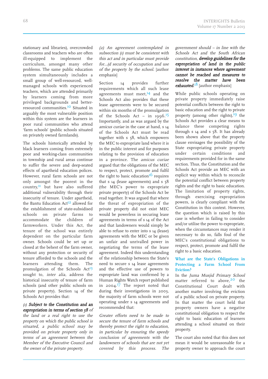stationary and libraries), overcrowded classrooms and teachers who are often ill-equipped to implement the curriculum, amongs<sup>t</sup> many other problems. The same public education system simultaneously includes <sup>a</sup> small group of well-resourced, wellmanaged schools with experienced

teachers, which are attended primarily by learners coming from more privileged backgrounds and betterresourced communities.<sup>10</sup> Situated in arguably the most vulnerable position within this system are the learners in poor rural communities who attend 'farm schools' (public schools situated on privately owned farmlands).

The schools historically attended by black learners coming from extremely poor and working-class communities in township and rural areas continue to suffer the severe and deep-seated effects of apartheid education polices. However, rural farm schools are not only amongs<sup>t</sup> the poores<sup>t</sup> in the country,<sup>11</sup> but have also suffered additional vulnerability through their insecurity of tenure. Under apartheid, the Bantu Education Act<sup>12</sup> allowed for the establishment of state-subsidised schools on private farms to accommodate the children of farmworkers. Under this Act, the tenure of the school was entirely dependent on the particular farm owner. Schools could be set up or closed at the behest of the farm owner, without any protection or security of tenure afforded to the schools and the learners attending them. The promulgation of the Schools Act<sup>13</sup> sought to, inter alia, address the historical insecurity of tenure of farm schools (and other public schools on private property). Section 14 of the Schools Act provides that:

### (1) Subject to the Constitution and an expropriation in terms of section 58 of

the land or <sup>a</sup> real right to use the property on which the public school is situated, <sup>a</sup> public school may be provided on private property only in terms of an agreement between the Member of the Executive Council and the owner of the private property.

(2) An agreement contemplated in subsection (1) must be consistent with this act and in particular must provide for…(d security of occupation and use of the property by the school. [author emphasis]

Section 14 provides further requirements which all such lease agreements must meet,<sup>14</sup> and the Schools Act also provides that these lease agreements were to be secured within six months of the promulgation of the Schools Act – in 1996.<sup>15</sup> Importantly, and as was argued by the amicus curiae in the case at hand, <sup>s</sup> 14 of the Schools Act must be read together with s 58, which empowers the MEC to expropriate land where it is in the public interest and for purposes relating to the provision of education in <sup>a</sup> province. The amicus curiae argued that the obligations of the MEC to respect, protect, promote and fulfil the right to basic education<sup>16</sup> requires that s  $14$  (lease agreements) and s  $58$ (the MEC's power to expropriate private property) of the Schools Act be read together. It was argued that where the threat of expropriation of the private property did not exist MEC would be powerless in securing lease agreements in terms of <sup>s</sup> 14 of the Act and that landowners would simply be able to refuse to enter into <sup>s</sup> 14 (lease) agreements with the MEC or be given an unfair and unrivalled power in negotiating the terms of the lease agreement. Indeed this understanding of the relationship between the State's need to secure <sup>s</sup> 14 lease agreements and the effective use of powers to expropriate land was confirmed by <sup>a</sup> Human Rights Watch repor<sup>t</sup> published in 2004. 17 The repor<sup>t</sup> noted that during their investigations in 2003, the majority of farm schools were not operating under <sup>s</sup> 14 agreements and recommended that:

Greater efforts need to be made to secure the tenure of farm schools and thereby protect the right to education, in particular by ensuring the speedy conclusion of agreements with the landowners of schools that are not yet covered by this process. The government should – in line with the Schools Act and the South African constitution, develop guidelines for the expropriation of land in the public interest in instances where agreement cannot be reached and measures to resolve the matter have been exhausted.<sup>18</sup> [author emphasis]

INTERIGHTS Bulletin

While public schools operating on private property immediately raise potential conflicts between the right to basic education and the right to private property (among other rights), 19 the Schools Act provides <sup>a</sup> clear means to balance these competing rights through  $s$  14 and  $s$  58. It has already been shown above that the property clause envisages the possibility of the State expropriating private property under certain conditions and requirements provided for in the same section. Thus, the Constitution and the Schools Act provide an MEC with an explicit way within which to reconcile the potential conflict between property rights and the right to basic education. The limitation of property rights, through exercising expropriation powers, is clearly compliant with the Constitution in this context. However, the question which is raised by this case is whether in failing to consider and/or utilise the power to expropriate, when the circumstances may render it necessary to do so, falls foul of the MEC's constitutional obligations to respect, protect, promote and fulfil the right to <sup>a</sup> basic education.

### **What are the State's Obligations in Protecting <sup>a</sup> Farm School From Eviction?**

In the Juma Musjid Primary School matter referred to above,<sup>20</sup> the Constitutional Court dealt with another matter involving the eviction of <sup>a</sup> public school on private property. In that matter the court held that property owners have <sup>a</sup> negative constitutional obligation to respec<sup>t</sup> the right to basic education of learners attending <sup>a</sup> school situated on their property.

The court also noted that this does not mean it would be unreasonable for <sup>a</sup> property owner to approach the court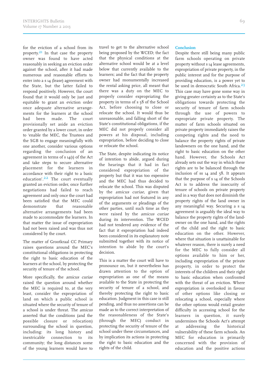for the eviction of a school from its property.<sup>21</sup> In that case the property owner was found to have acted reasonably in seeking an eviction order against the school, after it had made numerous and reasonable efforts to enter into a s 14 (lease) agreement with the State, but the latter failed to respond positively. However, the court found that it would only be just and equitable to grant an eviction order once adequate alternative arrangements for the learners at the school had been made. The court provisionally set aside an eviction order granted by a lower court, in order to 'enable the MEC, the Trustees and the SGB to engage meaningfully with one another, consider various options regarding the conclusion of an agreement in terms of s 14(1) of the Act and take steps to secure alternative placement for the learners in accordance with their right to a basic education'.<sup>22</sup> The court eventually granted an eviction order, once further negotiations had failed to reach agreement and only once the court had been satisfied that the MEC could demonstrate that reasonable alternative arrangements had been made to accommodate the learners. In that matter the issue of expropriation had not been raised and was thus not considered by the court.

The matter of Grootkraal CC Primary raises questions around the MEC's constitutional obligations in protecting the right to basic education of the learners at the school, by protecting the security of tenure of the school.

More specifically, the amicus curiae raised the question around whether the MEC is required to, at the very least, consider the expropriation of land on which a public school is situated where the security of tenure of a school is under threat. The amicus asserted that the conditions (and the possible closure or relocation) surrounding the school in question, including: its long history and inextricable connection to its community; the long distances some of the young learners would have to travel to get to the alternative school being proposed by the WCED; the fact that the physical conditions at the alternative school would be at a level below that currently available to the learners; and the fact that the property owner had monumentally increased the rental asking price, all meant that there was a duty on the MEC to properly consider expropriating the property in terms of s 58 of the School Act, before choosing to close or relocate the school. It would thus be unreasonable, and falling short of the State's constitutional obligations, if the MEC did not properly consider all powers at his disposal, including expropriation, before deciding to close or relocate the school.

The State, despite indicating its notice of intention to abide, argued during the hearings that it had in fact considered expropriation of the property but that it was too expensive and the MEC had thus decided to relocate the school. This was disputed by the *amicus curiae*, given that expropriation had not featured in any of the arguments or pleadings of the other parties, until such time as they were raised by the *amicus curiae* during its intervention. The WCED had not tendered any evidence of the fact that it expropriation had indeed been considered in its explanatory note submitted together with its notice of intention to abide by the court's decision.

This is a matter the court will have to pronounce on, but it nevertheless has drawn attention to the option of expropriation as one of the means available to the State in protecting the security of tenure of a school, and thereby protecting the right to basic education. Judgment in this case is still pending, and thus no assertions can be made as to the correct interpretation of the reasonableness of the State's (through the MEC) conduct in protecting the security of tenure of the school under these circumstances, and by implication its actions in protecting the right to basic education and the rights of the child.

### **Conclusion**

Despite there still being many public farm schools operating on private property without s 14 lease agreements, expropriation of private property, in the public interest and for the purpose of providing education, is a power yet to be used in democratic South Africa.<sup>23</sup> This case may have gone some way in giving greater certainty as to the State's obligations towards protecting the security of tenure of farm schools through the use of powers to expropriate private property. The matter of farm schools situated on private property immediately raises the competing rights and the need to balance the property rights of private landowners on the one hand, and the right to basic education on the other hand. However, the Schools Act already sets out the way in which these rights are to be balanced through the inclusion of ss  $14$  and  $58$ . It appears that the purpose of s 14 of the Schools Act is to address the insecurity of tenure of schools on private property and in a way that does not diminish the property rights of the land owner in any meaningful way. Securing a s 14 agreement is arguably the ideal way to balance the property rights of the landowner on the one hand, and the rights of the child and the right to basic education on the other. However, where that situation is unattainable for whatever reason, there is surely a need for the MEC to fully consider all options available to him or her, including expropriation of the private property, in order to protect the interests of the children and their right to basic education when confronted with the threat of an eviction. Where expropriation is overlooked in favour of other options like closing or relocating a school, especially where the other options would entail greater difficulty in accessing school for the learners in question, it surely undermines the Schools Act's attempt at addressing the historical vulnerability of these farm schools. An MEC for education is primarily concerned with the provision of education and the positive actions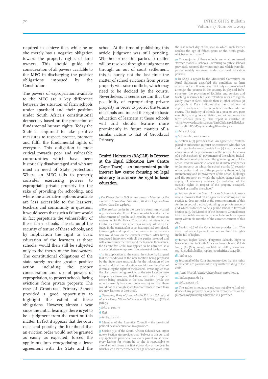required to achieve that, while he or she merely has a negative obligation toward the property rights of land owners. This should guide the consideration of all powers available to the MEC in discharging the positive<br>obligations imposed by the obligations imposed by the Constitution.

The powers of expropriation available to the MEC are a key difference between the situation of farm schools under apartheid and their position under South Africa's constitutional democracy based on the protection of fundamental human rights. Today the State is enjoined to take positive measures to respect, protect, promote and fulfil the fundamental rights of everyone. This obligation is most critical towards poor and vulnerable communities which have been historically disadvantaged and who are most in need of State protection. Where an MEC fails to properly consider exercising powers to expropriate private property for the sake of providing for schooling, and where the alternative options available are less accessible to the learners, teachers and community in question, it would seem that such a failure would in fact perpetuate the vulnerability of these farm schools. The status of the security of tenure of these schools, and by implication the right to basic education of the learners at those schools, would then still be subjected only to the mercy of the landowners. The constitutional obligations of the state surely require greater positive action, including the proper consideration and use of powers of expropriation, to protect schools facing evictions from private property. The case of Grootkraal Primary School provided a good opportunity to highlight the extent of these obligations. However, almost a year since the initial hearings there is yet to be a judgment from the court on this matter. In fact it appears that the court case, and possibly the likelihood that an eviction order would not be granted as easily as expected, forced the applicants into renegotiating a lease agreement with the State and the school. At the time of publishing this article judgment was still pending. Whether or not this particular matter will be resolved through a judgment or through an out of court settlement, this is surely not the last time the matter of school evictions from private property will raise conflicts, which may need to be decided by the courts. Nevertheless, it seems certain that the possibility of expropriating private property in order to protect the tenure of schools and indeed the right to basic education of learners at those schools will and should feature more prominently in future matters of a similar nature to that of Grootkraal Primary.

### Dmitri Holtzman (BA;LLB) is Director at the Equal Education Law Centre (Cape Town) – an independent public interest law centre focusing on legal advocacy to advance the right to basic education.

1 Du Plessis Botha N.O. & two others <sup>v</sup> Member of the Executive Council for Education, Western Cape and two others (Case No. 24611/11).

2 The *amicus curiae* in the case is a community-based organisation called Equal Education which works for the advancement of quality and equality in the education system in South Africa. The curator ad litem is the Centre for Child Law which was initially asked by the Judge in the matter, after court hearings had completed, to investigate and report on the potential impact an eviction would have on the learners involved. After having conducted interviews with all the parties involved and with community members and the learners themselves, the Centre for Child Law applied to be admitted as a curator ad litem to represent the interest of the learners.

3 In its application to the court, the school had argued that the conditions at the new location being proposed by the State were unsuitable for the relocation of the school and that the relocation would have the effect of diminishing the rights of the learners. It was argued that the classrooms being provided at the new location were temporary classrooms, that there was not a computer centre being provided at the new location (while the school currently has a computer centre) and that there would not be enough space to accommodate more than 100 new learners at the school.

4 Governing Body of Juma Musjid Primary School and others v Essay NO and others 2011 (8) BCLR 761 (CC) at para 55.

5 Ibid., at para 37.

6 Ibid.

#### 7Act 84 of 1996.

8 Member of the Executive Council – the provincial political head of education in a province.

9 Section 3(3) of the South African Schools Act, supra note 7. Section 3(1) provides that: 'Subject to this Act and any applicable provincial law, every parent must cause every learner for whom he or she is responsible to attend school from the first school day of the year in which such a learner reaches the age of seven years until the last school day of the year in which such learner reaches the age of fifteen years or the ninth grade, whichever occurs first.'

10 The majority of these schools are what are termed 'former model C' schools – referring to public schools previously reserved for whites only and which were disproportionately resourced under apartheid education **policies** 

 $\overline{\mathbf{1}}$  In 2005, a report by the Ministerial Committee on Rural Education described the conditions at farm schools in the following way: 'Not only are farm school amongst the poorest in the country, in physical infrastructure, the provision of facilities and services and teaching resources but also retention rates are significantly lower at farm schools than at other schools [at paragraph 1]. Data indicates that the conditions at approximately one in five schools are neither safe nor secure. The majority of schools in a poor or very poor condition, having poor sanitation, and without water, are farm schools [para 7].' The report is available at: <http://www.education.gov.za/LinkClick.aspx?fileticket =mrpvyB2HC3M%3d&tabid=38&mid=1301>.

#### 12 Act 47 of 1953.

13 Schools Act, supra note 7.

14 Section 14(2) provides that: 'An agreement contemplated in subsection (1) must be consistent with this Act and in particular must provide for– (a) the provision of education and the performance of the normal functions of a public school; (b) governance of the school, including the relationship between the governing body of the school and the owner; (c) access by all interested parties to the property on which the school stands; (d) security of occupation and use of the property by the school; (e) maintenance and improvement of the school buildings and the property on which the school stands and the supply of necessary services; (f) protection of the owner's rights in respect of the property occupied, affected or used by the school.'

15 Section 56 of the South African Schools Act, supra note 7, provides that: 'If an agreement contemplated in section 14 does not exist at the commencement of this Act in respect of a school, standing on private property and which is deemed to be a public school in terms of section 52(1), the Member of the Executive Council must take reasonable measures to conclude such an agreement within six months of the commencement of this  $\Delta$ ct<sup>:</sup>

16 Section 7(2) of the Constitution provides that: 'The state must respect, protect, promote and fulfil the rights in the Bill of Rights

17Human Rights Watch, 'Forgotten Schools, Right to basic education in South Africa for farm schools', Vol. 16 No. 7 (A) (May 2004), available at: <http://www.hrw. org/sites/default/files/reports/southafrica0504.pdf>.

### **18** *Ibid.* at p.3.

19 Section 28 of the Constitution provides that the rights of the child are paramount in any matter relating to the child.

20 Juma Musjid Primary School case, supra note 4.

- 21 Ibid., at paras. 61-65.
- 22 Ibid. at para. 76.

23 The author is not aware and was not able to find evidence of any property having been expropriated for the purposes of providing education in a province.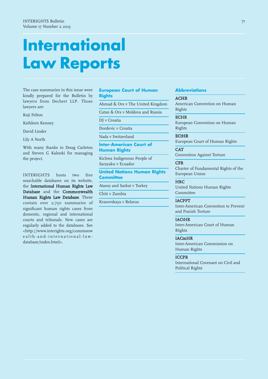The case summaries in this issue were kindly prepared for the Bulletin by lawyers from Dechert LLP. Those lawyers are:

Koji Felton

Kathleen Kenney

David Linder

Lily A North

With many thanks to Doug Carleton and Steven G Kalnoki for managing the project.

INTERIGHTS hosts two free searchable databases on its website, the International Human Rights Law Database and the Commonwealth Human Rights Law Database. These contain over 2,70 summaries of significant human rights cases from domestic, regional and international courts and tribunals. New cases are regularly added to the databases. See <http://www.interights.org/commonw e alth-and-international-lawdatabase/index.html>.

### **European Court of Human Rights**

Ahmad & Ors v The United Kingdom

Catan & Ors v Moldova and Russia

DJ v Croatia

Dordevic v Croatia

Nada v Switzerland

**Inter-American Court of Human Rights**

Kichwa Indigenous People of Sarayaku v Ecuador

**United Nations Human Rights Committee**

Atasoy and Sarkat v Turkey

Chiti v Zambia

Krasovskaya v Belarus

### **Abbreviations**

### ACHR

American Convention on Human Rights

### **ECHR**

European Convention on Human Rights

**ECtHR** European Court of Human Rights

**CAT** Convention Against Torture

#### **CFR**

Charter of Fundamental Rights of the European Union

### **HRC**

United Nations Human Rights **Committee** 

### IACPPT

Inter-American Convention to Prevent and Punish Torture

### IACtHR

Inter-American Court of Human RIghts

### IACmHR

Inter-American Commission on Human Rights

### **ICCPR**

International Covenant on Civil and Political Rights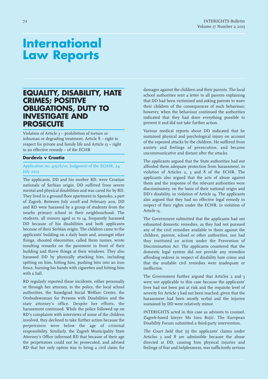### **EQUALITY, DISABILITY, HATE CRIMES; POSITIVE OBLIGATIONS, DUTY TO INVESTIGATE AND PROSECUTE**

Violation of Article 3 – prohibition of torture or inhuman or degrading treatment, Article 8 – right to respect for private and family life and Article 13 – right to an effective remedy – of the ECHR

### **Dordevic v Croatia**

### Application no. 41526/10, Judgment of the ECtHR, 24 July 2012

The applicants, DD and his mother RD, were Croatian nationals of Serbian origin. DD suffered from severe mental and physical disabilities and was cared for by RD. They lived in a ground floor apartment in Spansko, a part of Zagreb. Between July 2008 and February 2011, DD and RD were harassed by a group of students from the nearby primary school in their neighbourhood. The students, all minors aged 10 to 14, frequently harassed DD because of his disabilities and both applicants because of their Serbian origin. The children came to the applicants' building on a daily basis and, amongst other things, shouted obscenities, called them names, wrote insulting remarks on the pavement in front of their building and threw things at their windows. They also harassed DD by physically attacking him, including spitting on him, hitting him, pushing him into an iron fence, burning his hands with cigarettes and hitting him with a ball.

RD regularly reported these incidents, either personally or through her attorney, to the police, the local school authorities, the Susedgrad Social Welfare Centre, the Ombudswoman for Persons with Disabilities and the state attorney's office. Despite her efforts, the harassment continued. While the police followed up on RD's complaints with interviews of some of the children involved, they declined to take further action because the perpetrators were below the age of criminal responsibility. Similarly, the Zagreb Municipality State Attorney's Office informed RD that because of their age the perpetrators could not be prosecuted, and advised RD that her only option was to bring a civil claim for

damages against the children and their parents. The local school authorities sent a letter to all parents explaining that DD had been victimised and asking parents to warn their children of the consequences of such behaviour; however, when the behaviour continued the authorities indicated that they had done everything possible to prevent it and did not take further action.

Various medical reports about DD indicated that he sustained physical and psychological injury on account of the repeated attacks by the children. He suffered from anxiety and feelings of persecution, and became uncommunicative and distant after the attacks.

The applicants argued that the State authorities had not afforded them adequate protection from harassment, in violation of Articles 2, 3 and 8 of the ECHR. The applicants also argued that the acts of abuse against them and the response of the relevant authorities were discriminatory, on the basis of their national origin and DD's disability, in violation of Article 14. The applicants also argued that they had no effective legal remedy in respect of their rights under the ECHR, in violation of Article 13.

The Government submitted that the applicants had not exhausted domestic remedies, as they had not pursued any of the civil remedies available to them against the children, parents, school or other authorities, nor had they instituted an action under the Prevention of Discrimination Act. The applicants countered that the domestic legal system did not provide any remedies affording redress in respect of disability hate crime and that the available civil remedies were inadequate or ineffective.

The Government further argued that Articles 2 and 3 were not applicable to this case because the applicants' lives had not been put at risk and the requisite level of severity for Article 3 had not been reached, given that the harassment had been mostly verbal and the injuries sustained by DD were relatively minor.

INTERIGHTS acted in this case as advisors to counsel, Zagreb-based lawyer Ms Ines Bojić. The European Disability Forum submitted a third-party intervention.

The Court held that: (1) the applicants' claims under Articles 3 and 8 are admissible because the abuse directed at DD, causing him physical injuries and feelings of fear and helplessness, was sufficiently serious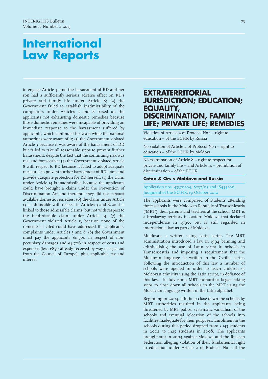to engage Article 3, and the harassment of RD and her son had a sufficiently serious adverse effect on RD's private and family life under Article 8; (2) the Government failed to establish inadmissibility of the complaints under Articles 3 and 8 based on the applicants not exhausting domestic remedies because those domestic remedies were incapable of providing an immediate response to the harassment suffered by applicants, which continued for years while the national authorities were aware of it; (3) the Government violated Article 3 because it was aware of the harassment of DD but failed to take all reasonable steps to prevent further harassment, despite the fact that the continuing risk was real and foreseeable; (4) the Government violated Article 8 with respect to RD because it failed to adopt adequate measures to prevent further harassment of RD's son and provide adequate protection for RD herself;  $(5)$  the claim under Article 14 is inadmissible because the applicants could have brought a claim under the Prevention of Discrimination Act and therefore they did not exhaust available domestic remedies; (6) the claim under Article 13 is admissible with respect to Articles 3 and 8, as it is linked to those admissible claims, but not with respect to the inadmissible claim under Article 14; (7) the Government violated Article 13 because none of the remedies it cited could have addressed the applicants' complaints under Articles 3 and 8; (8) the Government must pay the applicants  $\epsilon$ 11,500 in respect of nonpecuniary damages and €4,706 in respect of costs and expenses (less  $\epsilon$ 850 already received by way of legal aid from the Council of Europe), plus applicable tax and interest.

### **EXTRATERRITORIAL JURISDICTION; EDUCATION; EQUALITY, DISCRIMINATION, FAMILY LIFE; PRIVATE LIFE; REMEDIES**

Violation of Article 2 of Protocol No 1 – right to education – of the ECHR by Russia

No violation of Article 2 of Protocol No 1 – right to education – of the ECHR by Moldova

No examination of Article 8 – right to respect for private and family life – and Article  $14$  – prohibition of discrimination – of the ECHR

### **Catan & Ors v Moldova and Russia**

Application nos. 43370/04, 8252/05 and 18454/06, Judgment of the ECtHR, 19 October 2012

The applicants were comprised of students attending three schools in the Moldovan Republic of Transdniestria ('MRT'), their parents and teachers at the school. MRT is a breakaway territory in eastern Moldova that declared independence in 1990, but is still regarded in international law as part of Moldova.

Moldovan is written using Latin script. The MRT administration introduced a law in 1994 banning and criminalising the use of Latin script in schools in Transdniestria and imposing a requirement that the Moldovan language be written in the Cyrillic script. Following the introduction of this law a number of schools were opened in order to teach children of Moldovan ethnicity using the Latin script, in defiance of this law. In July 2004 MRT authorities began taking steps to close down all schools in the MRT using the Moldavian language written in the Latin alphabet.

Beginning in 2004, efforts to close down the schools by MRT authorities resulted in the applicants being threatened by MRT police, systematic vandalism of the schools and eventual relocation of the schools into facilities inadequate for their purposes. Enrolment in the schools during this period dropped from 3,143 students in 2002 to  $1,415$  students in 2008. The applicants brought suit in 2004 against Moldova and the Russian Federation alleging violation of their fundamental right to education under Article 2 of Protocol No 1 of the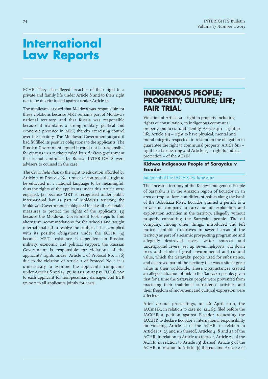ECHR. They also alleged breaches of their right to a private and family life under Article 8 and to their right not to be discriminated against under Article 14.

The applicants argued that Moldova was responsible for these violations because MRT remains part of Moldova's national territory, and that Russia was responsible because it maintains a strong military, political and economic presence in MRT, thereby exercising control over the territory. The Moldovan Government argued it had fulfilled its positive obligations to the applicants. The Russian Government argued it could not be responsible for citizens in a territory ruled by a de facto government that is not controlled by Russia. INTERIGHTS were advisers to counsel in the case.

The Court held that: (1) the right to education afforded by Article 2 of Protocol No. 1 must encompass the right to be educated in a national language to be meaningful, thus the rights of the applicants under this Article were engaged; (2) because MRT is recognised under public international law as part of Moldova's territory, the Moldovan Government is obligated to take all reasonable measures to protect the rights of the applicants; (3) because the Moldovan Government took steps to find alternative accommodations for the schools and sought international aid to resolve the conflict, it has complied with its positive obligations under the ECHR; (4) because MRT's existence is dependent on Russian military, economic and political support, the Russian Government is responsible for violations of the applicants' rights under Article 2 of Protocol No. 1; (6) due to the violation of Article 2 of Protocol No. 1 it is unnecessary to examine the applicant's complaints under Articles 8 and 14; (7) Russia must pay EUR 6,000 to each applicant for non-pecuniary damages and EUR 0,000 to all applicants jointly for costs.

### **INDIGENOUS PEOPLE; PROPERTY; CULTURE; LIFE; FAIR TRIAL**

Violation of Article 21 – right to property including rights of consultation, to indigenous communal property and to cultural identity, Article  $4(1)$  – right to life, Article  $5(1)$  – right to have physical, mental and moral integrity respected, in relation to the obligation to guarantee the right to communal property, Article 8(1) – right to a fair hearing and Article  $25 -$ right to judicial protection – of the ACHR

### **Kichwa Indigenous People of Sarayaku v Ecuador**

### Judgment of the IACtHR, 27 June 2012

The ancestral territory of the Kichwa Indigenous People of Sarayaku is in the Amazon region of Ecuador in an area of tropical forest, at different points along the bank of the Bobonaza River. Ecuador granted a permit to a private oil company to carry out oil exploration and exploitation activities in the territory, allegedly without properly consulting the Sarayaku people. The oil company, among other things, introduced and left buried pentolite explosives in several areas of the territory as part of a seismic prospecting programme and allegedly destroyed caves, water sources and underground rivers, set up seven heliports, cut down trees and plants of great environmental and cultural value, which the Sarayaku people used for subsistence, and destroyed part of the territory that was a site of great value in their worldwide. These circumstances created an alleged situation of risk to the Sarayaku people, given that for a time the Sarayaku people were prevented from practicing their traditional subsistence activities and their freedom of movement and cultural expression were affected.

After various proceedings, on 26 April 2010, the IACmHR, in relation to case no. 12.465, filed before the IACtHR a petition against Ecuador requesting the IACtHR to declare Ecuador's international responsibility for violating Article 21 of the ACHR, in relation to Articles 13, 23 and 1(1) thereof, Articles 4,  $8$  and 25 of the ACHR, in relation to Article 1(1) thereof, Article 22 of the ACHR, in relation to Article  $1(1)$  thereof, Article  $5$  of the ACHR, in relation to Article 1(1) thereof, and Article 2 of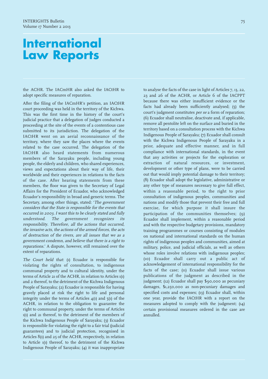the ACHR. The IACmHR also asked the IACtHR to adopt specific measures of reparation.

After the filing of the IACmHR's petition, an IACtHR court proceeding was held in the territory of the Kichwa. This was the first time in the history of the court's judicial practice that a delegation of judges conducted a proceeding at the site of the events of a contentious case submitted to its jurisdiction. The delegation of the IACtHR went on an aerial reconnaissance of the territory, where they saw the places where the events related to the case occurred. The delegation of the IACtHR also heard statements from numerous members of the Sarayaku people, including young people, the elderly and children, who shared experiences, views and expectations about their way of life, their worldwide and their experiences in relations to the facts of the case. After hearing statements from these members, the floor was given to the Secretary of Legal Affairs for the President of Ecuador, who acknowledged Ecuador's responsibility in broad and generic terms. The Secretary, among other things, stated: 'The government considers that the State is responsible for the events that occurred in 2003. <sup>I</sup> want this to be clearly stated and fully understood. The government recognizes its responsibility. Therefore, all the actions that occurred, the invasive acts, the actions of the armed forces, the acts of destruction of the rivers, are all issues that we as <sup>a</sup> government condemn, and believe that there is <sup>a</sup> right to reparations.' A dispute, however, still remained over the extent of reparations.

The Court held that: (1) Ecuador is responsible for violating the rights of consultation, to indigenous communal property and to cultural identity, under the terms of Article 21 of the ACHR, in relation to Articles 1(1) and 2 thereof, to the detriment of the Kichwa Indigenous People of Sarayaku; (2) Ecuador is responsible for having gravely placed at risk the right to life and personal integrity under the terms of Articles  $4(1)$  and  $5(1)$  of the ACHR, in relation to the obligation to guarantee the right to communal property, under the terms of Articles 1(1) and 21 thereof, to the detriment of the members of the Kichwa Indigenous People of Sarayaku; (3) Ecuador is responsible for violating the right to a fair trial (judicial guarantees) and to judicial protection, recognised in Articles  $8(1)$  and  $25$  of the ACHR, respectively, in relation to Article 1(1) thereof, to the detriment of the Kichwa Indigenous People of Sarayaku; (4) it was inappropriate

to analyse the facts of the case in light of Articles 7, 13, 22, 23 and 26 of the ACHR, or Article 6 of the IACPPT because there was either insufficient evidence or the facts had already been sufficiently analysed;  $(5)$  the court's judgment constitutes per se a form of reparation; (6) Ecuador shall neutralise, deactivate and, if applicable, remove all pentolite left on the surface and buried in the territory based on a consultation process with the Kichwa Indigenous People of Sarayaku; (7) Ecuador shall consult with the Kichwa Indigenous People of Sarayaku in a prior, adequate and effective manner, and in full compliance with international standards, in the event that any activities or projects for the exploration or extraction of natural resources, or investment, development or other type of plans, were to be carried out that would imply potential damage to their territory; (8) Ecuador shall adopt the legislative, administrative or any other type of measures necessary to give full effect, within a reasonable period, to the right to prior consultation of indigenous peoples, communities and nations and modify those that prevent their free and full exercise, for which purpose it shall insure the participation of the communities themselves; (9) Ecuador shall implement, within a reasonable period and with the respective budgetary provisions, mandatory training programmes or courses consisting of modules on national and international standards on the human rights of indigenous peoples and communities, aimed at military, police, and judicial officials, as well as others whose roles involve relations with indigenous peoples; (10) Ecuador shall carry out a public act of acknowledgement of international responsibility for the facts of the case; (11) Ecuador shall issue various publications of the judgment as described in the judgment; (12) Ecuador shall pay \$90,000 as pecuniary damages, \$1,250,000 as non-pecuniary damages and specified costs and expenses; (13) Ecuador shall, within one year, provide the IACtHR with a report on the measures adopted to comply with the judgment; (14) certain provisional measures ordered in the case are annulled.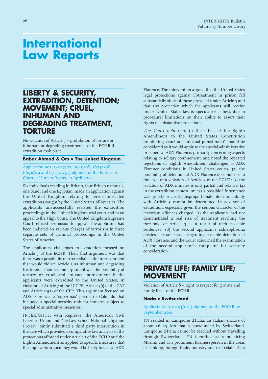### **LIBERTY & SECURITY, EXTRADITION, DETENTION; MOVEMENT; CRUEL, INHUMAN AND DEGRADING TREATMENT, TORTURE**

No violation of Article 3 – prohibition of torture or inhuman or degrading treatment – of the ECHR if extradition took place

**Babar Ahmad & Ors v The United Kingdom**

Application nos. 24027/07, 11949/08, 36742/08, 66911/09 and 6734/09, Judgment of the European Court of Human Rights, 10 April 2012

Six individuals residing in Britain, four British nationals, one Saudi and one Egyptian, made an application against the United Kingdom relating to terrorism-related extraditions sought by the United States of America. The applicants unsuccessfully resisted the extradition proceedings in the United Kingdom trial court and in an appeal to the High Court. The United Kingdom Supreme Court refused permission to appeal. The applicants had been indicted on various charges of terrorism in three separate sets of criminal proceedings in the United States of America.

The applicants' challenges to extradition focused on Article 3 of the ECHR. Their first argument was that there was a possibility of irremediable life-imprisonment that would violate Article 3 as inhuman and degrading treatment. Their second argument was the possibility of torture or cruel and unusual punishment if the applicants were extradited to the United States, in violation of Article 7 of the ICCPR, Article 3(1) of the CAT and Article 19(2) of the CFR. This argument focused on ADX Florence, a 'supermax' prison in Colorado that included a special security unit for inmates subject to special administrative measures.

INTERIGHTS, with Reprieve, the American Civil Liberties Union and Yale Law School National Litigation Project, jointly submitted a third party intervention in the case which provided a comparative law analysis of the protections afforded under Article 3 of the ECHR and the Eighth Amendment as applied to specific measures that the applicants argued they would be likely to face at ADX Florence. The intervention argued that the United States legal protections against ill-treatment in prison fall substantially short of those provided under Article 3 and that any protection which the applicants will receive under United States law is speculative at best, due to procedural limitations on their ability to assert their rights to substantive protections.

The Court held that: (1) the effect of the Eighth Amendment to the United States Constitution prohibiting 'cruel and unusual punishment' should be considered as it would apply to the special administrative prisoners at ADX Florence, primarily concerning aspects relating to solitary confinement, and noted the repeated rejections of Eighth Amendment challenges to ADX Florence conditions in United States courts; (2) the possibility of detention at ADX Florence does not rise to the level of a violation of Article 3 of the ECHR; (3) the isolation of ADX inmates is only partial and relative; (4) in the extradition context, unless a possible life sentence was grossly or clearly disproportionate, its compatibility with Article 3 cannot be determined in advance of extradition, especially given the serious character of the terrorism offences charged;  $(5)$  the applicants had not demonstrated a real risk of treatment reaching the threshold of Article 3 as a result of their possible sentences; (6) the second applicant's schizophrenia creates separate issues regarding possible detention at ADX Florence, and the Court adjourned the examination of the second applicant's complaint for separate consideration.

### **PRIVATE LIFE; FAMILY LIFE; MOVEMENT**

Violation of Article 8 – right to respect for private and family life – of the ECHR

### **Nada v Switzerland**

### Application no. 10593/08, Judgment of the ECtHR, 12 September 2012

YN resided in Campione d'Italia, an Italian enclave of about 1.6 sq. km that is surrounded by Switzerland. Campione d'Italia cannot be reached without travelling through Switzerland. YN identified as a practicing Muslim and as a prominent businessperson in the areas of banking, foreign trade, industry and real estate. As a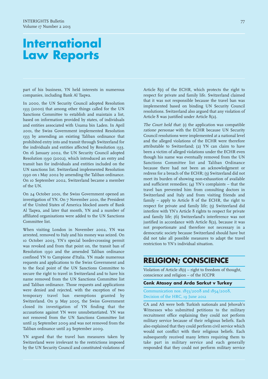part of his business, YN held interests in numerous companies, including Bank Al Taqwa.

In 2000, the UN Security Council adopted Resolution 1333 (2000) that among other things called for the UN Sanctions Committee to establish and maintain a list, based on information provided by states, of individuals and entities associated with Usama bin Laden. In April 2001, the Swiss Government implemented Resolution 1333 by amending an existing Taliban ordinance that prohibited entry into and transit through Switzerland for the individuals and entities affected by Resolution 1333. On 16 January 2002, the UN Security Council adopted Resolution 1390 (2002), which introduced an entry and transit ban for individuals and entities included on the UN sanctions list. Switzerland implemented Resolution 1390 on 1 May 2002 by amending the Taliban ordinance. On 10 September 2002, Switzerland became a member of the UN.

On 24 October 2001, the Swiss Government opened an investigation of YN. On 7 November 2001, the President of the United States of America blocked assets of Bank Al Taqwa, and later that month, YN and a number of affiliated organisations were added to the UN Sanctions Committee list.

When visiting London in November 2002, YN was arrested, removed to Italy and his money was seized. On 10 October 2003, YN's special border-crossing permit was revoked and from that point on, the transit ban of Resolution 1390 and the amended Taliban ordinance confined YN to Campione d'Italia. YN made numerous requests and applications to the Swiss Government and to the focal point of the UN Sanctions Committee to secure the right to travel in Switzerland and to have his name removed from the UN Sanctions Committee list and Taliban ordinance. Those requests and applications were denied and rejected, with the exception of two temporary travel ban exemptions granted by Switzerland. On 31 May 2005, the Swiss Government closed its investigation of YN finding that the accusations against YN were unsubstantiated. YN was not removed from the UN Sanctions Committee list until 23 September 2009 and was not removed from the Taliban ordinance until 29 September 2009.

YN argued that the travel ban measures taken by Switzerland were irrelevant to the restrictions imposed by the UN Security Council and constituted violations of

Article 8(1) of the ECHR, which protects the right to respect for private and family life. Switzerland claimed that it was not responsible because the travel ban was implemented based on binding UN Security Council resolutions. Switzerland also argued that any violation of Article 8 was justified under Article 8(2).

The Court held that: (1) the application was compatible ratione personae with the ECHR because UN Security Council resolutions were implemented at a national level and the alleged violations of the ECHR were therefore attributable to Switzerland; (2) YN can claim to have been a victim of alleged violations under the ECHR even though his name was eventually removed from the UN Sanctions Committee list and Taliban Ordinance because there had not been an acknowledgment or redress for a breach of the ECHR; (3) Switzerland did not meet its burden of showing non-exhaustion of available and sufficient remedies; (4) YN's complaints – that the travel ban prevented him from consulting doctors in Switzerland and Italy and from visiting friends and family – apply to Article 8 of the ECHR, the right to respect for private and family life; (5) Switzerland did interfere with YN's Article 8 rights to respect for private and family life; (6) Switzerland's interference was not justified in accordance with Article 8(2), because it was not proportionate and therefore not necessary in a democratic society because Switzerland should have but did not take all possible measures to adapt the travel restriction to YN's individual situation.

### **RELIGION; CONSCIENCE**

Violation of Article 18(1) – right to freedom of thought, conscience and religion – of the ICCPR

### **Cenk Atasoy and Arda Sarkut v Turkey**

Communication nos. 1853/2008 and 1854/2008, Decision of the HRC, 19 June 2012

CA and AS were both Turkish nationals and Jehovah's Witnesses who submitted petitions to the military recruitment office explaining they could not perform military service because of their religious beliefs. Each also explained that they could perform civil service which would not conflict with their religious beliefs. Each subsequently received many letters requiring them to take part in military service and each generally responded that they could not perform military service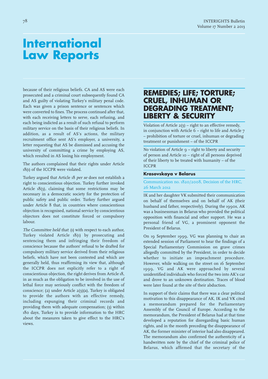because of their religious beliefs. CA and AS were each prosecuted and a criminal court subsequently found CA and AS guilty of violating Turkey's military penal code. Each was given a prison sentence or sentences which were converted to fines. The process continued after that, with each receiving letters to serve, each refusing, and each being indicted as a result of such refusal to perform military service on the basis of their religious beliefs. In addition, as a result of AS's actions, the military recruitment office sent AS's employer, a university, a letter requesting that AS be dismissed and accusing the university of committing a crime by employing AS, which resulted in AS losing his employment.

The authors complained that their rights under Article 18(1) of the ICCPR were violated.

Turkey argued that Article 18 per se does not establish a right to conscientious objection. Turkey further invoked Article 18(3), claiming that some restrictions may be necessary in a democratic society for the protection of public safety and public order. Turkey further argued under Article 8 that, in countries where conscientious objection is recognised, national service by conscientious objectors does not constitute forced or compulsory labour.

The Committee held that: (1) with respect to each author, Turkey violated Article 18(1) by prosecuting and sentencing them and infringing their freedom of conscience because the authors' refusal to be drafted for compulsory military service derived from their religious beliefs, which have not been contested and which are generally held, thus reaffirming its view that, although the ICCPR does not explicitly refer to a right of conscientious objection, the right derives from Article 18, in as much as the obligation to be involved in the use of lethal force may seriously conflict with the freedom of conscience; (2) under Article 2(3)(a), Turkey is obligated to provide the authors with an effective remedy, including expunging their criminal records and providing them with adequate compensation; (3) within 180 days, Turkey is to provide information to the HRC about the measures taken to give effect to the HRC's views.

### **REMEDIES; LIFE; TORTURE; CRUEL, INHUMAN OR DEGRADING TREATMENT; LIBERTY & SECURITY**

Violation of Article 2(3) – right to an effective remedy, in conjunction with Article 6 – right to life and Article 7 – prohibition of torture or cruel, inhuman or degrading treatment or punishment – of the ICCPR

No violation of Article  $q$  – right to liberty and security of person and Article 10 – right of all persons deprived of their liberty to be treated with humanity – of the ICCPR

### **Krasovskaya v Belarus**

### Communication no. 1820/2008, Decision of the HRC, 26 March 2012

IK and her daughter VK submitted their communication on behalf of themselves and on behalf of AK (their husband and father, respectively). During the 1990s, AK was a businessman in Belarus who provided the political opposition with financial and other support. He was a personal friend of VG, a prominent opponent the President of Belarus.

On 19 September 1999, VG was planning to chair an extended session of Parliament to hear the findings of a Special Parliamentary Commission on grave crimes allegedly committed by the President, in order to decide whether to initiate an impeachment procedure. However, while walking on the street on 16 September 1999, VG and AK were approached by several unidentified individuals who forced the two into AK's car and drove to an unknown destination. Traces of blood were later found at the site of their abduction.

In support of their claims that there was a clear political motivation to this disappearance of AK, IK and VK cited a memorandum prepared for the Parliamentary Assembly of the Council of Europe. According to the memorandum, the President of Belarus had at that time developed a reputation for disregarding basic human rights, and in the month preceding the disappearance of AK, the former minister of interior had also disappeared. The memorandum also confirmed the authenticity of a handwritten note by the chief of the criminal police of Belarus, which affirmed that the secretary of the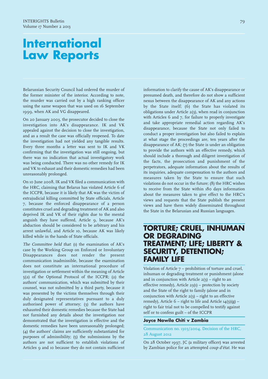Belarussian Security Council had ordered the murder of the former minister of the interior. According to note, the murder was carried out by a high ranking officer using the same weapon that was used on 16 September 1999, when AK and VG disappeared.

On 20 January 2003, the prosecutor decided to close the investigation into AK's disappearance. IK and VK appealed against the decision to close the investigation, and as a result the case was officially reopened. To date the investigation had not yielded any tangible results. Every three months a letter was sent to IK and VK confirming that the investigation was still ongoing, but there was no indication that actual investigatory work was being conducted. There was no other remedy for IK and VK to exhaust and their domestic remedies had been unreasonably prolonged.

On 10 June 2008, IK and VK filed a communication with the HRC, claiming that Belarus has violated Article 6 of the ICCPR, because it is likely that AK was the victim of extrajudicial killing committed by State officials, Article 7, because the enforced disappearance of a person constitutes cruel and degrading treatment of AK and also deprived IK and VK of their rights due to the mental anguish they have suffered, Article 9, because AK's abduction should be considered to be arbitrary and his arrest unlawful, and Article 10, because AK was likely killed while in the hands of State officials.

The Committee held that: (1) the examination of AK's case by the Working Group on Enforced or Involuntary Disappearances does not render the present communication inadmissible, because the examination does not constitute an international procedure of investigation or settlement within the meaning of Article (2) of the Optional Protocol of the ICCPR; (2) the authors' communication, which was submitted by their counsel, was not submitted by a third party, because it was presented by the victims themselves through their duly designated representatives pursuant to a duly authorised power of attorney; (3) the authors have exhausted their domestic remedies because the State had not furnished any details about the investigation nor demonstrated that the investigation is effective and the domestic remedies have been unreasonably prolonged; (4) the authors' claims are sufficiently substantiated for purposes of admissibility; (5) the submissions by the authors are not sufficient to establish violations of Articles 9 and 10 because they do not contain sufficient

information to clarify the cause of AK's disappearance or presumed death, and therefore do not show a sufficient nexus between the disappearance of AK and any actions by the State itself; (6) the State has violated its obligations under Article 2(3), when read in conjunction with Articles 6 and 7, for failure to properly investigate and take appropriate remedial action regarding AK's disappearance, because the State not only failed to conduct a proper investigation but also failed to explain at what stage the proceedings are, ten years after the disappearance of AK; (7) the State is under an obligation to provide the authors with an effective remedy, which should include a thorough and diligent investigation of the facts, the prosecution and punishment of the perpetrators, adequate information about the results of its inquiries, adequate compensation to the authors and measures taken by the State to ensure that such violations do not occur in the future; (8) the HRC wishes to receive from the State within 180 days information about the measures taken to give effect to the HRC's views and requests that the State publish the present views and have them widely disseminated throughout the State in the Belarusian and Russian languages.

### **TORTURE; CRUEL, INHUMAN OR DEGRADING TREATMENT; LIFE; LIBERTY & SECURITY, DETENTION; FAMILY LIFE**

Violation of Article 7 – prohibition of torture and cruel, inhuman or degrading treatment or punishment (alone and in conjunction with Article  $2(3)$  – right to an effective remedy), Article 23(1) – protection by society and the State of the right to family (alone and in conjunction with Article  $2(3)$  – right to an effective remedy), Article  $6$  – right to life and Article  $14(3)(g)$  – right to fair trial not to be compelled to testify against self or to confess guilt – of the ICCPR

### **Joyce Nawila Chiti v Zambia**

Communication no. 1303/2004, Decision of the HRC, 28 August 2012

On 28 October 1997, JC (a military officer) was arrested by Zambian police for an attempted coup d'état. He was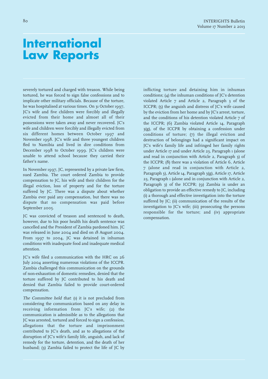severely tortured and charged with treason. While being tortured, he was forced to sign false confessions and to implicate other military officials. Because of the torture, he was hospitalised at various times. On 31 October 1997, JC's wife and five children were forcibly and illegally evicted from their home and almost all of their possessions were taken away and never recovered. JC's wife and children were forcibly and illegally evicted from six different homes between October 1997 and November 1998. JC's wife and three youngest children fled to Namibia and lived in dire conditions from December 1998 to October 1999. JC's children were unable to attend school because they carried their father's name.

In November 1997, JC, represented by a private law firm, sued Zambia. The court ordered Zambia to provide compensation to JC, his wife and their children for the illegal eviction, loss of property and for the torture suffered by JC. There was a dispute about whether Zambia ever paid any compensation, but there was no dispute that no compensation was paid before September 2005.

JC was convicted of treason and sentenced to death, however, due to his poor health his death sentence was cancelled and the President of Zambia pardoned him. JC was released in June 2004 and died on 18 August 2004. From 1997 to 2004, JC was detained in inhuman conditions with inadequate food and inadequate medical attention.

JC's wife filed a communication with the HRC on 26 July 2004 asserting numerous violations of the ICCPR. Zambia challenged this communication on the grounds of non-exhaustion of domestic remedies, denied that the torture suffered by JC contributed to his death and denied that Zambia failed to provide court-ordered compensation.

The Committee held that: (1) it is not precluded from considering the communication based on any delay in receiving information from JC's wife; (2) the communication is admissible as to the allegations that JC was arrested, tortured and forced to sign a confession, allegations that the torture and imprisonment contributed to JC's death, and as to allegations of the disruption of JC's wife's family life, anguish, and lack of remedy for the torture, detention, and the death of her husband; (3) Zambia failed to protect the life of JC by

inflicting torture and detaining him in inhuman conditions; (4) the inhuman conditions of JC's detention violated Article 7 and Article 2, Paragraph 3 of the ICCPR; (5) the anguish and distress of JC's wife caused by the eviction from her home and by JC's arrest, torture, and the conditions of his detention violated Article 7 of the ICCPR; (6) Zambia violated Article 14, Paragraph 3(g), of the ICCPR by obtaining a confession under conditions of torture; (7) the illegal eviction and destruction of belongings had a significant impact on JC's wife's family life and infringed her family rights under Article 17 and under Article 23, Paragraph 1 (alone and read in conjunction with Article 2, Paragraph 3) of the ICCPR; (8) there was a violation of Article 6, Article 7 (alone and read in conjunction with Article 2, Paragraph 3), Article 14, Paragraph 3(g), Article 17, Article 23, Paragraph 1 (alone and in conjunction with Article 2, Paragraph 3) of the ICCPR; (9) Zambia is under an obligation to provide an effective remedy to JC, including (i) a thorough and effective investigation into the torture suffered by JC; (ii) communication of the results of the investigation to JC's wife; (iii) prosecuting the persons responsible for the torture; and (iv) appropriate compensation.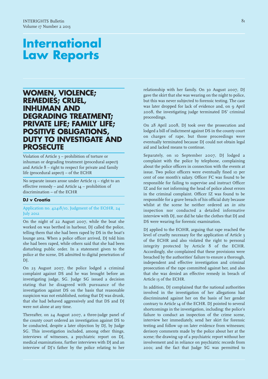### **WOMEN, VIOLENCE; REMEDIES; CRUEL, INHUMAN AND DEGRADING TREATMENT; PRIVATE LIFE; FAMILY LIFE; POSITIVE OBLIGATIONS, DUTY TO INVESTIGATE AND PROSECUTE**

Violation of Article 3 – prohibition of torture or inhuman or degrading treatment (procedural aspect) and Article 8 – right to respect for private and family life (procedural aspect) – of the ECHR

No separate issues arose under Article 13 – right to an effective remedy – and Article 14 – prohibition of discrimination – of the ECHR

### **DJ v Croatia**

Application no. 42418/10, Judgment of the ECtHR, 24 July 2012

On the night of 22 August 2007, while the boat she worked on was berthed in harbour, DJ called the police, telling them that she had been raped by DS in the boat's lounge area. When a police officer arrived, DJ told him she had been raped, while others said that she had been disturbing public order. In a statement given to the police at the scene, DS admitted to digital penetration of DJ.

On 23 August 2007, the police lodged a criminal complaint against DS and he was brought before an investigating judge, SG. Judge SG issued a decision stating that he disagreed with pursuance of the investigation against DS on the basis that reasonable suspicion was not established, noting that DJ was drunk, that she had behaved aggressively and that DS and DJ were not alone at any time.

Thereafter, on 24 August 2007, a three-judge panel of the county court ordered an investigation against DS to be conducted, despite a later objection by DJ, by Judge SG. This investigation included, among other things, interviews of witnesses, a psychiatric report on DJ, medical examinations, further interviews with DJ and an interview of DJ's father by the police relating to her

relationship with her family. On 30 August 2007, DJ gave the skirt that she was wearing on the night to police, but this was never subjected to forensic testing. The case was later dropped for lack of evidence and, on 9 April 2008, the investigating judge terminated DS' criminal proceedings.

On 28 April 2008, DJ took over the prosecution and lodged a bill of indictment against DS in the county court on charges of rape, but those proceedings were eventually terminated because DJ could not obtain legal aid and lacked means to continue.

Separately, on 10 September 2007, DJ lodged a complaint with the police by telephone, complaining about the police officers in connection with the events at issue. Two police officers were eventually fined 10 per cent of one month's salary. Officer FC was found to be responsible for failing to supervise and instruct Officer IZ and for not informing the head of police about errors in the criminal complaint. Officer IZ was found to be responsible for a grave breach of his official duty because whilst at the scene he neither ordered an in situ inspection nor conducted a detailed informative interview with DJ, nor did he take the clothes that DJ and DS were wearing for forensic examination.

DJ applied to the ECtHR, arguing that rape reached the level of cruelty necessary for the application of Article 3 of the ECHR and also violated the right to personal integrity protected by Article 8 of the ECHR. Accordingly, she complained that these provisions were breached by the authorities' failure to ensure a thorough, independent and effective investigation and criminal prosecution of the rape committed against her, and also that she was denied an effective remedy in breach of Article 13 of the ECHR.

In addition, DJ complained that the national authorities involved in the investigation of her allegations had discriminated against her on the basis of her gender contrary to Article 14 of the ECHR. DJ pointed to several shortcomings in the investigation, including: the police's failure to conduct an inspection of the crime scene, interview her immediately, send her skirt for forensic testing and follow up on later evidence from witnesses; derisory comments made by the police about her at the scene; the drawing up of a psychiatric report without her involvement and in reliance on psychiatric records from 2001; and the fact that Judge SG was permitted to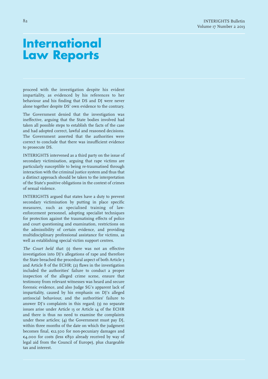proceed with the investigation despite his evident impartiality, as evidenced by his references to her behaviour and his finding that DS and DJ were never alone together despite DS' own evidence to the contrary.

The Government denied that the investigation was ineffective, arguing that the State bodies involved had taken all possible steps to establish the facts of the case and had adopted correct, lawful and reasoned decisions. The Government asserted that the authorities were correct to conclude that there was insufficient evidence to prosecute DS.

INTERIGHTS intervened as a third party on the issue of secondary victimisation, arguing that rape victims are particularly susceptible to being re-traumatised through interaction with the criminal justice system and thus that a distinct approach should be taken to the interpretation of the State's positive obligations in the context of crimes of sexual violence.

INTERIGHTS argued that states have a duty to prevent secondary victimisation by putting in place specific measures, such as specialised training of lawenforcement personnel, adopting specialist techniques for protection against the traumatising effects of police and court questioning and examination, restrictions on the admissibility of certain evidence, and providing multidisciplinary professional assistance for victims, as well as establishing special victim support centres.

The Court held that: (1) there was not an effective investigation into DJ's allegations of rape and therefore the State breached the procedural aspect of both Article 3 and Article 8 of the ECHR; (2) flaws in the investigation included the authorities' failure to conduct a proper inspection of the alleged crime scene, ensure that testimony from relevant witnesses was heard and secure forensic evidence, and also Judge SG's apparent lack of impartiality, caused by his emphasis on DJ's alleged antisocial behaviour, and the authorities' failure to answer DJ's complaints in this regard; (3) no separate issues arise under Article 13 or Article 14 of the ECHR and there is thus no need to examine the complaints under these articles; (4) the Government must pay DJ, within three months of the date on which the judgment becomes final, €12,00 for non-pecuniary damages and €4,000 for costs (less €80 already received by way of legal aid from the Council of Europe), plus chargeable tax and interest.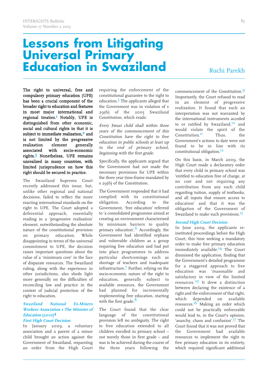# **Lessons from Litigating Universal Primary Education in Swaziland** Ruchi Parekh

The right to universal, free and compulsory primary education (UPE) has been a crucial component of the broader right to education and features in most major international and regional treaties. 1 Notably, UPE is distinguished from other economic, social and cultural rights in that it is subject to immediate realisation,<sup>2</sup> and is not limited by the progressive<br>realisation element generally element generally associated with socio-economic rights. 3 Nonetheless, UPE remains unrealised in many countries, with limited jurisprudence on how this right should be secured in practice.

The Swaziland Supreme Court recently addressed this issue, but, unlike other regional and national decisions, failed to reflect the more exacting international standards on the right to UPE. The Court adopted a deferential approach, essentially reading in a 'progressive realisation' element, notwithstanding the absolute nature of the constitutional provision<br>on primary education. While on primary education. disappointing in terms of the universal commitment to UPE, the decision raises important questions about the value of a 'minimum core' in the face of disparate resources. The Swaziland ruling, along with the experience in other jurisdictions, also sheds light more generally on the difficulties of reconciling law and practice in the context of judicial protection of the right to education.

### **Swaziland National Ex-Miners Workers Association <sup>v</sup> The Minister of Education (2010) 4 First High Court Decision**

In January 2009, a voluntary association and a parent of a minor child brought an action against the Government of Swaziland, requesting an order from the High Court requiring the enforcement of the constitutional guarantee to the right to education.<sup>5</sup> The applicants alleged that the Government was in violation of s  $29(6)$  of the  $2005$  Swaziland Constitution, which reads:

Every Swazi child shall within three years of the commencement of this Constitution have the right to free education in public schools at least up to the end of primary school, beginning with the first grade.

Specifically, the applicants argued that the Government had not made the necessary provisions for UPE within the three year time-frame mandated by s 29(6) of the Constitution.

The Government responded that it had complied with its constitutional obligation. According to the Government, 'free education' referred to 'a consolidated programme aimed at creating an environment characterised by minimum barriers to quality primary education'.<sup>6</sup> Accordingly, the Government had identified orphans and vulnerable children as a group requiring free education and had put into place programmes to address particular shortcomings such as shortage of teachers and inadequate infrastructure. 7 Further, relying on the socio-economic nature of the right to education, generally subject to available resources, the Government had planned for incrementally implementing free education, starting with the first grade.<sup>8</sup>

The Court found that the clear language of the constitutional provision left no ambiguity. The right to free education extended to all children enrolled in primary school – not merely those in first grade – and was to be achieved during the course of the three years following the

commencement of the Constitution. 9 Importantly, the Court refused to read in an element of progressive realisation. It found that such an interpretation was not warranted by the international instruments acceded to or ratified by Swaziland,<sup>10</sup> and would violate the spirit of the Constitution.<sup>11</sup> Thus, the Government's actions to date were not found to be in line with its constitutional obligation. 12

On this basis, in March 2009, the High Court made a declaratory order that every child in primary school was 'entitled to education free of charge, at no cost and not requiring any contribution from any such child regarding tuition, supply of textbooks, and all inputs that ensure access to education' and that it was the obligation of the Government of Swaziland to make such provisions. 13

### **Second High Court Decision**

In June 2009, the applicants reinstituted proceedings before the High Court, this time seeking a mandatory order to make free primary education immediately available.<sup>14</sup> The Court dismissed the application, finding that the Government's detailed programme for a staggered approach to free education was 'reasonable and satisfactory in view of the limited resources.<sup>'15</sup> It drew a distinction between declaring the existence of a right and the enforcement of that right, which depended on available resources.<sup>16</sup> Making an order which could not be practically enforceable would lead to, in the Court's opinion, 'anarchy, chaos and confusion'.<sup>17</sup> The Court found that it was not proved that the Government had available resources to implement the right to free primary education in its entirety, which required significant additional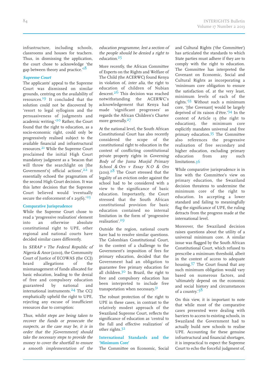infrastructure, including schools, classrooms and houses for teachers. Thus, in dismissing the application, the court chose to acknowledge 'the gap between theory and practice.'<sup>18</sup>

### **Supreme Court**

The applicants' appeal to the Supreme Court was dismissed on similar grounds, centring on the availability of resources. 19 It concluded that the solution could not be discovered by 'resort to legal syllogism and the persuasiveness of judgments and academic writing.'<sup>20</sup> Rather, the Court found that the right to education, as a socio-economic right, could only be progressively realised subject to the available financial and infrastructural resources. 21 While the Supreme Court proclaimed the initial High Court mandatory judgment as a 'beacon that will throw the searchlight on [the Government's] official actions',<sup>22</sup> it essentially echoed the pragmatism of the second High Court decision. It was this latter decision that the Supreme Court believed would 'eventually secure the enforcement of s  $29(6)$ .<sup>23</sup>

### **Comparative Jurisprudence**

While the Supreme Court chose to read a 'progressive realisation' element into an otherwise absolute constitutional right to UPE, other regional and national courts have decided similar cases differently.

In SERAP <sup>v</sup> The Federal Republic of Nigeria & Anor (2010), the Community Court of Justice of ECOWAS (the CCJ) heard allegations of the mismanagement of funds allocated for basic education, leading to the denial of free and compulsory education guaranteed by national and international instruments. 24 The CCJ emphatically upheld the right to UPE, rejecting any excuse of insufficient resources due to corruption:

Thus, whilst steps are being taken to recover the funds or prosecute the suspects, as the case may be, it is in order that the [Government] should take the necessary steps to provide the money to cover the shortfall to ensure <sup>a</sup> smooth implementation of the education programme, lest <sup>a</sup> section of the people should be denied <sup>a</sup> right to education.<sup>25</sup>

More recently, the African Committee of Experts on the Rights and Welfare of The Child (the ACERWC) found Kenya in violation of, inter alia, the right to education of children of Nubian descent.<sup>26</sup> This decision was reached notwithstanding the ACERWC's acknowledgement that Kenya had made 'significant progresses' as regards the African Children's Charter more generally.<sup>27</sup>

At the national level, the South African Constitutional Court has also recently considered the scope of the constitutional right to education in the context of conflicting constitutional private property rights in Governing Body of the Juma Musjid Primary School & Ors <sup>v</sup> Essay N.O & Ors  $(201).<sup>28</sup>$  The Court stressed that the legality of an eviction order against the school had to be considered with a view to the significance of basic education. Importantly, the Court stressed that the South African constitutional provision for basic education contained no internal limitation in the form of 'progressive realisation'. 29

Outside the region, national courts have had to resolve similar questions. The Colombian Constitutional Court, in the context of a challenge to the Government's imposition of fees for primary education, decided that the Government had an obligation to guarantee free primary education for all children.<sup>30</sup> In Brazil, the right to free and compulsory education has been interpreted to include free transportation when necessary.<sup>31</sup>

The robust protection of the right to UPE in these cases, in contrast to the relatively modest approach of the Swaziland Supreme Court, reflects the significance of education as 'central to the full and effective realization' of other rights. 32

### **International Standards and the 'Minimum Core'**

The Committee on Economic, Social

and Cultural Rights ('the Committee') has articulated the standards to which State parties must adhere if they are to comply with the right to education. The Committee has interpreted the Covenant on Economic, Social and Cultural Rights as incorporating a 'minimum core obligation to ensure the satisfaction of, at the very least, minimum levels of each of the rights.' 33 Without such a minimum core, '[the Covenant] would be largely deprived of its raison d'être.' 34 In the context of Article 13 (the right to education), the minimum core explicitly mandates universal and free primary education.<sup>35</sup> The Committee also references the progressive realisation of free secondary and higher education, excluding primary education from any such limitations.36

While comparative jurisprudence is in line with the Committee's view on primary education, the Swaziland decision threatens to undermine the minimum core of the right to education. In accepting a lower standard and failing to meaningfully flag the significance of UPE, the ruling detracts from the progress made at the international level.

Moreover, the Swaziland decision raises questions about the utility of a universal minimum core. A similar issue was flagged by the South African Constitutional Court, which refused to prescribe a minimum threshold, albeit in the context of access to adequate housing. 37 The Court found that any such minimum obligation would vary based on numerous factors, and 'ultimately depend on the economic and social history and circumstances of a country.' 38

On this view, it is important to note that while most of the comparative cases presented were dealing with barriers to access to existing schools, in Swaziland the Government had to actually build new schools to realise UPE. Accounting for these genuine infrastructural and financial shortages, it is impractical to expect the Supreme Court to echo the forceful judgment of,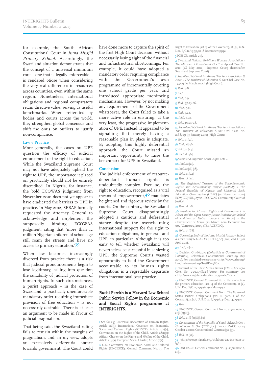for example, the South African Constitutional Court in Juma Musjid Primary School. Accordingly, the Swaziland situation demonstrates that the concept of a universal minimum core – one that is legally enforceable – is rendered otiose when considering the very real differences in resources across countries, even within the same region. Nonetheless, international obligations and regional comparators retain directive value, serving as useful benchmarks. When reiterated by bodies and courts across the world, they strengthen global consensus and shift the onus on outliers to justify non-compliance.

#### **Law v Practice**

More generally, the cases on UPE question the efficacy of judicial enforcement of the right to education. While the Swaziland Supreme Court may not have adequately upheld the right to UPE, the importance it placed on practicality should not be entirely discredited. In Nigeria, for instance, the bold ECOWAS judgment from November 2010 does not yet appear to have eradicated the barriers to UPE in practice. In May 2012, SERAP formally requested the Attorney General to acknowledge and implement the supposedly binding ECOWAS judgment, citing that 'more than 12 million Nigerian children of school age still roam the streets and have no access to primary education.'39

When law becomes increasingly divorced from practice there is a risk that judicial pronouncements begin to lose legitimacy, calling into question the suitability of judicial protection of human rights. In such circumstances, a purist approach – in the case of Swaziland, a practically unenforceable mandatory order requiring immediate provision of free education – is not necessarily desirable. There is at least an argument to be made in favour of judicial pragmatism.

That being said, the Swaziland ruling fails to remain within the margins of pragmatism, and, in my view, adopts an excessively deferential stance towards government. The Court could

have done more to capture the spirit of the first High Court decision, without necessarily losing sight of the financial and infrastructural shortcomings. For example, it could have adopted a mandatory order requiring compliance with the Government's own programme of incrementally covering one school grade per year, and introduced appropriate monitoring mechanisms. However, by not making any requirements of the Government whatsoever, the Court failed to take a more active role in ensuring, at the very least, the progressive implementation of UPE. Instead, it appeared to be signalling that merely having a reasonable plan in place is adequate. By adopting this highly deferential approach, the Court missed an important opportunity to raise the benchmark for UPE in Swaziland.

#### **Conclusion**

The judicial enforcement of resourcedependant human rights is undoubtedly complex. Even so, the right to education, recognised as a vital means of empowerment, 40 mandates heightened and rigorous review by the courts. On the contrary, the Swaziland Supreme Court disappointingly adopted a cautious and deferential stance despite the overwhelming international support for the right to education obligations, in general, and UPE, in particular. Although it is too early to tell whether Swaziland will nevertheless be successful in achieving UPE, the Supreme Court's wasted opportunity to hold the Government accountable to its human rights obligations is a regrettable departure from international best practice.

### Ruchi Parekh is a Harvard Law School Public Service Fellow in the Economic and Social Rights programme at INTERIGHTS.

1 See for e.g. Universal Declaration of Human Rights, Article 26(1); International Covenant on Economic, Social and Cultural Rights (ICESCR), Article 13(2)(a); Convention on the Rights of the Child, Article  $28(1)(a)$ African Charter on the Rights and Welfare of the Child, Article 11(3)(a), European Social Charter, Article 17(2).

2 U.N. Committee on Economic, Social and Cultural Rights (UNCESCR), General Comment No. 13: The

Right to Education (art. 13 of the Covenant), at [51], U.N. Doc. E/C.12/1999/10 (8 December 1999).

3 ICESCR, Article 2(1).

4 Swaziland National Ex-Miners Workers Association <sup>v</sup> The Minister of Education & Ors Civil Appeal Case No. 2/10 (28 May 2010) (Supreme Court) (hereinafter Swaziland Supreme Court).

 Swaziland National Ex-Miners Workers Association & Anor <sup>v</sup> The Minister of Education & Ors Civil Case No. 33/09 (16 March 2009) (High Court).

6 Ibid., p.8.

7 Ibid.

8 Ibid., p.9.

9 Ibid., pp.23-26. 10 *Ibid.*, p.21.

**11** *Ibid.*, p.22.

12 Ibid., p.22.

13 *Ibid.*, pp.27-28.

14 Swaziland National Ex-Miners Workers Association <sup>v</sup> The Minister of Education & Ors Civil Case No. 2168/09 (19 January 2010) (High Court).

 $15$  *Ibid.*, at [52].

16 *Ibid.*, at [46].

17 Ibid., at [43].

**18** *Ibid.* at [46].

19Swaziland Supreme Court, supra note 4.

20 Ibid., at [21].

**21** *Ibid.*, at [16]-[18].

22 *Ibid.*, at [24].

**23** *Ibid.*, at [24].

24 The Registered Trustees of the Socio-Economic Rights and Accountability Project (SERAP) <sup>v</sup> The Federal Republic of Nigeria and Universal Basic Education Commission (UBEC) (30 November 2010) ECW/CCJ/JUD/07/10 (ECOWAS Community Court of Justice).

 $25$  *Ibid.*, at  $[28]$ .

26 Institute for Human Rights and Development in Africa and the Open Society Justice Initiative (on behalf of children of Nubian descent in Kenya) <sup>v</sup> the Government of Kenya (22 March 2011) Decision: No 002/Com/002/2009 (The ACERWC).

27 *Ibid.*, at [68].

28 Governing Body of the Juma Musjid Primary School & Ors <sup>v</sup> Essay N.O. & Ors (CCT 29/10) [2011] ZACC 13 (11 April 2011).

#### **29** *Ibid.*, at [37].

30 Decision C-376/2010 (DeJusticia vs Government of Colombia), Colombian Constitutional Court (19 May 2010). For translated excerpts see <http://www.crin.org/ Law/instrument.asp?InstID=1586>.

31 Tribunal of the State Minas Gerais (TMG) Apelação Civel No. 000.197.843-6/2000. For summary see <http://www.right-to-education.org/node/686>.

32 UNCESCR, General Comment No. 11: Plans of action for primary education (art. 14 of the Covenant), at [2], U.N. Doc. E/C.12/1999/4 ((10 May 1999).

33 UNCESCR, General Comment No. 3: The Nature of States Parties' Obligations (art. 2, para. 1 of the Covenant), at [10], U.N. Doc. E/1991/23 (Dec. 14, 1990).

### 34 Ibid.

35 UNCESCR, General Comment No. 13, supra note 2,  $at [6(b)(iii)].$ 

**36** *Ibid.*, at [6(b)(iii)], [51].

37 Government of the Republic of South Africa & Ors v  $G$ rootboom & Ors (CCT11/00) [2000] ZACC 19 (4 October 2000) (Constitutional Court) at [32]-[33].

#### **38** *Ibid.*, at [32].

39 <http://serap-nigeria.org/childrens-day-the-letter-to $f\sigma/$ 

40 UNCESCR, General Comment No. 13, supra note 2, at [1].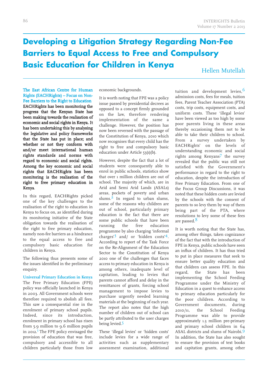### **Developing a Litigation Strategy Regarding Non-Fee Barriers to Equal Access to Free and Compulsory Basic Education for Children in Kenya**

Hellen Mutellah

The East African Centre for Human Rights (EACHRights) – Focus on Non-Fee Barriers to the Right to Education EACHRights has been monitoring the progress that the Kenyan State has been making towards the realisation of economic and social rights in Kenya. It has been undertaking this by analysing the legislative and policy frameworks that the State has put in place; and whether or not they conform with and/or meet international human rights standards and norms with regard to economic and social rights. Among the key economic and social rights that EACHRights has been monitoring is the realisation of the right to free primary education in Kenya.

In this regard, EACHRights picked one of the key challenges to the realisation of the right to education in Kenya to focus on, as identified during its monitoring initiative of the State obligation towards the realisation of the right to free primary education, namely non-fee barriers as a hindrance to the equal access to free and compulsory basic education for children in Kenya.

The following thus presents some of the issues identified in the preliminary enquiry.

**Universal Primary Education in Kenya** The Free Primary Education (FPE) policy was officially launched in Kenya in 2003. All Government schools were therefore required to abolish all fees. This saw a consequential rise in the enrolment of primary school pupils. Indeed, since its introduction, enrolment in primary school has risen from 5.9 million to 9.6 million pupils in 2012. 1 The FPE policy envisaged the provision of education that was free, compulsory and accessible to all children particularly those from low

economic backgrounds.

It is worth noting that FPE was a policy issue passed by presidential decrees as opposed to a concept firmly grounded on the law, therefore rendering implementation of the same a challenge. However, the position has now been reversed with the passage of the Constitution of Kenya, 2010 which now recognises that every child has the right to free and compulsory basic education under Article 53(1)(b).

However, despite the fact that a lot of students were consequently able to enrol in public schools, statistics show that over 1 million children are out of school. The majority of which, are in Arid and Semi Arid Lands (ASALs) areas, pockets of poverty and urban slums.<sup>2</sup> In regard to urban slums, some of the reasons why children are out of school, particularly primary education is the fact that there are some public schools that have been running the free education programme by also charging 'informal charges' 3 and/ or 'hidden costs' 4. According to report of the Task Force on the Re-Alignment of the Education Sector to the Constitution of Kenya 2010 one of the challenges that faces access to primary education in Kenya is among others, inadequate level of capitation, leading to levies that parents cannot afford and delay in the remittances of grants, forcing school management to impose levies to purchase urgently needed learning materials at the beginning of each year. The report also notes that the high number of children out of school can be partly attributed to the user charges being levied.<sup>5</sup>

These 'illegal levies' or 'hidden costs' include levies for a wide range of activities such as supplementary assessment examination, additional

tuition and development levies, 6 admission costs, fees for meals, tuition fees, Parent Teacher Association (PTA) costs, trip costs, equipment costs, and uniform costs. These 'illegal levies' have been viewed as too high by some poor parents living in these areas thereby occasioning them not to be able to take their children to school. From a survey undertaken by EACHRights' on the levels of understanding economic and social rights among Kenyans7 the survey revealed that the public was still not satisfied with the Government's performance in regard to the right to education, despite the introduction of Free Primary Education. From one of the Focus Group Discussions, it was noted that these hidden costs are levied by the schools with the consent of parents to so levy them by way of them being part of the PTA, where resolutions to levy some of these fees are passed.<sup>8</sup>

It is worth noting that the State has, among other things, taken cognizance of the fact that with the introduction of FPE in Kenya, public schools have seen an influx of children. It has thus tried to put in place measures that seek to ensure better quality education and that children can assess FPE. In this regard, the State has been implementing the School Feeding Programme under the Ministry of Education in a quest to enhance access to primary education particularly for the poor children. According to Government documents, during 2010/11, the School Feeding Programme was able to provide approximately 1.3 million pre-primary and primary school children in 64 ASAL districts and slums of Nairobi. 9 In addition, the State has also sought to ensure the provision of text books and capitation grants, among other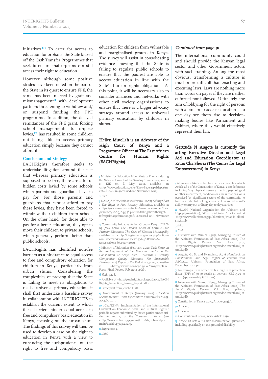initiatives. 10 To cater for access to education for orphans, the State kicked off the Cash Transfer Programmes that seek to ensure that orphans can still access their right to education.

However, although some positive strides have been noted on the part of the State in its quest to ensure FPE, the same has been marred by graft and mismanagement<sup>11</sup> with development partners threatening to withdraw and/ or suspend funding the FPE programme. In addition, the delayed remittances of the FPE grant, forcing school managements to impose levies, 12 has resulted in some children not being able to access primary education simply because they cannot afford it.

### **Conclusion and Strategy**

EACHRights therefore seeks to undertake litigation around the fact that whereas primary education is supposed to be free, there are a lot of hidden costs levied by some schools which parents and guardians have to pay for. For those parents and guardians that cannot afford to pay these levies, they have been forced to withdraw their children from school. On the other hand, for those able to pay for a better education, they opt to move their children to private schools, which generally perform better than public schools.

EACHRights has identified non-fee barriers as a hindrance to equal access to free and compulsory education for children in Kenya, particularly from urban slums. Considering the complexities of proving that the State is failing to meet its obligations to realise universal primary education, it shall first undertake a baseline survey in collaboration with INTERIGHTS to establish the current extent to which these barriers hinder equal access to free and compulsory basic education in Kenya, focusing on the urban slum. The findings of this survey will then be used to develop a case on the right to education in Kenya with a view to enhancing the jurisprudence on the right to free and compulsory basic

education for children from vulnerable and marginalised groups in Kenya. The survey will assist in consolidating evidence showing that the State is failing to regulate public schools to ensure that the poorest are able to access education in line with the State's human rights obligations. At this point, it will be necessary also to consider alliances and networks with other civil society organisations to ensure that there is a bigger advocacy strategy around access to universal primary education by children in slums.

### Hellen Mutellah is an Advocate of the High Court of Kenya and a Programme Officer at The East African Centre for Human Rights (EACHRights).

1 Minister for Education Hon. Mutula Kilonzo, during the National Launch of the Sanitary Towels Programme at KIE on 8 May 2012, available on <http://www.education.go.ke/ShowPage.aspx?departm ent=1&id=1168> (accessed on 1 November 2012).

#### 2 Ibid.

3DARAJA : Civic Initiatives Forum (2007) Falling Short The Right to Free Primary Education, available at <https://www.concern.net/sites/www.concern.net/files /resource/2009/04/384-kenya-fallingshort-therighttofreeprimaryeducation.pdf> (accessed on 1 November 2012).

4 Community Initiative Action Grouo – Kenya (CIAG-K) (May 2010) The Hidden Costs of Kenya's Free Primary Education: The Case of Kisumu Municipality available at <http://ciagkenya.org/index.php?option= com\_docman&task=cat\_view&gid=3&Itemid=8> (assessed on 1 February 2013).

 Ministry of Education (February 2012) Task Force on the Re-Alignment of the Education Sector to the Constitution of Kenya <sup>2010</sup> : Towards <sup>a</sup> Globally Competitive Quality Education For Sustainable Development) Report of the Task Force, p.20, accessible at <http://www.vision2030.go.ke/cms/vds/Task\_

Force\_Final\_Report\_Feb\_20123.pdf>.

### $6$ *Ibid*., p.128.

7 Available at <http://eachrights.or.ke/pdf/2012/EACH Rights\_Perception\_Survey\_Report.pdf>.

#### 8 Participant from Jericho FGD.

9 Government of Kenya (January 2012) Education Sector: Medium Term Expenditure Framework 2012/13- 2014/15, p.29.

10 /C.12/KEN/1, Implementation of the International Covenant on Economic, Social and Cultural Rights : periodic reports submitted by States parties under articles 16 and 17 of the Covenant : Kenya (see <http://www.unhcr.org/cgi-bin/texis/vtx/refworld/rw main?docid=47343c2e2>).

11 Supra note 5.

 $12$  *Ibid*.

### Continued from page 91

The international community could and should provide the Kenyan legal sector and other Government actors with such training. Among the most obvious, transforming <sup>a</sup> culture is much more difficult than enacting and executing laws. Laws are nothing more than words on paper if they are neither enforced nor followed. Ultimately, the aim of lobbying for the right of persons with albinism to access education is to one day see them rise to decisionmaking bodies like Parliament and Cabinet, where they would effectively represen<sup>t</sup> their kin.

### Gertrude N Angote is currently the acting Executive Director and Legal Aid and Education Coordinator at Kituo Cha Sheria (The Centre for Legal Empowerment) in Kenya.

1 Albinism is likely to be classified as a disability, which Article 260 of theConstitution of Kenya, 2010 defines as including 'any physical, sensory, mental, psychological or other impairment, condition or illness that has, or is perceived by significant sectors of the community to have, a substantial or long-term effect on an individual's ability to carry out ordinary day-to-day activities'.

2 NOAH (National Organization for Albinism and Hypopigmentation), 'What is Albinism?' fact sheet, at <http://www.albinism.org/publications/what\_is\_albini sm.html>.

### 3 Ibid.

4 Ibid.

 Interview with Mumbi Ngugi, Managing Trustee of the Albinism Foundation of East Africa (2010) The Equal Rights Review, <http://www.equalrightstrust.org/ertdocumentbank/M umbi.pdf>.

6 Angote, G.. N. and Nyandieka, A., <sup>A</sup> Handbook on Constitutional and Legal Rights of Persons with Albinism, Albinism Foundation of East Africa, December 2012, p.13.

7 For example, sun screen with a high sun protection factor (SPF) of 30-50 retails at between KES 1500 to 2000 (approximately GBP 10-1).

8 Interview with Mumbi Ngugi, Managing Trustee of the Albinism Foundation of East Africa (2010) The Equal Rights Review, Vol. Five, pp.80-81, <http://www.equalrightstrust.org/ertdocumentbank/M umbi.pdf>.

9 Constitution of Kenya, 2010, Article 54(1)(b).

10 Article 3.

11 Article 24.

12 Constitution of Kenya, 2010, Article 22(1).

13 Article 27 sets out a non-discrimination guarantee, including specifically on the ground of disability.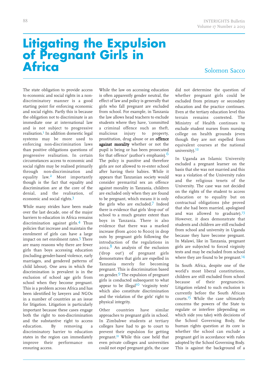# **Litigating the Expulsion of Pregnant Girls in Africa**

Solomon Sacco

The state obligation to provide access to economic and social rights in a nondiscriminatory manner is a good starting point for enforcing economic and social rights. Partly this is because the obligation not to discriminate is an immediate one at international law and is not subject to progressive realisation. 1 In addition domestic legal systems may be more used to enforcing non-discrimination laws than positive obligations questions of progressive realisation. In certain circumstances access to economic and social rights may be realised primarily through non-discrimination and equality law. 2 Most importantly though is the fact that equality and discrimination are at the core of the denial, and the realisation, of economic and social rights.<sup>3</sup>

While many strides have been made over the last decade, one of the major barriers to education in Africa remains discrimination against girls. 4 Thus policies that increase and maintain the enrolment of girls can have a large impact on net enrolment rates.<sup>5</sup> There are many reasons why there are fewer girls than boys accessing education (including gender-based violence, early marriages, and gendered patterns of child labour). One area in which the discrimination is prevalent is in the exclusion of school age girls from school when they become pregnant. This is a problem across Africa and has been identified by lawyers and NGOs in a number of countries as an issue for litigation. Litigation is particularly important because these cases engage both the right to non-discrimination and the substantive right to access education. By removing a discriminatory barrier to education states in the region can immediately improve their performance on ensuring access.

While the law on accessing education is often apparently gender neutral, the effect of law and policy is generally that girls who fall pregnant are excluded from school. For example, in Tanzania the law allows head teachers to exclude students where they have, 'committed a criminal offence such as theft, malicious injury to property, prostitution, drug abuse or an offence against morality whether or not the pupil is being or has been prosecuted for that offence' (author's emphasis).<sup>6</sup> The policy is punitive and therefore girls are not allowed to re-enter school after having their babies. While it appears that Tanzanian society would consider premarital sex an offence against morality in Tanzania, children are excluded only when they are found to be pregnant, which means it is only the girls who are excluded. 7 Indeed there is evidence that girls 'drop out' of school to a much greater extent than boys in Tanzania. There is also evidence that there was a marked increase (from 4000 to 8000) in drop outs by pregnant girls following the introduction of the regulations in 2002. 8 An analysis of the exclusion ('drop out') of pregnant girls demonstrates that girls are expelled in Tanzania merely for becoming pregnant. This is discrimination based on gender.<sup>9</sup> The expulsion of pregnant girls is conducted subsequent to what appear to be illegal<sup>10</sup> 'virginity tests' which also constitute discrimination and the violation of the girls' right to physical integrity.

Other countries have similar approaches to pregnant girls in school. In Zimbabwe students at tertiary colleges have had to go to court to prevent their expulsion for getting pregnant.<sup>11</sup> While this case held that even private colleges and universities could not expel pregnant girls, the case did not determine the question of whether pregnant girls could be excluded from primary or secondary education and the practice continues. Even at the tertiary education level this terrain remains contested. The Ministry of Health continues to exclude student nurses from nursing college on health grounds (even though they are not expelled from equivalent courses at the national university). 12

In Uganda an Islamic University excluded a pregnant learner on the basis that she was not married and this was a violation of the University rules and the religious tenets of the University. The case was not decided on the rights of the student to access education or to equality but on contractual obligations (she proved that she had been married, apologised and was allowed to graduate).<sup>13</sup> However, it does demonstrate that students and children are still excluded from school and university in Uganda because they have become pregnant. In Malawi, like in Tanzania, pregnant girls are subjected to forced virginity tests and may be excluded from school where they are found to be pregnant.<sup>14</sup>

In South Africa, despite one of the world's most liberal constitutions, children are still excluded from school because of their pregnancies. Litigation related to such exclusion is currently before the South African courts.<sup>15</sup> While the case ultimately concerns the powers of the State to regulate or interfere (depending on which side you take) with decisions of the School Governing Body, the human rights question at its core is whether the school can exclude a pregnant girl in accordance with rules adopted by the School Governing Body. This is against the background of a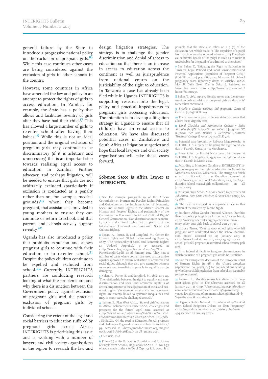general failure by the State to introduce a progressive national policy on the exclusion of pregnant girls.<sup>16</sup> While this case continues other cases are being considered against the exclusion of girls in other schools in the country.

However, some countries in Africa have amended the law and policy in an attempt to protect the rights of girls to access education. In Zambia, for example, the State has a policy that allows and facilitates re-entry of girls after they have had their child.<sup>17</sup> This has allowed a large number of girls to re-enter school after having their babies.<sup>18</sup> While this is not an ideal position and the original exclusion of pregnant girls may continue to be discriminatory (if it is arbitrary and unnecessary) this is an important step towards realising equal access to education in Zambia. Further advocacy, and perhaps litigation, will be needed to ensure that girls are not arbitrarily excluded (particularly if exclusion is conducted as a penalty rather than on, for example, medical grounds) $19$  when they become pregnant, that assistance is provided to young mothers to ensure they can continue or return to school, and that parents and schools actively support <sup>-</sup><br>re-entry.<sup>20</sup>

Uganda has also introduced a policy that prohibits expulsion and allows pregnant girls to continue with their education or to re-enter school.<sup>21</sup> Despite the policy children continue to be expelled and excluded from school.<sup>22</sup> Currently, INTERIGHTS partners are conducting research looking at what the problems are and why there is a disjunction between the Government policy against exclusion of pregnant girls and the practical exclusion of pregnant girls by individual schools.

Considering the extent of the legal and social barriers to education suffered by pregnant girls across Africa, INTERIGHTS is prioritising this issue and is working with a number of lawyers and civil society organisations in the region to research the law and design litigation strategies. The strategy is to challenge the gender discrimination and denial of access to education so that there is an increase in access to education across the continent as well as jurisprudence from national courts on the justiciability of the right to education. In Tanzania a case has already been filed while in Uganda INTERIGHTS is supporting research into the legal, policy and practical impediments to pregnant girls accessing education. The intention is to develop a litigation strategy in Uganda to ensure that all children have an equal access to education. We have also discussed potential cases in Zimbabwe and South Africa at litigation surgeries and hope that local lawyers and civil society organisations will take these cases forward.

### Solomon Sacco is Africa Lawyer at INTERIGHTS.

1 See for example paragraph 19 of the African Commission on Human and Peoples' Rights' Principles and Guidelines on the Implementation of Economic, Social and Cultural Rights in the African Charter on Human and Peoples' Rights; and paragraph 7 of the Committee on Economic, Social and Cultural Rights' General Comment 20, 'Non-discrimination in economic, social and cultural rights (art. 2, para. 2, of the International Covenant on Economic, Social and Cultural Rights).'

2 Nolan, A., Porter, B. and Langford, M., Center for Human rights and Global Justice working Paper 15, 2007, 'The justiciability of Social and Economic Rights: an Updated Appraisal,' p 25 accessed at <http://www.chrgj.org/publications/docs/wp/Nolan PorterLangford.pdf> on 28 January 2012. They note a number of cases where courts have used a substantive equality approach to ensure realisation of economic and social rights, although they also give examples where a more narrow formalistic approach to equality can be damaging.

3 Nolan, A., Porter, B. and Langford, M., ibid., at p 25, 'The relationship between the right to equality and nondiscrimination and social and economic rights is of central importance to the adjudication of social and economic rights. Violations of most social and economic rights are directly linked to systemic inequalities and may, in many cases, be challenged as such.'

4 Iversen, E., Plan West Africa, 'State of girls' education in Africa: Achievements since 2000, challenges and prospects for the future' April 2012, accessed at <http://efc.idnet.net/publications/State%20of %20Girl s'%20Education%20in%20West%20Africa\_ENG.pdf> . UNESCO, 'On the road to Education for All: progress and challenges Regional overview: sub-Saharan Africa,' p3, accessed at <http://unesdoc.unesco.org/images/ 0018/001865/186526E.pdf> on 28 January 2013. UNESCO, ibid.

6 Rule 7 (b) of the Education (Expulsion and Exclusion of Pupils from Schools) Regulation, 2002, G.N. No. 29 of 2002 made under s 61(O) of Cap. 33 R.E. 2002. It is

possible that the state also relies on s 7 (b) of the Education Act, which reads, '7. The expulsion of a pupil from a school may be ordered where – … (b) The physical or mental health of the pupil is such as to make it undesirable forthe pupil to be admitted to the school.'

7 See Baker, T., 'Litigating the Right to Education in Tanzania: Legal, Political, and Social Considerations and Potential Applications (Expulsion of Pregnant Girls), (HakiElimu 2011) p 4, citing also Nkwame, M. 'School pregnancy cases reportedly drops in Arusha.' (2010, May 18; Daily News, Dar es Salaam). Retrieved 10 November 2010, from <http://www.dailynews.co.tz/ home/?n=1002>.

**8** Baker, T., *ibid.*, pp 2-3. He also notes that the government records expulsion of pregnant girls as 'drop outs' rather than exclusions.

9 Brooks <sup>v</sup> Canada Safeway Ltd (Supreme Court of Canada) [1989]ISCR 1219

10 There does not appear to be any statutory power that allows these virginity tests.

11 Lloyd Chaduka and Morgenster College <sup>v</sup> Enita Mandizvidza (Zimbabwe Supreme Court) Judgment SC 114/2001. See also Wazara <sup>v</sup> Belvedere Technical  $T$ eachers' College & Anor1997 (2) ZLR 508.

12 Potential case brought by Rebecca Magorokosho to INTERIGHTS surgery on litigating the right to education in Nairobi, Kenya, 12 – 15 March 2012.

13 Presentation by Harriet Nabankema, her lawyer, at INTERIGHTS' litigation surgery on the right to education in Nairobi in March 2012.

14 According to Mtendere Gondwe at INTERIGHTS' litigation surgery on the right to education in Nairobi in March 2012. See also, Williams R, 'The struggle to finish school in Malawi,' in the Guardian accessed at  $\frac{\text{thttp}}{2}$  /www.guardian.co.uk/education/2012/mar/12/education-school-malawi-girls-millennium> on ducation-school-malawi-girls-millennium> on January 2013.

15 Welkom High School & Anor v Head, Department Of Education, Free State Province & Anor Case 2011(4) SA 31 (FB).

16 The case is analysed in a separate article in this edition of the Bulletin by Karabo Ngidi.

17 Southern Africa Gender Protocol Alliance, 'Zambia: Re-entry policy puts girls back in school,' accessible at, <http://www.genderlinks.org.za/article/zambia-reentry-policy-puts-girls-back-in-school-2011-09-30>.

18 Lusaka Times, 'Over 12 000 school girls who fell pregnant were readmitted under the school readmission policy,' accessed on 27 January 2013 at <http://www.lusakatimes.com/2012/09/25/12-000school-girls-fell-pregnant-readmitted-school-reentry-poli  $cy$  $>$ .

19 It is indeed difficult to imagine circumstances in which exclusion of a pregnant girl would be justifiable.

20 See for example the decision of the European Court of Human Rights in Ali <sup>v</sup> the United Kingdom (Application no. 4038/06) for considerations relating to whether a child's exclusion from school is reasonable (or proportionate).

21 Akumu, P., 'Morality versus law: dilemma of pregnant school girls,' in The Observer, accessed on 28 January 2013 at <http://observer.ug/index.php?option= com\_content&view=article&id=10623%3Amoralityversus-law-dilemma-of-pregnant-school-girls&catid=8 %3Aeducation&Itemid=100>.

22 Uganda Radio Network, 'Expulsion of 13-Year-Old from School Re-ignites Debate on Teen Pregnancy, <http://ugandaradionetwork.com/a/story.php?s=26 49 accessed 27 January 2013>.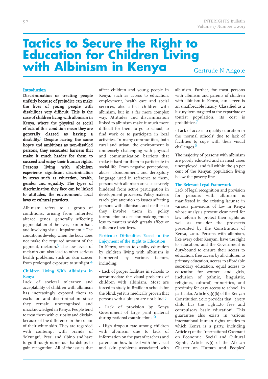# **Tactics to Secure the Right to Education for Children Living with Albinism in Kenya**

Gertrude N Angote

### **Introduction**

Discrimination or treating people unfairly because of prejudice can make the lives of young people with disabilities very difficult. This is the case of children living with albinism in Kenya, where the physical or social effects of this condition mean they are generally classed as having a disability.<sup>1</sup> Despite having the same hopes and ambitions as non-disabled persons, they encounter barriers that make it much harder for them to succeed and enjoy their human rights.<br>Persons living with albinism Persons living with experience significant discrimination in areas such as education, health, gender and equality. The types of discrimination they face can be linked to attitudes, the environment, local laws or cultural practices.

Albinism refers to a group of conditions, arising from inherited altered genes, generally affecting pigmentation of the eyes, skin or hair, and involving visual impairment. 2 The conditions develop when the body does not make the required amount of the pigment, melanin. 3 The low levels of melanin can also lead to other serious health problems, such as skin cancer from prolonged exposure to sunlight.<sup>4</sup>

### **Children Living With Albinism in Kenya**

Lack of societal tolerance and acceptability of children with albinism has increasingly exposed them to exclusion and discrimination since they remain unrecognised and unacknowledged in Kenya. People tend to treat them with curiosity and disdain because of the difference in the colour of their white skin. They are regarded with contempt with brands of 'Mzungu', 'Pesa', and 'albino' and have to go through numerous hardships to gain recognition. All of the issues that affect children and young people in Kenya, such as access to education, employment, health care and social services, also affect children with albinism, but in a far more complex way. Attitudes and discrimination linked to albinism make it much more difficult for them to go to school, to find work or to participate in local activities. In many communities, both rural and urban, the environment is immensely challenging with physical and communication barriers that make it hard for them to participate in social life. From negative perceptions, abuse, abandonment, and derogatory language used in reference to them, persons with albinism are also severely hindered from active participation in development processes. Policy makers rarely give attention to issues affecting persons with albinism, and neither do they involve them in policy formulation or decision-making, much less to matters which greatly affect or influence their lives.

### **Particular Difficulties Faced in the Enjoyment of the Right to Education**

In Kenya, access to quality education by children living with albinism is hampered by various factors, including:

• Lack of proper facilities in schools to accommodate the visual problems of children with albinism. Most are forced to study in Braille in schools for the blind, yet it is medically proven that persons with albinism are not blind.

Lack of provision by Kenya Government of large print material during national examinations. 6

• High dropout rate among children with albinism due to lack of information on the part of teachers and parents on how to deal with the visual and skin problems associated with albinism. Further, for most persons with albinism and parents of children with albinism in Kenya, sun screen is an unaffordable luxury. Classified as a luxury item targeted at the expatriate or tourist population, its cost is prohibitive. 7

• Lack of access to quality education in the 'normal schools' due to lack of facilities to cope with their visual challenges. 8

The majority of persons with albinism are poorly educated and in most cases unemployed, and fall within the 40 per cent of the Kenyan population living below the poverty line.

### **The Relevant Legal Framework**

Lack of legal recognition and provision for persons with albinism is manifested in the existing lacunae in various provisions of law in Kenya whose analysis present clear need for law reform to protect their rights as well as consider the prospects presented by the Constitution of Kenya, 2010. Persons with albinism, like every other Kenyan, have the right to education, and the Government is duty-bound to ensure their access to education, free access by all children to primary education, access to affordable secondary education, equal access to education for women and girls, inclusion of (ethnic, linguistic, religious, cultural) minorities, and proximity for easy access to school. In particular, Article 53(1)(b) of the Kenyan Constitution 2010 provides that '[e]very child has the right…to free and compulsory basic education'. This guarantee also exists in various international human rights treaties to which Kenya is a party, including Article 13 of the International Covenant on Economic, Social and Cultural Rights, Article 17(1) of the African Charter on Human and Peoples'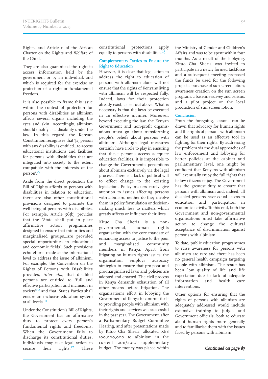Rights, and Article <sup>11</sup> of the African Charter on the Rights and Welfare of the Child.

They are also guaranteed the right to access information held by the governmen<sup>t</sup> or by an individual, and which is required for the exercise or protection of <sup>a</sup> right or fundamental freedom.

It is also possible to frame this issue within the context of protection for persons with disabilities as albinism affects several organs including the eyes and skin. Accordingly, albinism should qualify as <sup>a</sup> disability under the law. In this regard, the Kenyan Constitution recognises that '[a] person with any disability is entitled…to access educational institutions and facilities for persons with disabilities that are integrated into society to the extent compatible with the interests of the person'. 9

Aside from the direct protection the Bill of Rights affords to persons with disabilities in relation to education, there are also other constitutional provisions designed to promote the well-being of persons with disabilities. For example, Article 56(b) provides that the 'State shall pu<sup>t</sup> in place affirmative action programmes designed to ensure that minorities and marginalised groups…are provided special opportunities in educational and economic fields'. Such provisions echo efforts made at the international level to address the issue of albinism. For example, the Convention on the Rights of Persons with Disabilities provides, inter alia, that disabled persons are entitled to 'full and effective participation and inclusion in society'<sup>10</sup> and that 'States Parties shall ensure an inclusive education system at all levels'.<sup>11</sup>

Under the Constitution's Bill of Rights, the Government has an affirmative duty to protect every person's fundamental rights and freedoms. When the Government fails to discharge its constitutional duties, individuals may take legal action to secure their rights.<sup>12</sup> **These**  constitutional protections apply equally to persons with disabilities.<sup>13</sup>

### **Complementary Tactics to Ensure the Right to Education**

However, it is clear that legislation to address the right to education of persons with albinism alone will not ensure that the rights of Kenyans living with albinism will be respected fully. Indeed, laws for their protection already exist, as set out above. What is necessary is that the laws be executed in an effective manner. Moreover, beyond executing the law, the Kenyan Government and non-profit organisations must go about transforming people's beliefs about persons with albinism. Although legal measures certainly have <sup>a</sup> role to play in ensuring that these persons access adequate education facilities, it is impossible to change the Government's perceptions about albinism exclusively via the legal process. There is <sup>a</sup> lack of political will to effect change to the existing legislation. Policy makers rarely give attention to issues affecting persons with albinism, neither do they involve them in policy formulation or decisionmaking much less to matters which greatly affects or influence their lives.

Kituo Cha Sheria is <sup>a</sup> nongovernmental, human rights organisation with the core mandate of enhancing access to justice to the poor and marginalised community members in Kenya. Apart from litigating on human rights issues, the organisation employs advocacy strategies to ensure that pro-poor and pro-marginalised laws and policies are adopted and enacted. The civil process in Kenya demands exhaustion of all other means before litigation. The organisation's effort in lobbying the Government of Kenya to commit itself to providing people with albinism with their rights and services was successful in the pas<sup>t</sup> year. The Government, after <sup>a</sup> Parliamentary Budget Committee Hearing, and after presentations made by Kituo Cha Sheria, allocated KES 100,000,000 to albinism in the current 2011/2012 supplementary budget. The money was placed within the Ministry of Gender and Children's Affairs and was to be spent within four months. As a result of the lobbying, Kituo Cha Sheria was invited to participate in a newly formed taskforce and a subsequent meeting proposed the funds be used for the following projects: purchase of sun screen lotion; awareness creation on the sun screen program; a baseline survey and census; and a pilot project on the local production of sun screen lotion.

### **Conclusion**

From the foregoing, lessons can be drawn that advocacy for human rights and the rights of persons with albinism can be used as an effective tool in fighting for their rights. By addressing the problem via the dual approaches of law enforcement and lobbying for better policies at the cabinet and parliamentary level, one might be confident that Kenyans with albinism will eventually enjoy the full rights that fellow citizens enjoy. The Government has the greatest duty to ensure that persons with albinism and, indeed, all disabled persons have equal access to education and participation in economic activity. To this end, both the Government and non-governmental organisations must take affirmative action to change the cultural acceptance of discrimination against persons with albinism.

To date, public education programmes to raise awareness for persons with albinism are rare and there has been no general health campaign targeting people with albinism. The result has been low quality of life and life expectation due to lack of adequate information and health care interventions.

Other options for ensuring that the rights of persons with albinism are adequately addressed would include extensive training to judges and Government officials, both to educate about human rights more generally and to familiarise them with the issues faced by persons with albinism.

Continued on page 87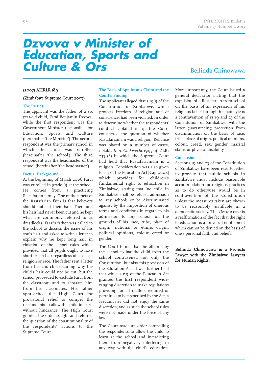### *Dzvova v Minister of Education, Sports and Culture & Ors*

### Bellinda Chinowawa

### (2007) AHRLR 189

#### (Zimbabwe Supreme Court 2007)

### **The Parties**

The applicant was the father of a six year-old child, Farai Benjamin Dzvova, while the first respondent was the Government Minister responsible for Education, Sports and Culture (hereinafter 'the Minister'). The second respondent was the primary school in which the child was enrolled (hereinafter 'the school'). The third respondent was the headmaster of the school (hereinafter 'the headmaster').

#### **Factual Background**

At the beginning of March 2006 Farai was enrolled in grade (1) at the school. He comes from a practicing Rastafarian family. One of the tenets of the Rastafarian faith is that believers should not cut their hair. Therefore, his hair had never been cut and he kept what are commonly referred to as dreadlocks. Farai's father was called to the school to discuss the issue of his son's hair and asked to write a letter to explain why he kept long hair in violation of the school rules which provided that all pupils ought to have short brush hair regardless of sex, age, religion or race. The father sent a letter from his church explaining why the child's hair could not be cut, but the school proceeded to exclude Farai from the classroom and to separate him from his classmates. His father approached the High Court for provisional relief to compel the respondents to allow the child to learn without hindrance. The High Court granted the order sought and referred the question of the constitutionality of the respondents' actions to the Supreme Court.

### **The Basis of Applicant's Claim and the Court's Finding**

The applicant alleged that s 19(1) of the Constitution of Zimbabwe, which protects freedom of religion and of conscience, had been violated. In order to determine whether the respondents' conduct violated s 19, the Court considered the question of whether Rastafarianism was a religion. Reliance was placed on a number of cases, notably In re Chikweche 1995 (1) (ZLR) 235 (S) in which the Supreme Court had held that Rastafarianism is a religion. Consideration was also given to s 4 of the Education Act [Cap 25:04] which provides for children's fundamental right to education in Zimbabwe, stating that 'no child in Zimbabwe shall be refused admission to any school; or be discriminated against by the imposition of onerous terms and conditions in regard to his admission to any school; on the grounds of his race, tribe, place of origin, national or ethnic origin, political opinions, colour, creed or gender.'

The Court found that the attempt by the school to bar the child from the school contravened not only the Constitution, but also this provision of the Education Act. It was further held that while s 69 of the Education Act granted the first respondent wideranging discretion to make regulations providing for all matters required or permitted to be prescribed by the Act, a Headmaster did not enjoy the same discretion, and as such the school rules were not made under the force of any law.

The Court made an order compelling the respondents to allow the child to learn at the school and interdicting them from negatively interfering in any way with the child's education. More importantly, the Court issued a general declarator stating that the expulsion of a Rastafarian from school on the basis of an expression of his religious belief through his hairstyle is a contravention of ss 19 and 23 of the Constitution of Zimbabwe, with the latter guaranteeing protection from discrimination on the basis of race, tribe, place of origin, political opinions, colour, creed, sex, gender, marital status or physical disability.

#### **Conclusion**

Sections 19 and 23 of the Constitution of Zimbabwe have been read together to provide that public schools in Zimbabwe must include reasonable accommodation for religious practices as to do otherwise would be in contravention of the Constitution unless the measures taken are shown to be reasonably justifiable in a democratic society. The Dzvova case is a reaffirmation of the fact that the right to education is a universal entitlement which cannot be denied on the basis of one's personal faith and beliefs.

### Bellinda Chinowawa is a Projects Lawyer with the Zimbabwe Lawyers for Human Rights.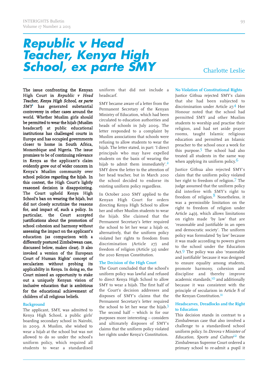# *Republic v Head Teacher, Kenya High School, ex parte SMY*

Charlotte Leslie

The issue confronting the Kenyan High Court in Republic <sup>v</sup> Head Teacher, Kenya High School, ex parte  $SMY<sup>1</sup>$  has generated substantial controversy in other cases around the world. Whether Muslim girls should be permitted to wear the hijab (Muslim headscarf) at public educational institutions has challenged courts in Europe and has occupied governments closer to home in South Africa, Mozambique and Nigeria. The issue promises to be of continuing relevance in Kenya as the applicant's claim evidently grew out of wider concern in Kenya's Muslim community over school policies regarding the hijab. In this context, the High Court's lightly reasoned decision is disappointing. The Court upheld Kenya High School's ban on wearing the hijab, but did not closely scrutinise the reasons for, and impact of, such a policy. In particular, the Court accepted justifications about the promotion of school cohesion and harmony without assessing the impact on the applicant's education (as comparison with a differently postured Zimbabwean case, discussed below, makes clear). It also invoked a version of the European Court of Human Rights' concept of secularism without probing its applicability in Kenya. In doing so, the Court missed an opportunity to stake out a uniquely Kenyan vision of inclusive education that is ambitious for the educational achievement of children of all religious beliefs.

### **Background**

The applicant, SMY, was admitted to Kenya High School, a public girls' boarding secondary school in Nairobi, in 2009. A Muslim, she wished to wear a hijab at the school but was not allowed to do so under the school's uniform policy, which required all students to wear a standardised

uniform that did not include a headscarf.

SMY became aware of a letter from the Permanent Secretary of the Kenyan Ministry of Education, which had been circulated to education authorities and heads of schools in July 2009. The letter responded to a complaint by Muslim associations that schools were refusing to allow students to wear the hijab. The letter stated, in part: 'I direct principals who may have expelled students on the basis of wearing the hijab to admit them immediately'.<sup>2</sup> SMY drew the letter to the attention of her head teacher, but in March 2010 the school decided to endorse its existing uniform policy regardless.

In October 2010 SMY applied to the Kenyan High Court for orders directing Kenya High School to allow her and other Muslim students to wear the hijab. She claimed that the Permanent Secretary's letter required the school to let her wear a hijab or, alternatively, that the uniform policy violated her rights to freedom from discrimination (Article 27) and freedom of religion (Article 32) under the 2010 Kenyan Constitution.

### **The Decision of the High Court**

The Court concluded that the school's uniform policy was lawful and refused to direct Kenya High School to allow SMY to wear a hijab. The first half of the Court's decision addresses and disposes of SMY's claims that the Permanent Secretary's letter required the school to let her wear the hijab.<sup>3</sup> The second half – which is for our purposes more interesting – considers and ultimately disposes of SMY's claims that the uniform policy violated her rights under Kenya's Constitution.

**No Violation of Constitutional Rights** Justice Githua rejected SMY's claim that she had been subjected to discrimination under Article 27. 4 Her Honour noted that the school had permitted SMY and other Muslim students to worship and practise their religion, and had set aside prayer rooms, taught Islamic religious education and permitted an Islamic preacher to the school once a week for this purpose. The school had also treated all students in the same way when applying its uniform policy.<sup>6</sup>

Justice Githua also rejected SMY's claim that the uniform policy violated her right to freedom of religion. 7 The judge assumed that the uniform policy did interfere with SMY's right to freedom of religion.<sup>8</sup> Nonetheless, it was a permissible limitation on the right to freedom of religion under Article 24(1), which allows limitations on rights made 'by law' that are 'reasonable and justifiable in an open and democratic society'. The uniform policy was formulated 'by law' because it was made according to powers given to the school under the Education Act. 9 The policy was also 'reasonable and justifiable' because it was designed to ensure equality among students, promote harmony, cohesion and discipline and thereby improve academic standards, 10 and additionally because it was consistent with the principle of secularism in Article 8 of the Kenyan Constitution.<sup>11</sup>

### **Headscarves, Dreadlocks and the Right to Education**

This decision stands in contrast to a Zimbabwean case that also involved a challenge to a standardised school uniform policy. In Dzvova <sup>v</sup> Minister of Education, Sports and Culture<sup>12</sup> the Zimbabwean Supreme Court ordered a primary school to re-admit a pupil it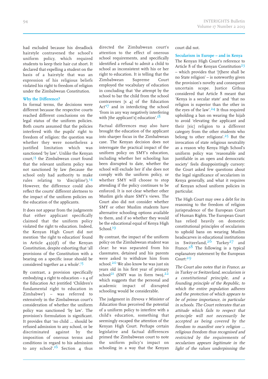had excluded because his dreadlock hairstyle contravened the school's uniform policy, which required students to keep their hair cut short. It declared that expelling a student on the basis of a hairstyle that was an expression of his religious beliefs violated his right to freedom of religion under the Zimbabwean Constitution.

### **Why the Difference?**

In formal terms, the decisions were different because the respective courts reached different conclusions on the legal status of the uniform policies. Both courts assumed that the policies interfered with the pupils' right to freedom of religion: the question was whether they were nonetheless a justified limitation which was sanctioned 'by law'. Unlike the Kenyan court,<sup>13</sup> the Zimbabwean court found that the relevant uniform policy was not sanctioned by law (because the school only had authority to make rules relating to 'discipline').<sup>14</sup> However, the difference could also reflect the courts' different alertness to the impact of the uniform policies on the education of the applicants.

It does not appear from the judgments that either applicant specifically claimed that the uniform policy violated the right to education. Indeed, the Kenyan High Court did not mention 'the right to education' found in Article 43(1)(f) of the Kenyan Constitution, despite exhorting that 'all provisions of the Constitution with a bearing on a specific issue should be considered together as a whole'.<sup>15</sup>

By contrast, a provision specifically embodying a right to education – s 4 of the Education Act (entitled 'Children's fundamental right to education in Zimbabwe') – was referred to extensively in the Zimbabwean court's consideration of whether the uniform policy was sanctioned 'by law'. The provision's formulation is significant. It provides that 'no child … should be refused admission to any school, or be discriminated against by the imposition of onerous terms and conditions in regard to his admission to any school'.<sup>16</sup> Section 4 thus

directed the Zimbabwean court's attention to the effect of onerous school requirements, and specifically identified a refusal to admit a child to school as inconsistent with his or her right to education. It is telling that the Zimbabwean Supreme Court employed the vocabulary of education in concluding that 'the attempt by the school to bar the child from the school contravenes [s 4] of the Education Act<sup>17</sup> and in interdicting the school 'from in any way negatively interfering with [the applicant's] education'.<sup>18</sup>

Factual differences may also have brought the education of the applicant into sharper focus in the Zimbabwean case. The Kenyan decision does not interrogate the practical impact of the uniform policy on SMY's education, including whether her schooling has been disrupted to date, whether the school will exclude her if she does not comply with the uniform policy, or whether SMY will choose to stop attending if the policy continues to be enforced. It is not clear whether other Muslim girls share SMY's views. The Court also did not consider whether SMY or other Muslim students have alternative schooling options available to them, and if so whether they would be the educational equal of Kenya High School. 19

By contrast, the impact of the uniform policy on the Zimbabwean student was clear: he was separated from his classmates, detained and his parents were asked to withdraw him from school.<sup>20</sup> We also know he was just six years old in his first year of primary  $\text{school}^{21}$  (SMY was in form two), $^{22}$ which suggests that the personal and academic impact of disrupted schooling would be considerable.

The judgment in Dzvova <sup>v</sup> Minister of Education thus perceived the potential of a uniform policy to interfere with a child's education, something that seemingly escaped the attention of the Kenyan High Court. Perhaps certain legislative and factual differences primed the Zimbabwean court to note the uniform policy's impact on schooling in a way that the Kenyan

court did not.

#### **Secularism in Europe – and in Kenya**

The Kenyan High Court's reference to Article 8 of the Kenyan Constitution<sup>23</sup> – which provides that '[t]here shall be no State religion' – is noteworthy given the provision's novelty and consequent uncertain scope. Justice Githua considered that Article 8 meant that 'Kenya is a secular state' and 'that no religion is superior than the other in the eyes of the law'. 24 It thus required upholding a ban on wearing the hijab to avoid 'elevating the applicant and their [sic] religion to a different category from the other students who belong to other religions'.<sup>25</sup> But the invocation of state religious neutrality as a reason why Kenya High School's uniform policy was 'reasonable and justifiable in an open and democratic society' feels disappointingly cursory: the Court asked few questions about the legal significance of secularism in Kenya generally, and what it requires of Kenyan school uniform policies in particular.

The High Court may owe a debt for its reasoning to the freedom of religion jurisprudence of the European Court of Human Rights. The European Court has relied heavily on domestic constitutional principles of secularism to uphold bans on wearing Muslim headscarves in educational institutions in Switzerland,<sup>26</sup> Turkey<sup>27</sup> and France.<sup>28</sup> The following is a typical explanatory statement by the European Court: 29

The Court also notes that in France, as in Turkey or Switzerland, secularism is <sup>a</sup> constitutional principle, and <sup>a</sup> founding principle of the Republic, to which the entire population adheres and the protection of which appears to be of prime importance, in particular in schools. The Court reiterates that an attitude which fails to respect that principle will not necessarily be accepted as being covered by the freedom to manifest one's religion … religious freedom thus recognised and restricted by the requirements of secularism appears legitimate in the light of the values underpinning the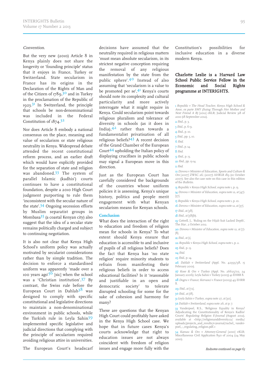### Convention.

But the very new (2010) Article 8 in Kenya plainly does not share the longevity or 'founding principle' status that it enjoys in France, Turkey or Switzerland. State secularism in France has its origins in the Declaration of the Rights of Man and of the Citizen of 1789,<sup>30</sup> and in Turkey in the proclamation of the Republic of 1923.<sup>31</sup> In Switzerland, the principle that schools be non-denominational was included in the Federal Constitution of 1874.<sup>32</sup>

Nor does Article 8 embody <sup>a</sup> national consensus on the place, meaning and value of secularism or state religious neutrality in Kenya. Widespread debate attended the recent constitutional reform process, and an earlier draft which would have explicitly provided for the separation of state and religion was abandoned. <sup>33</sup> The system of parallel Islamic (kadhis') courts continues to have <sup>a</sup> constitutional foundation, despite <sup>a</sup> <sup>2010</sup> High Court judgment purporting to rule them 'inconsistent with the secular nature of the state'.<sup>34</sup> Ongoing secession efforts by Muslim separatist groups in Mombasa $35$  (a coastal Kenyan city) also sugges<sup>t</sup> that the idea of <sup>a</sup> secular state remains politically charged and subject to continuing negotiation.

It is also not clear that Kenya High School's uniform policy was actually motivated by secularist considerations rather than by simple tradition. The decision to enforce <sup>a</sup> standardised uniform was apparently 'made over <sup>a</sup> 100 years ago' $3^{6}$  [sic] when the school was <sup>a</sup> 'Christian institution'. <sup>37</sup> By contrast, the Swiss rule before the European Court in Dahlab<sup>38</sup> was designed to comply with specific constitutional and legislative directions to maintain <sup>a</sup> non-denominational environment in public schools, while the Turkish rule in Leyla Sahin<sup>39</sup> implemented specific legislative and judicial directions that complying with the principle of secularism required avoiding religious attire in universities.

The European Court's headscarf

decisions have assumed that the neutrality required in religious matters 'must mean absolute secularism, in its strictest negative conception requiring the removal of any religious manifestation by the state from the public sphere'. 40 Instead of also assuming that 'secularism is <sup>a</sup> value to be promoted per se', <sup>41</sup> Kenya's courts should note its complexity and cultural particularity and more actively interrogate what it might require in Kenya. Could secularism point towards religious pluralism and tolerance of diversity in schools (as it does in India), 42 rather than towards <sup>a</sup> fundamentalist privatisation of all religious beliefs?<sup>43</sup> A recent decision of the Grand Chamber of the European Court <sup>44</sup> upholding the Italian policy of displaying crucifixes in public schools may signal <sup>a</sup> European move in this direction.

Just as the European Court has carefully considered the backgrounds of the countries whose uniform policies it is assessing, Kenya's unique history, politics and people merit engagemen<sup>t</sup> with what Kenyan secularism means for Kenyan schools.

#### **Conclusion**

What does the interaction of the right to education and freedom of religion mean for schools in Kenya? To what extent should Kenya ensure that education is accessible to and inclusive of pupils of all religious beliefs? Does the fact that Kenya has 'no state religion' require minority students to refrain from manifesting their religious beliefs in order to access educational facilities? Is it 'reasonable and justifiable in an open and democratic society' to tolerate disrupted schooling for some for the sake of cohesion and harmony for many?

These are questions that the Kenyan High Court could profitably have asked in the Kenya High School case. We hope that in future cases Kenya's courts acknowledge that right to education issues are not always coincident with freedom of religion issues and engage more fully with the Constitution's possibilities for inclusive education in a diverse modern Kenya.

### Charlotte Leslie is a Harvard Law School Public Service Fellow in the Economic and Social Rights programme at INTERIGHTS.

1 Republic <sup>v</sup> The Head Teacher, Kenya High School & Anor, ex parte SMY (Suing Through Her Mother and Next Friend A B) [2012] eKLR; Judicial Review 318 of 2010 (18 September 2012).

- 2 *Ibid.*, p. 3.
- 3 Ibid., p. 6-9.
- 4 Ibid., p. 10.

 $Ibid., pp. 5, 10.$ 6 Ibid.

- 7 Ibid., p. 14.
- 8 Ibid.
- 9 Ibid., p. 13.
- 10 Ibid., pp. 13-14.
- n Ibid.

12 Dzvova <sup>v</sup> Minister of Education, Sports and Culture & Ors [2007] ZWSC 26; (2007) AHRLR 189 (10 October 2007). See also the case note on this case in this edition of the Bulletin.

13 Republic <sup>v</sup> Kenya High School, supra note 1, p. 13.

14 Dzvova <sup>v</sup> Minister of Education, supra note 12, at [47]- [7].

- 15 Republic v Kenya High School, supra note 1, p. 10.
- 16 Dzvova <sup>v</sup> Minister of Education, supra note 12, at [37]. 17 Ibid., at [38].
- $18$  *Ibid.*, at  $[58]$ (b).

19 Cottrell, J., 'Ruling on the Hijab Suit Lacked Depth', The Star, 2 October 2012.

20 Dzvova <sup>v</sup> Minister of Education, supra note 12, at [7]- [8].

 $21$ *Ibid.*, at [1].

- 22 Republic <sup>v</sup> Kenya High School, supra note 1, p. 2.
- 23 Ibid., p. 13.
- 24 Ibid.
	- 25 Ibid., p. 14.

26 Dahlab <sup>v</sup> Switzerland (Appl. No. 42393/98, 1 February 2001).

 $27$  Kose & Ors v Turkey (Appl. No. 26625/02, 24 January 2006); Leyla Sahin v Turkey (2005) 41 EHRR 8. 28 Dogru <sup>v</sup> France; Kervanci <sup>v</sup> France (2009) 49 EHRR 8.

- 29 Ibid., at [72].
- **30** *Ibid.*, at [18].

31 Leyla Sahin <sup>v</sup> Turkey, supra note 27, at [30].

32 Dahlab v Switzerland, supra note 26, at p. 7.

33 Vanderpoel, R.S., 'Religious Equality in Kenya? Adjudicating the Constitutionality of Kenya's Kadhis' Courts' Regulating Religion E-Journal (August 2012), available at <http://religionanddiversity.ca/ media/ uploads/projects\_and\_results/e-journal/rachel\_ vanderpoel\_-\_regulating\_religion.pdf.>

34 Kamau & Ors <sup>v</sup> Attorney-General [2010] eKLR; Miscellaneous Civil Application 890 of 2004 (24 May 2010).

Endnotes continued on page 6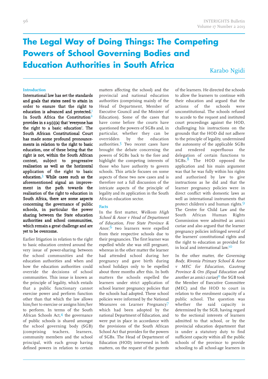### **The Legal Way of Doing Things: The Competing Powers of School Governing Bodies and Education Authorities in South Africa**

Karabo Ngidi

### **Introduction**

International law has set the standards and goals that states need to attain in order to ensure that the right to education is advanced and protected.<sup>1</sup> In South Africa the Constitution<sup>2</sup> provides in s 29(1)(a) that 'everyone has the right to a basic education'. The South African Constitutional Court has made some profound pronouncements in relation to the right to basic education, one of these being that the right is not, within the South African context, subject to progressive realisation as well as the horizontal application of the right to basic education. 3 While cases such as the aforementioned signal an improvement in the path towards the realisation of the right to education in South Africa, there are some aspects concerning the governance of public schools, in particular the power sharing between the State education authorities and school communities, which remain a great challenge and are yet to be overcome.

Earlier litigation in relation to the right to basic education centred around the very issue of power-sharing between the school communities and the education authorities and when and how the education authorities could override the decisions of school communities. This issue is known as the principle of legality, which entails that a public functionary cannot exercise power and perform function other than that which the law allows him/her to exercise or assigns him/her to perform. In terms of the South African Schools Act, 4 the governance of public schools is shared amongst the school governing body (SGB) (comprising teachers, learners, community members and the school principal, with each group having defined powers in relation to certain matters affecting the school) and the provincial and national education authorities (comprising mainly of the Head of Department, Member of Executive Council and the Minister of Education). Some of the cases that have come before the courts have questioned the powers of SGBs and, in particular, whether they can be overridden by the education authorities. Two recent cases have brought the debate concerning the powers of SGBs back to the fore and highlight the competing interests of those who have authority to govern schools. This article focuses on some aspects of these two new cases and is therefore not a full discussion of the intricate aspects of the principle of legality and its application in the South African education sector.

### **Facts**

In the first matter, Welkom High School & Anor <sup>v</sup> Head of Department of Education, Free State Province & Anor,<sup>6</sup> two learners were expelled from their respective schools due to their pregnancies. The first learner was expelled while she was still pregnant, whereas in the other matter the learner had attended school during her pregnancy and gave birth during school holidays only to be expelled about three months after this. In both matters the schools expelled the learners under strict application of school learner pregnancy policies that the schools had adopted. These school policies were informed by the National Measures on Learner Pregnancy7 which had been adopted by the national Department of Education, and were put in place in accordance with the provisions of the South African School Act that provides for the powers of SGBs. The Head of Department of Education (HOD) intervened in both matters, on the request of the parents of the learners. He directed the schools to allow the learners to continue with their education and argued that the actions of the schools were unconstitutional. The schools refused to accede to the request and instituted court proceedings against the HOD, challenging his instructions on the grounds that the HOD did not adhere to the principle of legality, undermined the autonomy of the applicable SGBs and rendered superfluous the delegation of certain functions to SGBs.<sup>8</sup> The HOD opposed the application and his main argument was that he was fully within his rights and authorised by law to give instructions as he did and that the learner pregnancy policies were in direct conflict with domestic laws as well as international instruments that protect children's and human rights. 9 The Centre for Child Law and the South African Human Rights Commission were admitted as amici curiae and also argued that the learner pregnancy policies infringed several of the learners' constitutional rights and the right to education as provided for in local and international law.<sup>10</sup>

In the other matter, the Governing Body, Rivonia Primary School & Anor <sup>v</sup> MEC for Education, Gauteng Province & Ors (Equal Education and another as amici curiae)<sup>11</sup> the SGB took the Member of Executive Committee (MEC) and the HOD to court in relation to the enrolment capacity of a public school. The question was whether the said capacity is determined by the SGB, having regard to the sectional interests of learners admitted to that school, or by the provincial education department that is under a statutory duty to find sufficient capacity within all the public schools of the province to provide schooling to all school-age learners in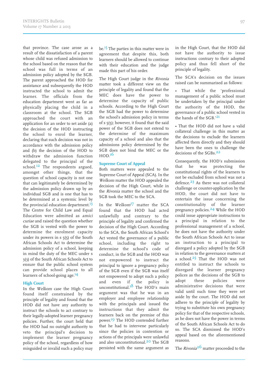that province. The case arose as a result of the dissatisfaction of a parent whose child was refused admission to the school based on the reason that the school was full in terms of an admission policy adopted by the SGB. The parent approached the HOD for assistance and subsequently the HOD instructed the school to admit the learner. The officials from the education department went as far as physically placing the child in a classroom at the school. The SGB approached the court with an application for an order to set aside (a) the decision of the HOD instructing the school to enrol the learner, declaring that such decision was not in accordance with the admission policy and (b) the decision of the HOD to withdraw the admission function delegated to the principal of the school.<sup>12</sup> The respondents argued, amongst other things, that the question of school capacity is not one that can legitimately be determined by the admission policy drawn up by an individual SGB and is one that has to be determined at a systemic level by the provincial education department.<sup>13</sup> The Centre for Child Law and Equal Education were admitted as amici curiae and raised the question whether the SGB is vested with the power to determine the enrolment capacity under its powers in  $s$   $(5)$  of the South African Schools Act to determine the admission policy of a school, keeping in mind the duty of the MEC under s 3(3) of the South African Schools Act to ensure that the public school system can provide school places to all learners of school-going age.<sup>14</sup>

### **High Court**

In the Welkom case the High Court found itself constrained by the principle of legality and found that the HOD did not have any authority to instruct the schools to act contrary to their legally-adopted learner pregnancy policies. Further, the court held that the HOD had no outright authority to veto the principal's decision to implement the learner pregnancy policy of the school, regardless of how misguided or invalid such a policy may

be.<sup>15</sup> The parties in this matter were in agreement that despite this, both learners should be allowed to continue with their education and the judge made this part of his order.

The High Court judge in the Rivonia matter took a different view on the principle of legality and found that the MEC does have the power to determine the capacity of public schools. According to the High Court the SGB had the power to determine the school's admission policy in terms of s (); however, it found that the said power of the SGB does not extend to the determine of the maximum capacity of a school and also that the admissions policy determined by the SGB does not bind the MEC or the HOD. 16

### **Supreme Court of Appeal**

Both matters were appealed to the Supreme Court of Appeal (SCA). In the Welkom matter the HOD appealed the decision of the High Court, while in the Rivonia matter the school and the SGB took the MEC to the SCA.

In the Welkom<sup>17</sup> matter the SCA found that the HOD had acted unlawfully and contrary to the principle of legality and confirmed the decision of the High Court. According to the SCA, the South African School's Act vested the governance of a public school, including the right to determine the school's code of conduct, in the SGB and the HOD was not empowered to instruct the principal to ignore a pregnancy policy of the SGB even if the SGB was itself not empowered to adopt such a policy and even if the policy is unconstitutional. 18 The HOD's main argument was that he was in an employer and employee relationship with the principals and issued the instructions that they admit the learners back on the premise of this power. 19 The HOD contended further that he had to intervene particularly since the policies in contention or actions of the principals were unlawful and also unconstitutional. 20 The SGB persisted with the same argument as in the High Court, that the HOD did not have the authority to issue instructions contrary to their adopted policy and thus fell short of the principle of legality.

The SCA's decision on the issues raised can be summarised as follows:

That while the 'professional management of a public school must be undertaken by the principal under the authority of the HOD, the governance of a public school vested in the hands of the SGB.' 21

• That the HOD did not have a valid collateral challenge in this matter as the decisions to exclude the learners affected them directly and they should have been the ones to challenge the decisions of the SGBs.<sup>22</sup>

Consequently, the HOD's submission that he was protecting the constitutional rights of the learners to not be excluded from school was not a defence. 23 As there was not collateral challenge or counter-application by the HOD, the court did not have to entertain the issue concerning the constitutionality of the learner pregnancy policies.<sup>24</sup> While the HOD could issue appropriate instructions to a principal in relation to the professional management of a school, he does not have the authority under the South African Schools Act to issue an instruction to a principal to disregard a policy adopted by the SGB in relation to the governance matters at a school. $25$  That the HOD was not entitled to instruct the schools to disregard the learner pregnancy polices as the decisions of the SGB to adopt these policies were administrative decisions that were valid until such time they were set aside by the court. The HOD did not adhere to the principle of legality by trying to substitute his own pregnancy policy for that of the respective schools, as he does not have the power in terms of the South African Schools Act to do so. The SCA dismissed the HOD's appeal based on the aforementioned reasons.

The *Rivonia*<sup>26</sup> matter proceeded to the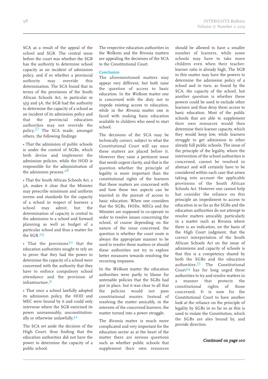SCA as a result of the appeal of the school and SGB. The central issue before the court was whether the SGB has the authority to determine school capacity as an incident of admission policy, and if so whether a provincial authority may override this determination. The SCA found that in terms of the provisions of the South African Schools Act, in particular ss  $5(5)$  and  $5A$ , the SGB had the authority to determine the capacity of a school as an incident of its admission policy and that the provincial education authorities may not override the policy. 27 The SCA made, amongst others, the following findings:

• That the admission of public schools is under the control of SGBs, which both devise and implement the admission policies, while the HOD is responsible for the administration of the admission process.<sup>28</sup>

• That the South African Schools Act, s A, makes it clear that the Minister may prescribe minimum and uniform norms and standards for the capacity of a school in respect of learners a school may admit, but the determination of capacity is central to the admission to a school and forward planning as well as budget of a particular school and thus a matter for the SGB. 29

• That the provisions $3^{\circ}$  that the education authorities sought to rely on to prove that they had the power to determine the capacity of a school were concerned with the authority that they have to enforce compulsory school attendance and the provision of infrastructure. 31

• That once a school lawfully adopted its admission policy, the HOD and MEC were bound by it and could only intervene where the SGB exercised its power unreasonably, unconstitutionally or otherwise unlawfully.<sup>32</sup>

The SCA set aside the decision of the High Court, thus finding that the education authorities did not have the power to determine the capacity of a public school.

The respective education authorities in the Welkom and the Rivonia matters are appealing the decisions of the SCA to the Constitutional Court.

### **Conclusion**

The aforementioned matters may appear very different, but both raise the question of access to basic education. In the Welkom matter one is concerned with the duty not to impede existing access to education, while in the Rivonia matter one is faced with making basic education available to children who need to start school.

The decisions of the SCA may be technically correct, subject to what the Constitutional Court will say once these matters are placed before it. However they raise a pertinent issue that needs urgent clarity, and that is the question whether the principle of legality is more important than the constitutional rights of the learners that these matters are concerned with and how these two aspects can be married in the pursuit of access to basic education. When one considers that the SGBs, HODs, MECs and the Minister are supposed to co-operate in order to resolve issues concerning the school, of course depending on the nature of the issue concerned, the question is whether the court route is always the appropriate manner to be used to resolve these matters or should these authorities not try to explore better measures towards resolving the recurring impasses.

In the Welkom matter the education authorities were partly to blame for untenable policies that the SGBs had put in place, but it was clear to all that the policies would not pass constitutional muster. Instead of resolving the matter amicably, in the interests of the concerned learners, the matter turned into a power struggle.

The Rivonia matter is much more complicated and very important for the education sector as at the heart of the matter there are serious questions such as whether public schools that supplement their own resources should be allowed to have a smaller number of learners, while some schools may have to take more children even when their teacherlearner ratio is already high. The SGB in this matter may have the powers to determine the admission policy of a school and in turn, as found by the SCA, the capacity of the school, but another question is whether these powers could be used to exclude other learners and thus deny them access to basic education. Most of the public schools that are able to supplement their own resources would then determine their learner capacity, which they would keep low, while learners struggle to get admission to other already full public schools. The issue of the principle of the legality, where the intervention of the school authorities is concerned, cannot be resolved in abstract and will certainly have to be considered within each case that arises taking into account the applicable provisions of the South African Schools Act. However one cannot help but consider the reliance on this principle an impediment to access to education in so far as the SGBs and the education authorities do not attempt to resolve matters amicably, particularly in a matter such as Rivonia where there is an indication, on the basis of the High Court judgment, that the correct interpretation of the South African Schools Act on the issue of admissions and capacity of schools is that this is a competency shared by both the SGBs and the education authorities. 33 The Constitutional Court 34 has for long urged these authorities to try and resolve matters in a manner that protects the<br>constitutional rights of those constitutional rights concerned. It is now for the Constitutional Court to have another look at the reliance on the principle of legality by SGBs in so far so as this is used to violate the Constitution, which the SGBs are also bound by, and provide direction.

Continued on page <sup>100</sup>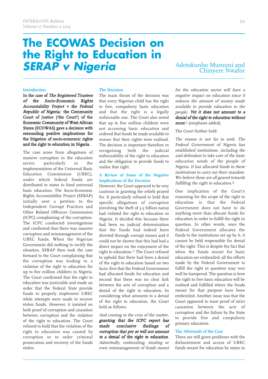### **The ECOWAS Decision on the Right to Education in** *SERAP v Nigeria*

### Adetokunbo Mumuni and Chinyere Nwafor

### **Introduction**

In the case of The Registered Trustees of the Socio-Economic Rights Accountability Project <sup>v</sup> the Federal Republic of Nigeria,<sup>1</sup> the Community Court of Justice ('the Court') of the Economic Community of West African States (ECOWAS) gave a decision with resounding positive implications for the litigation of socio-economic rights and the right to education in Nigeria.

The case arose from allegations of massive corruption in the education sector, particularly in the implementation of the Universal Basic Education Commission (UBEC), under which federal funds are distributed to states to fund universal basic education. The Socio-Economic Rights Accountability Project (SERAP) initially sent a petition to the Independent Corrupt Practices and Other Related Offences Commission (ICPC) complaining of the corruption. The ICPC conducted investigations and confirmed that there was massive corruption and mismanagement of the UBEC funds. When the Nigerian Government did nothing to rectify the situation, SERAP then took the case forward to the Court complaining that the corruption was leading to a violation of the right to education for up to five million children in Nigeria. The Court confirmed that the right to education was justiciable and made an order that the Federal State provide funds to properly implement UBEC while attempts were made to recover stolen funds. However, it insisted on both proof of corruption and causation between corruption and the violation of the right to education. The Court refused to hold that the violation of the right to education was caused by corruption or to order criminal prosecution and recovery of the funds stolen.

### **The Decision**

The main thrust of the decision was that every Nigerian child has the right to free, compulsory basic education and that the right is a legally enforceable one. The Court also noted that up to five million children were not accessing basic education and ordered that funds be made available to ensure that their rights were realised. The decision is important therefore in recognising both the judicial enforceability of the right to education and the obligation to provide funds to realise that right.

### **A Review of Some of the Negative Implications of the Decision**

However, the Court appeared to be very cautious in granting the reliefs prayed for. It particularly refused to hold that specific allegations of corruption (involving the theft of  $3.5$  billion naira) had violated the right to education in Nigeria. It decided this because there had been no judicial determination that the funds had indeed been diverted through corrupt means and it could not be shown that this had had a direct impact on the enjoyment of the right to education. 2 The Court refused to uphold that there had been a denial of the right to education based on two facts; first that the Federal Government had allocated funds for education and second that there was no clear link between the acts of corruption and a denial of the right to education. In considering what amounts to a denial of the right to education, the Court held as follows:

And coming to the crux of the matter, granting that the ICPC report has made conclusive findings of corruption that per se will not amount to <sup>a</sup> denial of the right to education. Admittedly, embezzling, stealing or even mismanagement of funds meant

for the education sector will have <sup>a</sup> negative impact on education since it reduces the amount of money made available to provide education to the people. Yet it does not amount to <sup>a</sup> denial of the right to education without *more.***3** (emphasis added)

### The Court further held:

The reason is not far to seek. The Federal Government of Nigeria has established institutions, including the 2nd defendant to take care of the basic education needs of the people of Nigeria. It has allocated funds to these institutions to carry out their mandate. We believe these are all geared towards fulfilling the right to education. 4

One implication of the Court's reasoning for the scope of the right to education is that the Federal Government does not have to do anything more than allocate funds for education in order to fulfill the right in question. In other words, once the Federal Government allocates the funds to the institutions set up by it, it cannot be held responsible for denial of the right. This is despite the fact that when the funds meant for basic education are embezzled, all the efforts made by the Federal Government to fulfill the right in question may very well be hampered. The question is how the right to free basic education will be realised and fulfilled where the funds meant for that purpose have been embezzled. Another issue was that the Court appeared to want proof of strict causation between the acts of corruption and the failure by the State to provide free and compulsory primary education.

### **The Aftermath of the Case**

There are still grave problems with the disbursement and access of UBEC funds meant for education by states in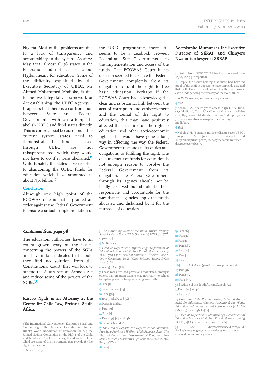Nigeria. Most of the problems are due to a lack of transparency and accountability in the system. As at 28 May 2012, almost all 36 states in the Federation had not accessed about N33bn meant for education. Some of the difficulty explained by the Executive Secretary of UBEC, Mr Ahmed Mohammed Modibbo, is due to the 'weak legislative framework or Act establishing [the UBEC Agency]'.<sup>5</sup> It appears that there is a confrontation between State and Federal Governments with an attempt to abolish UBEC and fund states directly. This is controversial because under the current system states need to demonstrate that funds accessed through UBEC are not misappropriated, which they would not have to do if it were abolished. 6 Unfortunately the states have resorted to abandoning the UBEC funds for education which have amounted to about N56billion.7

#### **Conclusion**

Although one high point of the ECOWAS case is that it granted an order against the Federal Government to ensure a smooth implementation of the UBEC programme, there still seems to be a deadlock between Federal and State Governments as to the implementation and access of the funds. The ECOWAS Court in its decision seemed to absolve the Federal Government completely from its obligation to fulfil the right to free basic education. Perhaps if the ECOWAS Court had acknowledged a clear and substantial link between the acts of corruption and embezzlement and the denial of the right to education, this may have positively affected the discourse on the right to education and other socio-economic rights. This would have gone a long way in affecting the way the Federal Government responds to its duties and obligations to fulfilling the right. The disbursement of funds for education is not enough reason to absolve the Federal Government from its obligation. The Federal Government through its agency should not be totally absolved but should be held responsible and accountable for the way that its agencies apply the funds allocated and disbursed by it for the purposes of education.

### Adetokunbo Mumuni is the Executive Director of SERAP and Chinyere Nwafor is a lawyer at SERAP.

1 Suit No. ECW/CCJ/APP/0808 delivered on 27/10/2009 (unreported)

2 Despite the Court holding that there had been no proof of the theft, it appears to have implicitly accepted that the theft occurred as it ordered that the State provide extra funds pending the recovery of the stolen funds.

3 SERAP <sup>v</sup> Nigeria, supra note 1, at para. 19.

4 Ibid.

5 Ashamu, A., 'States yet to access N33b UBEC fund, says Modibbo', Total Education, 28 May 2012, available at <http://www.totaleducation.com.ng/index.php/news /678-states-yet-to-access-n33b-ubec-fund-saysmodibbo>.

6 Ibid.

7 Noboh, S.H., 'Senators, minister disagree over UBEC', Blueprint, 6 July 2012, available at <http://blueprintng.com/2012/07/senators-ministerdisagree-over-ubec/>.

### Continued from page 98

The education authorities have to an extent grown wary of the issues concerning the powers of the SGBs and have in fact indicated that should they find no solution from the Constitutional Court, they will look to amend the South African Schools Act and reduce some of the powers of the  $SGBs.35$ 

### Karabo Ngidi is an Attorney at the Centre for Child Law, Pretoria, South Africa.

1 The International Convention on Economic, Social and Cultural Rights; the Universal Declaration on Human Rights; World Declaration of Education for All; the United Nations Convention on the Rights of the Child and the African Charter on the Rights and Welfare of the Child are some of the instruments that provide for the right to education.

2 Act 108 of 1996.

<sup>3</sup> The Governing Body of the Juma Musjid Primary School & Ors v Essay NO & Ors 2011 (8) BCLR 761 (CC) at para. [37].

### 4Act 84 of 1996.

**5** Head of Department: Mpumalanga Department of Education & Anor <sup>v</sup> Hoërskool Ermelo & Anor 2010 (3) BCLR 177(CC); Minister of Education, Western Cape & Ors <sup>v</sup> Governing Body Mikro Primary School & Ors 2006 (1) SA 1.

#### 62011(4) SA 31 (FB).

7 These measures had provisions that stated, amongst others, that pregnant leaners may not return to school for up to a period of two years after giving birth. 8 Para. [35].

- **9** Paras. [24] and [25].
- 10 Para. [56].
- 11 2012 (1) All SA 576 (GSI).
- 12 Paras. [1] and [2].
- 13 Para. [16].
- 14 Para. [3].
- 15 Paras. [33], [45] and [46].
- 16 Paras. [66] and [82].
- 

17 The Head of Department: Department of Education, Free State Province <sup>v</sup> Welkom High School & Anor; The Head of Department: Department of Education: Free State Province <sup>v</sup> Harmony High School & Anor 2012(6) SA 525 (SCA)

18 Para [24].

19 Para [16]

- 20 Para [16].
- **21** Para [11].
- 22 Para [16].
- 23 Para [16].
- 24 Para [20]. 25 Para [13].
- 
- 26 [2012]ZASCA 194 (30/11/2012) not yet reported.
- 27 Para [36].
- **28** Para [33].
- 29 Para. [37].

30Section 3 of the South African Schools Act.

 $31$  Paras. [40] to [45].

32 Para. [50].

33 Governing Body, Rivonia Primary School & Anor v<br>MEC for Education, Gauteng Province & Ors (Equal Education and another as amici curiae) 2012 (1) All SA 576 (GSJ) paras. [56] to [82].

34 Head of Department: Mpumalanga Department of Education & Anor <sup>v</sup> Hoërskool Ermelo & Anor 2010 (3) BCLR 177(CC) paras. [6]-[61] and [80]-[81].

3 See <http://www.beeld.com/Suid-Afrika/Nuus/Angie-geskap-oor-klassyfers20130110 accessed on 29 January 2013>.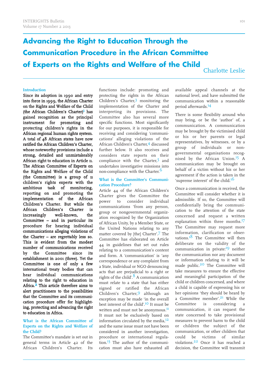### **Advancing the Right to Education Through the Communication Procedure in the African Committee of Experts on the Rights and Welfare of the Child**

Charlotte Leslie

### **Introduction**

Since its adoption in 1990 and entry into force in 1999, the African Charter on the Rights and Welfare of the Child (the African Children's Charter)<sup>1</sup> has gained recognition as the principal instrument for promoting and protecting children's rights in the African regional human rights system. A total of 48 African states have now ratified the African Children's Charter, whose noteworthy provisions include a strong, detailed and unmistakeably African right to education in Article 11. The African Committee of Experts on the Rights and Welfare of the Child (the Committee) is a group of 11 children's rights experts with the ambitious task of monitoring, reporting on and promoting the implementation of the African Children's Charter. But while the African Children's Charter is increasingly well-known, the Committee – and in particular its procedure for hearing individual communications alleging violations of the Charter – are regrettably less so. This is evident from the modest number of communications received by the Committee since its establishment in 2001 (three). Yet the Committee is one of only a few international treaty bodies that can hear individual communications relating to the right to education in Africa.<sup>2</sup> This article therefore aims to alert practitioners to the possibilities that the Committee and its communication procedure offer for highlighting, protecting and advancing the right to education in Africa.

### **What is the African Committee of Experts on the Rights and Welfare of the Child?**

The Committee's mandate is set out in general terms in Article 42 of the African Children's Charter. Its functions include: promoting and protecting the rights in the African Children's Charter, 3 monitoring the implementation of the Charter and interpreting its provisions. The Committee also has several more specific functions. Most significantly for our purposes, it is responsible for receiving and considering 'communications' alleging violations of the African Children's Charter, 4 discussed further below. It also receives and considers state reports on their compliance with the Charter,<sup>5</sup> and undertakes investigative missions into non-compliance with the Charter.<sup>6</sup>

### **What is the Committee's Communication Procedure?**

Article 44 of the African Children's Charter gives the Committee the power to consider individual communications 'from any person, group or nongovernmental organization recognized by the Organization of African Unity, by a Member State, or the United Nations relating to any matter covered by [the] Charter'. 7 The Committee has elaborated on Article 44 in guidelines that set out rules relating to a communication's content and form. A 'communication' is 'any correspondence or any complaint from a State, individual or NGO denouncing acts that are prejudicial to a right or rights of the child'. 8 A communication must relate to a state that has either signed or ratified the African Children's Charter, 9 although an exception may be made 'in the overall best interest of the child'. 10 It must be written and must not be anonymous.<sup>11</sup> It must not be exclusively based on information circulated by the media, 12 and the same issue must not have been considered in another investigation, procedure or international regulation. 13 The author of the communication must also have exhausted all

available appeal channels at the national level, and have submitted the communication within a reasonable period afterwards. 14

There is some flexibility around who may bring, or be the 'author' of, a communication. A communication may be brought by the victimised child or his or her parents or legal representatives, by witnesses, or by a group of individuals or nongovernmental organisations recognised by the African Union.<sup>15</sup> A communication may be brought on behalf of a victim without his or her agreement if the action is taken in the 'supreme interest' of the child.<sup>16</sup>

Once a communication is received, the Committee will consider whether it is admissible. If so, the Committee will confidentially bring the communication to the attention of the state concerned and request a written explanation within three months. 17 The Committee may request more information, clarification or observations.<sup>18</sup> The Committee will then deliberate on the validity of the communication in private:<sup>19</sup> neither the communication nor any document or information relating to it will be made public. 20 The Committee will take measures to ensure the effective and meaningful participation of the child or children concerned, and where a child is capable of expressing his or her opinions 'they should be heard by a Committee member'. 21 While the Committee is considering a communication, it can request the state concerned to take provisional measures to prevent harm to the child or children the subject of the communication, or other children that could be victims of similar violations. 22 Once it has reached a decision, the Committee will transmit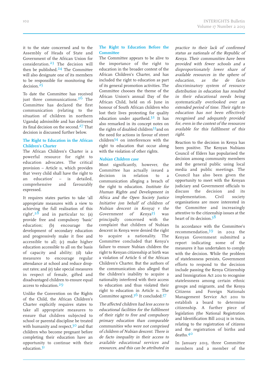it to the state concerned and to the Assembly of Heads of State and Government of the African Union for consideration. 23 The decision will then be published.<sup>24</sup> The Committee will also designate one of its members to be responsible for monitoring the decision.<sup>25</sup>

To date the Committee has received just three communications. 26 The Committee has declared the first communication (relating to the situation of children in northern Uganda) admissible and has delivered its final decision on the second. 27 That decision is discussed further below.

### **The Right to Education in the African Children's Charter**

The African Children's Charter is a powerful resource for right to education advocates. The critical provision – Article 11, which provides that 'every child shall have the right to an education' – is detailed, comprehensive and favourably expressed.

It requires states parties to take 'all appropriate measures with a view to achieving the full realisation of this right', $28$  and in particular to: (a) provide free and compulsory 'basic' education; (b) encourage the development of secondary education and progressively make it free and accessible to all; (c) make higher education accessible to all on the basis of capacity and ability; (d) take measures to encourage regular attendance at school and reduce dropout rates; and (e) take special measures in respect of female, gifted and disadvantaged children to ensure equal access to education. 29

Unlike the Convention on the Rights of the Child, the African Children's Charter explicitly requires states to take all appropriate measures to ensure that children subjected to school or parental discipline be treated with humanity and respect,<sup>30</sup> and that children who become pregnant before completing their education have an opportunity to continue with their education. 31

### **The Right to Education Before the Committee**

The Committee appears to be alive to the importance of the right to education in the broader context of the African Children's Charter, and has included the right to education as part of its general promotion activities. The Committee chooses the theme of the African Union's annual Day of the African Child, held on 16 June in honour of South African children who lost their lives protesting for quality education under apartheid. 32 It has also remarked in its concept notes on the rights of disabled children<sup>33</sup>and on the need for actions in favour of street children<sup>34</sup> on interferences with the right to education that occur along with the violation of other rights.

### **Nubian Children case**

Most significantly, however, the Committee has actually issued a decision in relation to a communication alleging a breach of the right to education. Institute for Human Rights and Development in Africa and the Open Society Justice Initiative (on behalf of children of Nubian descent in Kenya) <sup>v</sup> the Government of  $Kenya<sup>35</sup>$  was principally concerned with the complaint that children of Nubian descent in Kenya were denied the right to acquire a nationality. The Committee concluded that Kenya's failure to ensure Nubian children the right to Kenyan citizenship at birth was a violation of Article 6 of the African Children's Charter. But the authors of the communication also alleged that the children's inability to acquire a nationality interfered with their access to education and thus violated their right to education in Article 11. The Committee agreed.<sup>36</sup> It concluded:<sup>37</sup>

The affected children had less access to educational facilities for the fulfilment of their right to free and compulsory primary education than comparable communities who were not comprised of children of Nubian descent. There is de facto inequality in their access to available educational services and resources, and this can be attributed in practice to their lack of confirmed status as nationals of the Republic of Kenya. Their communities have been provided with fewer schools and <sup>a</sup> disproportionately lower share of available resources in the sphere of education, as the de facto discriminatory system of resource distribution in education has resulted in their educational needs being systematically overlooked over an extended period of time. Their right to education has not been effectively recognised and adequately provided for, even in the context of the resources available for this fulfilment of this right.

Reaction to the decision in Kenya has been positive. The Kenyan Nubians Council of Elders has popularised the decision among community members and the general public using local media and public meetings. The Council has also been given the opportunity to meet with the Kenyan judiciary and Government officials to discuss the decision and its implementation. Civil society organisations are more interested in the Committee and increasingly attentive to the citizenship issues at the heart of its decision.<sup>38</sup>

In accordance with the Committee's recommendation, 39 in 2012 the Kenyan Government submitted a report indicating some of the measures it has undertaken to comply with the decision. While the problem of statelessness persists, Government efforts to respond to the decision include passing the Kenya Citizenship and Immigration Act 2011 to recognise statelessness among certain ethnic groups and migrants, and the Kenya Citizens and Foreign Nationals Management Service Act 2011 to establish a board to determine citizenship. A further piece of legislation (the National Registration and Identification Bill 2012) is in train, relating to the registration of citizens and the registration of births and deaths. 40

In January 2013, three Committee members and a member of the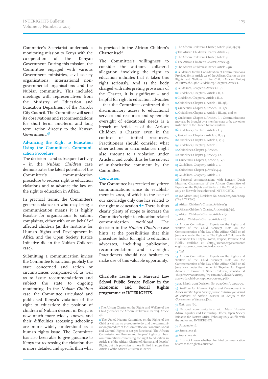Committee's Secretariat undertook a monitoring mission to Kenya with the co-operation of the Kenyan Government. During this mission, the Committee engaged with various Government ministries, civil society organisations, international nongovernmental organisations and the Nubian community. This included meetings with representatives from the Ministry of Education and Education Department of the Nairobi City Council. The Committee will send its observations and recommendations for short term, mid-term and long term action directly to the Kenyan Government. 41

### **Advancing the Right to Education Using the Committee's Communication Procedure**

The decision – and subsequent activity – in the Nubian Children case demonstrates the latent potential of the Committee's communication procedure to redress right to education violations and to advance the law on the right to education in Africa.

In practical terms, the Committee's generous stance on who may bring a communication means it is highly feasible for organisations to submit complaints, either with or on behalf of affected children (as the Institute for Human Rights and Development in Africa and the Open Society Justice Initiative did in the Nubian Children case).

Submitting a communication invites the Committee to sanction publicly the state concerned and action or circumstances complained of, as well as to issue recommendations and subject the state to ongoing monitoring. In the Nubian Children case, the Committee articulated and publicised Kenya's violation of the right to education: the position of children of Nubian descent in Kenya is now much more widely known, and their difficulties accessing schooling are more widely understood as a human rights issue. The Committee has also been able to give guidance to Kenya for redressing the violation that is more detailed and specific than what

is provided in the African Children's Charter itself.

The Committee's willingness to consider the authors' collateral allegation involving the right to education indicates that it takes this right seriously. And as the body charged with interpreting provisions of the Charter, it is significant – and helpful for right to education advocates – that the Committee confirmed that discriminatory access to educational services and resources and systematic oversight of educational needs is a breach of Article 11 of the African Children's Charter, even in the context of limited resources. Practitioners should consider what other actions or circumstances might also amount to a violation under Article 11 and could thus be the subject of authoritative comment by the **Committee** 

#### **Conclusion**

The Committee has received only three communications since its establishment in 2001, of which to the best of our knowledge only one has related to the right to education. 42 There is thus clearly plenty of scope to increase the Committee's right to education-related communication workload. The decision in the Nubian Children case hints at the possibilities that this procedure holds for right to education advocates, including publication, recommendation and oversight. Practitioners should not hesitate to make use of this valuable opportunity.

### Charlotte Leslie is a Harvard Law School Public Service Fellow in the Economic and Social Rights programme at INTERIGHTS.

1 The African Charter on the Rights and Welfare of the Child (hereafter the African Children's Charter), Article 46.

2 The United Nations Committee on the Rights of the Child as yet has no procedure to do, and the communication procedure of the Committee on Economic, Social and Cultural Rights is not yet functional. The African Commission on Human and Peoples' Rights can hear communications concerning the right to education in Article 17 of the African Charter of Human and Peoples' Rights, but this provision is more limited in scope than Article 11 of the African Children's Charter.

- 3 The African Children's Charter, Article 46(a)(i)-(iii).
- 4 The African Children's Charter, Article 44.
- 5 The African Children's Charter, Article 43.
- 6 The African Children's Charter, Article 45.

7 The African Children's Charter, Article 44(1).

8 Guidelines for the Consideration of Communications Provided for in Article 44 of the African Charter on the Rights and Welfare of the Child (African Union) ACERWC/8/4 (the Guidelines), Chapter 1, Article 1.

9 Guidelines, Chapter 2, Article 1,II., 1.

10 Guidelines, Chapter 2, Article 1, II, 2.

11 Guidelines, Chapter 2, Article 1,II., 1.

12 Guidelines, Chapter 2, Article 1, III., 1(b).

13 Guidelines, Chapter 2, Article 1, III., 1(c).

14 Guidelines, Chapter 2, Article 1, III., 1(d) and (e).

15 Guidelines, Chapter 2, Article 1, I., 1, Communications may also be brought by a member state or by any other institution of the United Nations system.

16 Guidelines, Chapter 2, Article 1, I. 3.

17 Guidelines, Chapter 2 Article 2,II, 3-4.

- 18 Guidelines, Chapter 2, Article 2, V, 1-3.
- 19 Guidelines, Chapter 3, Article 1.

20 Guidelines, Chapter 3, Article 1.

21 Guidelines, Chapter 3, Article 3, 1-2.

22 Guidelines, Chapter 2, Article 2, IV, 1.

23 Guidelines, Chapter 3, Article 4, 4.

24 Guidelines, Chapter 3, Article 4, 4.

25 Guidelines, Chapter 3, Article 4, 1.

26 Personal communications with Benyam Dawit Mezmur, Chairperson of the African Committee of Experts on the Rights and Welfare of the Child, January 2013, on file with the author and INTERIGHTS.

27 (22 March 2011) Decision: No 002/Com/002/2009 (The ACERWC).

28 African Children's Charter, Article 11(3).

- 29 African Children's Charter, Article 11(3)(a)-(e).
- 30 African Children's Charter, Article 11(5).

31 African Children's Charter, Article 11(6).

32 African Committee of Experts on the Rights and Welfare of the Child 'Concept Note on the Commemoration of the Day of the African Child on 16 June 2012 under the theme: The Rights of Children with Disabilities: The Duty to Protect, Respect, Promote And Fulfill', available at <http://acerwc.org/statement/ english-acerwc-concept-note-dac-2012-2/>.

33 Ibid.

34 African Committee of Experts on the Rights and Welfare of the Child 'Concept Note on the Welfare of the Child 'Concept Note Commemoration of the Day of the African Child on 16 June 2012 under the theme: All Together for Urgent Actions in Favour of Street Children', available at <http://www.acerwc.org/wp-content/uploads/2011/05/ acerwc-daychild-conceptnote-2011-eng.pdf>.

35 (22 March 2011) Decision: No. 002/Com/002/2009.

36 Institute for Human Rights and Development in Africa and the Open Society Justice Initiative (on behalf of children of Nubian descent in Kenya) <sup>v</sup> the Government of Kenya at [69].

### 37 Ibid., para [65].

38 Personal communications with Adam Hussein Adam, Equality and Citizenship Officer, Open Society Initiative for Eastern Africa, February 2013, on file with the author and INTERIGHTS.

39 Supra note 36.

40 Supra note 38.

41 Supra note 26.

42 It is not known whether the third communication relates to the right to education.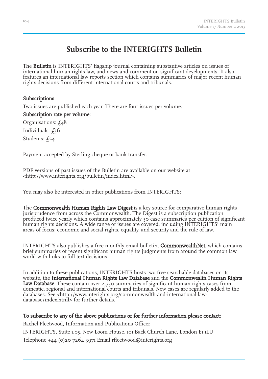### **Subscribe to the INTERIGHTS Bulletin**

The **Bulletin** is INTERIGHTS' flagship journal containing substantive articles on issues of international human rights law, and news and comment on significant developments. It also features an international law reports section which contains summaries of major recent human rights decisions from different international courts and tribunals.

### Subscriptions

Two issues are published each year. There are four issues per volume.

Subscription rate per volume: Organisations:  $f_48$ Individuals:  $f_36$ Students: £24

Payment accepted by Sterling cheque or bank transfer.

PDF versions of past issues of the Bulletin are available on our website at <http://www.interights.org/bulletin/index.html>.

You may also be interested in other publications from INTERIGHTS:

The **Commonwealth Human Rights Law Digest** is a key source for comparative human rights jurisprudence from across the Commonwealth. The Digest is a subscription publication produced twice yearly which contains approximately 50 case summaries per edition of significant human rights decisions. A wide range of issues are covered, including INTERIGHTS' main areas of focus: economic and social rights, equality, and security and the rule of law.

INTERIGHTS also publishes a free monthly email bulletin, CommonwealthNet, which contains brief summaries of recent significant human rights judgments from around the common law world with links to full-text decisions.

In addition to these publications, INTERIGHTS hosts two free searchable databases on its website, the International Human Rights Law Database and the Commonwealth Human Rights Law Database. These contain over 2,750 summaries of significant human rights cases from domestic, regional and international courts and tribunals. New cases are regularly added to the databases. See <http://www.interights.org/commonwealth-and-international-lawdatabase/index.html> for further details.

### To subscribe to any of the above publications or for further information please contact:

Rachel Fleetwood, Information and Publications Officer INTERIGHTS, Suite 1.05, New Loom House, 101 Back Church Lane, London E1 1LU Telephone +44 (0)20 7264 3971 Email rfleetwood@interights.org